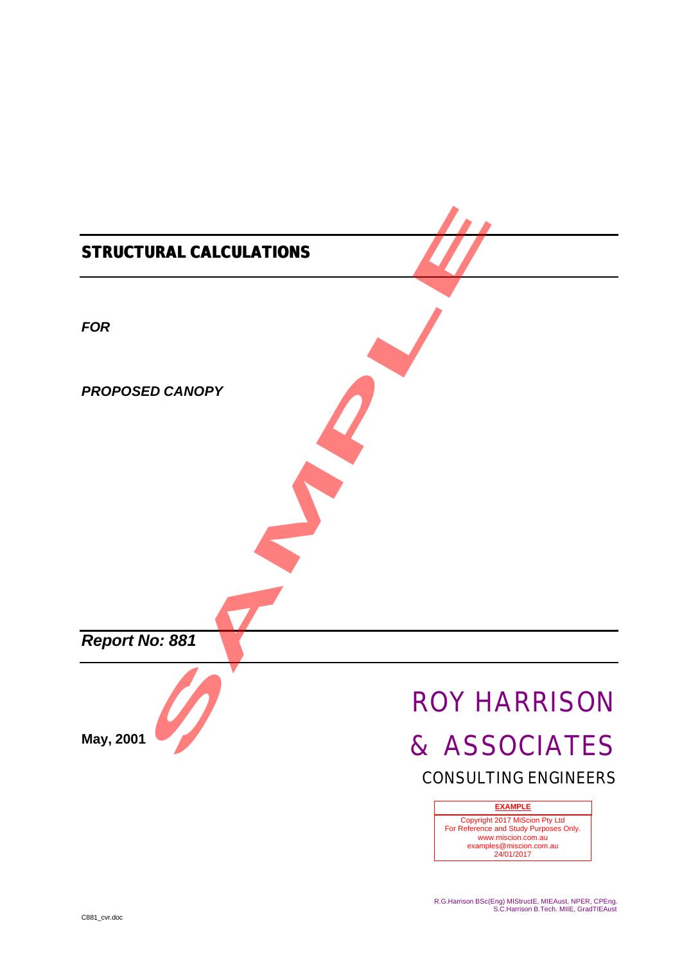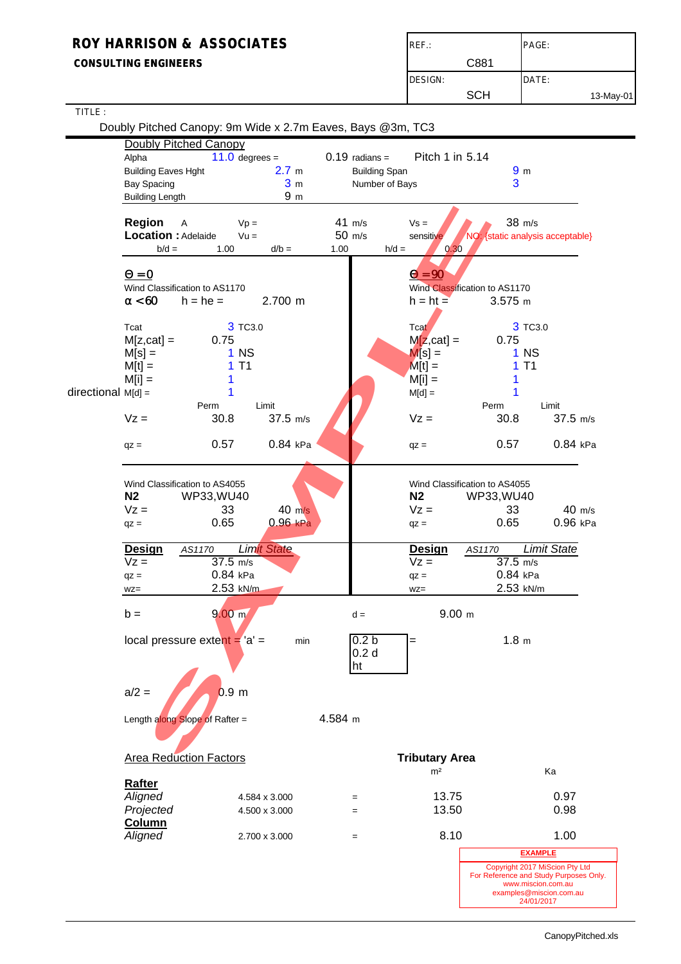### **CONSULTING ENGINEERS**

| $REF$ : |      | PAGE:     |
|---------|------|-----------|
|         | C881 |           |
| DESIGN: |      | DATE:     |
|         | SCH  | 13-May-01 |

| TITLE:               |                                                                                            |                                                                          |                                                            |                                                           |                                                                                                                                         |                    |
|----------------------|--------------------------------------------------------------------------------------------|--------------------------------------------------------------------------|------------------------------------------------------------|-----------------------------------------------------------|-----------------------------------------------------------------------------------------------------------------------------------------|--------------------|
|                      | Doubly Pitched Canopy: 9m Wide x 2.7m Eaves, Bays @3m, TC3<br><b>Doubly Pitched Canopy</b> |                                                                          |                                                            |                                                           |                                                                                                                                         |                    |
|                      | Alpha<br><b>Building Eaves Hght</b><br><b>Bay Spacing</b><br><b>Building Length</b>        | $11.0$ degrees =<br>2.7 <sub>m</sub><br>3 <sub>m</sub><br>9 <sub>m</sub> | $0.19$ radians =<br><b>Building Span</b><br>Number of Bays | Pitch 1 in 5.14                                           | 9 <sub>m</sub><br>3                                                                                                                     |                    |
|                      | <b>Region</b><br>A<br>Location : Adelaide<br>$b/d =$<br>1.00                               | $Vp =$<br>$Vu =$<br>$d/b =$                                              | 41 m/s<br>50 m/s<br>1.00<br>$h/d =$                        | $Vs =$<br>sensitive<br>0.30                               | 38 m/s<br>NO: {static analysis acceptable}                                                                                              |                    |
|                      | $\mathbf{Q} = \mathbf{0}$<br>Wind Classification to AS1170<br>a < 60<br>$h = he =$         | 2.700 m                                                                  |                                                            | $\mathbf{Q} = \mathbf{90}$<br>$h = ht =$                  | Wind Classification to AS1170<br>$3.575$ m                                                                                              |                    |
|                      | Tcat<br>$M[z, cat] =$<br>0.75<br>$M[s] =$<br>$M[t] =$<br>$M[i] =$                          | 3 TC3.0<br>$1$ NS<br>T <sub>1</sub><br>1.                                |                                                            | Tcat<br>$M[z, cat] =$<br>$M[s] =$<br>$M[t] =$<br>$M[i] =$ | 3 TC3.0<br>0.75<br>1 <sub>N</sub><br>1T1                                                                                                |                    |
| $directional$ M[d] = | Perm<br>$Vz =$<br>30.8                                                                     | Limit<br>37.5 m/s                                                        |                                                            | $M[d] =$<br>$Vz =$                                        | Limit<br>Perm<br>30.8                                                                                                                   | 37.5 m/s           |
|                      | 0.57<br>$qz =$                                                                             | 0.84 kPa                                                                 |                                                            | $qz =$                                                    | 0.57                                                                                                                                    | 0.84 kPa           |
|                      | Wind Classification to AS4055<br>N <sub>2</sub><br>WP33, WU40<br>$Vz =$<br>0.65<br>$qz =$  | 33<br>$40 \text{ m/s}$<br>$0.96$ kPa                                     |                                                            | N <sub>2</sub><br>$Vz =$<br>$qz =$                        | Wind Classification to AS4055<br>WP33, WU40<br>33<br>0.65                                                                               | 40 m/s<br>0.96 kPa |
|                      | <b>Design</b><br>AS1170<br>$Vz =$<br>$qz =$<br>$WZ =$                                      | <b>Limit State</b><br>37.5 m/s<br>0.84 kPa<br>2.53 kN/m                  |                                                            | <b>Design</b><br>$Vz =$<br>$qz =$<br>$WZ =$               | <b>Limit State</b><br>AS1170<br>$37.5$ m/s<br>0.84 kPa<br>2.53 kN/m                                                                     |                    |
|                      | $b =$                                                                                      | 9.00 m                                                                   | d =                                                        | 9.00 m                                                    |                                                                                                                                         |                    |
|                      | local pressure extent $=$ 'a' =                                                            | min                                                                      | 0.2 <sub>b</sub><br>0.2 <sub>d</sub><br>ht                 | =                                                         | 1.8 <sub>m</sub>                                                                                                                        |                    |
|                      | $a/2 =$                                                                                    | 0.9 <sub>m</sub>                                                         |                                                            |                                                           |                                                                                                                                         |                    |
|                      | Length along Slope of Rafter =                                                             |                                                                          | 4.584 m                                                    |                                                           |                                                                                                                                         |                    |
|                      | <b>Area Reduction Factors</b>                                                              |                                                                          |                                                            | <b>Tributary Area</b>                                     |                                                                                                                                         |                    |
|                      | <b>Rafter</b><br>Aligned<br>Projected<br><b>Column</b>                                     | 4.584 x 3.000<br>4.500 x 3.000                                           | $=$<br>$=$                                                 | m <sup>2</sup><br>13.75<br>13.50                          | Ka<br>0.97<br>0.98                                                                                                                      |                    |
|                      | Aligned                                                                                    | 2.700 x 3.000                                                            | $=$                                                        | 8.10                                                      | 1.00                                                                                                                                    |                    |
|                      |                                                                                            |                                                                          |                                                            |                                                           | <b>EXAMPLE</b>                                                                                                                          |                    |
|                      |                                                                                            |                                                                          |                                                            |                                                           | Copyright 2017 MiScion Pty Ltd<br>For Reference and Study Purposes Only.<br>www.miscion.com.au<br>examples@miscion.com.au<br>24/01/2017 |                    |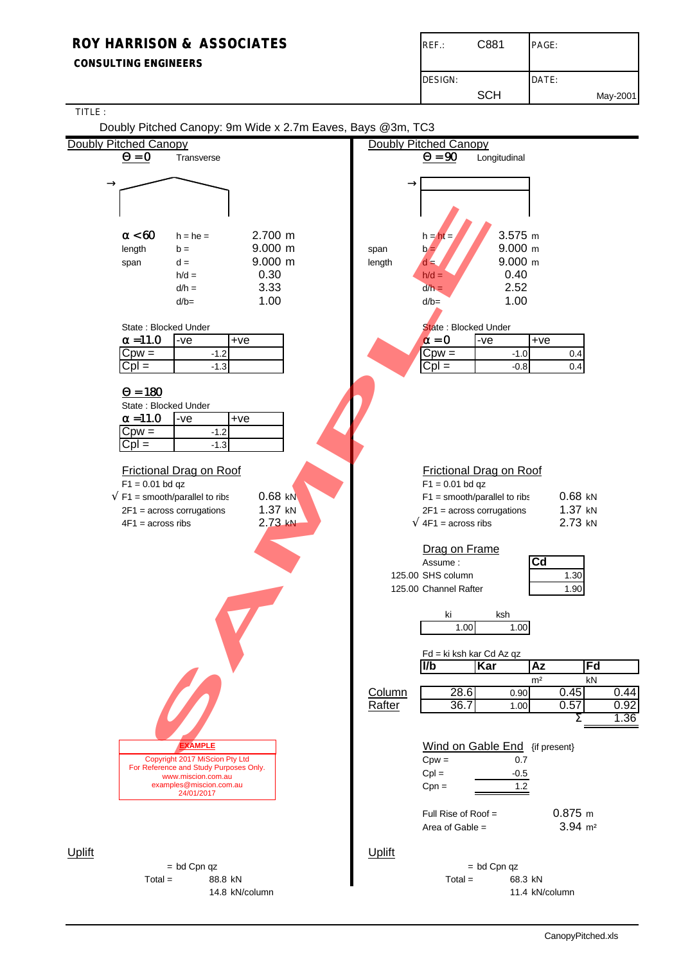#### **CONSULTING ENGINEERS**

| REF.:          | C881       | PAGE: |          |
|----------------|------------|-------|----------|
| <b>DESIGN:</b> |            | DATE: |          |
|                | <b>SCH</b> |       | May-2001 |

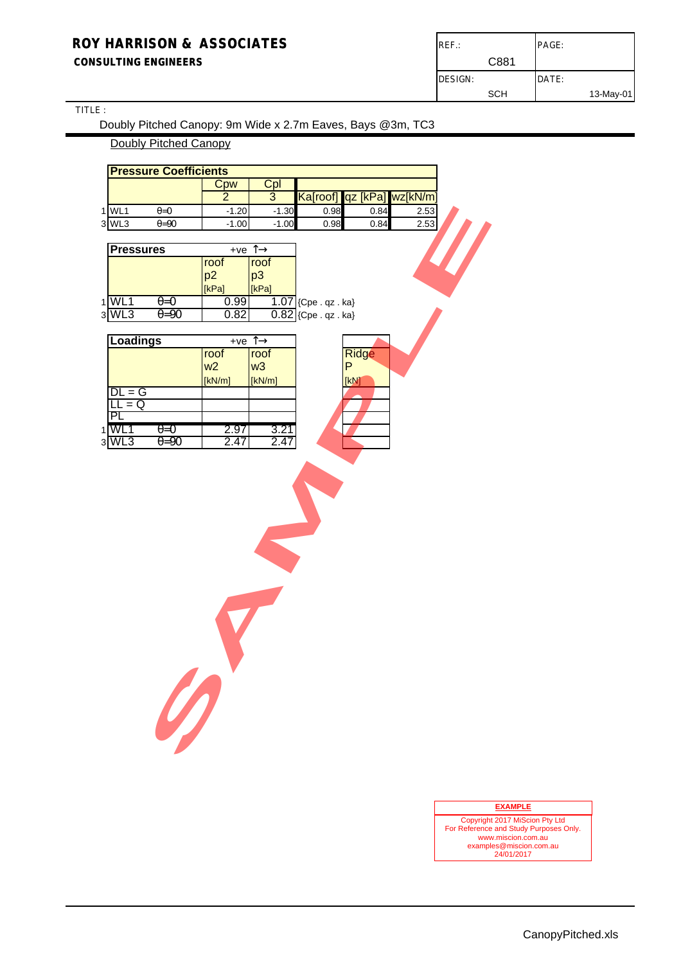#### **CONSULTING ENGINEERS**

| $REF$ .: |            | PAGE: |           |
|----------|------------|-------|-----------|
|          | C881       |       |           |
| DESIGN:  |            | DATE: |           |
|          | <b>SCH</b> |       | 13-May-01 |

## TITLE :

Doubly Pitched Canopy: 9m Wide x 2.7m Eaves, Bays @3m, TC3

### Doubly Pitched Canopy

#### **EXAMPLE**

Copyright 2017 MiScion Pty Ltd For Reference and Study Purposes Only. www.miscion.com.au examples@miscion.com.au 24/01/2017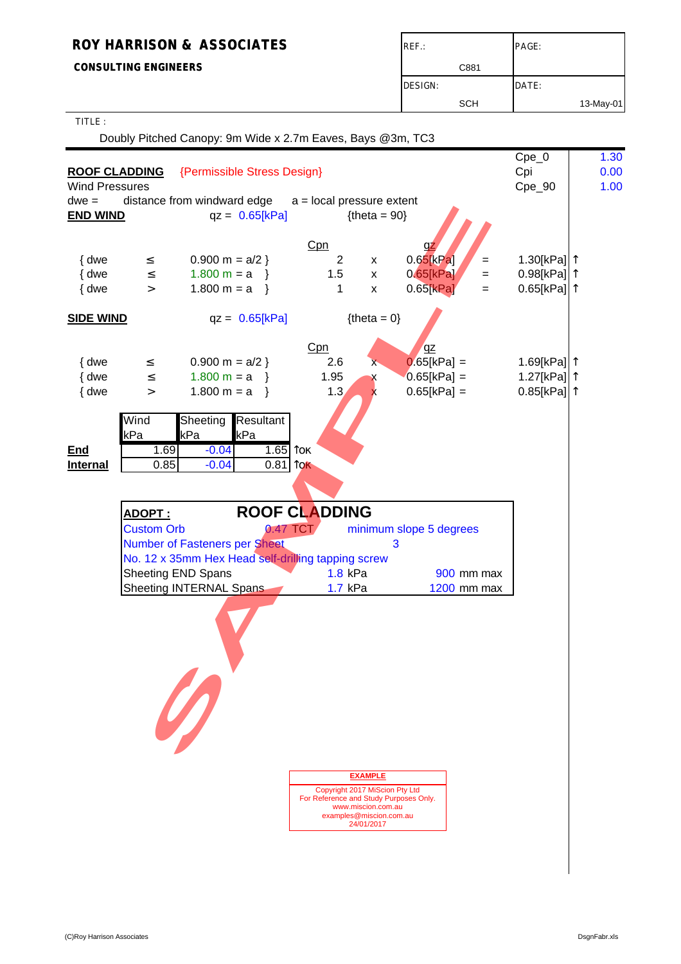**CONSULTING ENGINEERS** 

| $REF$ :        | PAGE:     |
|----------------|-----------|
| C881           |           |
| <b>DESIGN:</b> | DATE:     |
| <b>SCH</b>     | 13-May-01 |

TITLE :

Doubly Pitched Canopy: 9m Wide x 2.7m Eaves, Bays @3m, TC3

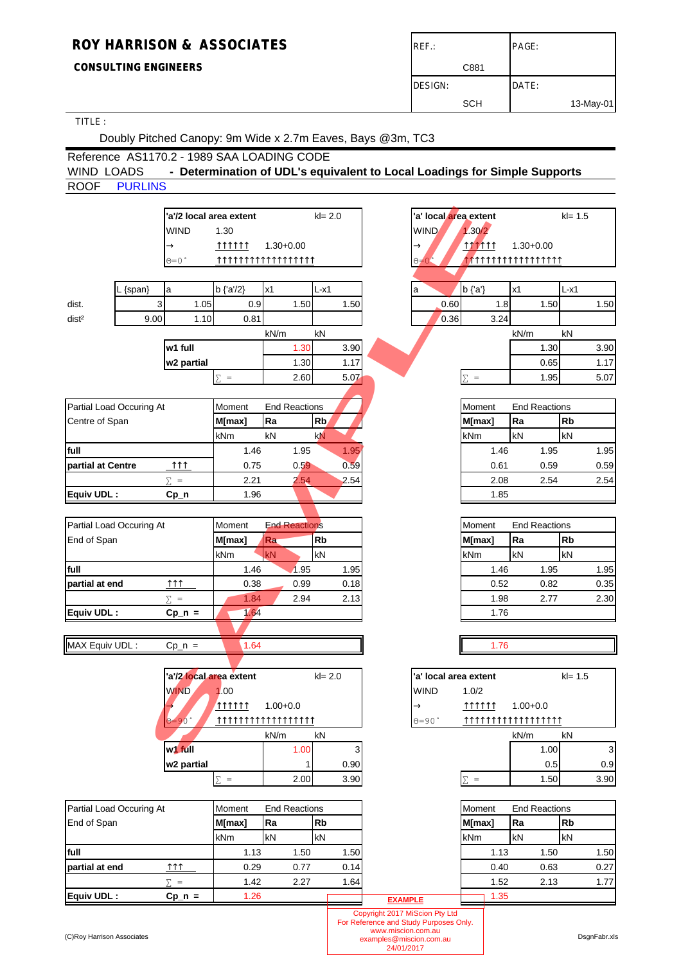## **CONSULTING ENGINEERS**

| $REF$ :        |      | PAGE: |           |
|----------------|------|-------|-----------|
|                | C881 |       |           |
| <b>DESIGN:</b> |      | DATE: |           |
|                | SCH  |       | 13-May-01 |

## TITLE :

Doubly Pitched Canopy: 9m Wide x 2.7m Eaves, Bays @3m, TC3

## Reference AS1170.2 - 1989 SAA LOADING CODE WIND LOADS - Determination of UDL's equivalent to Local Loadings for Simple Supports ROOF PURLINS

|                            |                          |                              | 'a'/2 local area extent |                      | $kl = 2.0$     |      |                                                             | 'a' local area extent                  |                |                      | $kl = 1.5$ |              |
|----------------------------|--------------------------|------------------------------|-------------------------|----------------------|----------------|------|-------------------------------------------------------------|----------------------------------------|----------------|----------------------|------------|--------------|
|                            |                          | <b>WIND</b>                  | 1.30                    |                      |                |      |                                                             | <b>WIND</b>                            | 1.30/2         |                      |            |              |
|                            |                          | $\rightarrow$                | 111111                  | $1.30 + 0.00$        |                |      |                                                             | $\rightarrow$                          | <b>111111</b>  | $1.30 + 0.00$        |            |              |
|                            |                          | ⊝=0 °                        | TTTTTTTTTTTTTTTTT       |                      |                |      |                                                             | $\Theta = 0$                           |                |                      |            |              |
|                            |                          |                              |                         |                      |                |      |                                                             |                                        |                |                      |            |              |
|                            |                          |                              | $b \$ {a'}/2\}          | x1                   | $L-x1$         |      |                                                             |                                        | $b {a'}$       | x1                   | $L-x1$     |              |
|                            | L {span}                 | a                            |                         |                      |                |      |                                                             | a                                      |                |                      |            |              |
| dist.                      | 3                        | 1.05                         | 0.9                     | 1.50                 |                | 1.50 |                                                             | 0.60                                   | 1.8            | 1.50                 |            | 1.50         |
| dist <sup>2</sup>          | 9.00                     | 1.10                         | 0.81                    |                      |                |      |                                                             | 0.36                                   | 3.24           |                      |            |              |
|                            |                          |                              |                         | kN/m                 | kN             |      |                                                             |                                        |                | kN/m                 | kN         |              |
|                            |                          | w1 full                      |                         | 1.30                 |                | 3.90 |                                                             |                                        |                | 1.30                 |            | 3.90         |
|                            |                          | w2 partial                   |                         | 1.30                 |                | 1.17 |                                                             |                                        |                | 0.65                 |            | 1.17         |
|                            |                          |                              | $\Sigma =$              | 2.60                 |                | 5.07 |                                                             |                                        | $\Sigma =$     | 1.95                 |            | 5.07         |
|                            |                          |                              |                         |                      |                |      |                                                             |                                        |                |                      |            |              |
|                            | Partial Load Occuring At |                              | Moment                  | <b>End Reactions</b> |                |      |                                                             |                                        | Moment         | <b>End Reactions</b> |            |              |
| Centre of Span             |                          |                              | M[max]                  | Ra                   | R <sub>b</sub> |      |                                                             |                                        | M[max]         | Ra                   | <b>Rb</b>  |              |
|                            |                          |                              | kNm                     | kN                   | kN             |      |                                                             |                                        | kNm            | kN                   | kN         |              |
| full                       |                          |                              | 1.46                    | 1.95                 |                | 1.95 |                                                             |                                        | 1.46           | 1.95                 |            | 1.95         |
| partial at Centre          |                          | $\uparrow \uparrow \uparrow$ | 0.75                    | 0.59                 |                | 0.59 |                                                             |                                        | 0.61           | 0.59                 |            | 0.59         |
|                            |                          | $\Sigma =$                   | 2.21                    | 2.54                 |                | 2.54 |                                                             |                                        | 2.08           | 2.54                 |            | 2.54         |
| Equiv UDL:                 |                          | $Cp_n$                       | 1.96                    |                      |                |      |                                                             |                                        | 1.85           |                      |            |              |
|                            |                          |                              |                         |                      |                |      |                                                             |                                        |                |                      |            |              |
|                            | Partial Load Occuring At |                              | Moment                  | <b>End Reactions</b> |                |      |                                                             |                                        | Moment         | <b>End Reactions</b> |            |              |
| End of Span                |                          |                              | M[max]                  | Ra.                  | <b>Rb</b>      |      |                                                             |                                        | M[max]         | Ra                   | <b>Rb</b>  |              |
|                            |                          |                              | kNm                     | kN                   | kN             |      |                                                             |                                        | kNm            | kN                   | kN         |              |
| full                       |                          |                              | 1.46                    | 1.95                 |                | 1.95 |                                                             |                                        | 1.46           | 1.95                 |            | 1.95         |
| partial at end             |                          | $\uparrow \uparrow \uparrow$ | 0.38                    | 0.99                 |                | 0.18 |                                                             |                                        | 0.52           | 0.82                 |            | 0.35         |
|                            |                          | $\Sigma =$                   | 1.84                    | 2.94                 |                | 2.13 |                                                             |                                        | 1.98           | 2.77                 |            | 2.30         |
| Equiv UDL:                 |                          | $Cp_n =$                     | 1.64                    |                      |                |      |                                                             |                                        | 1.76           |                      |            |              |
|                            |                          |                              |                         |                      |                |      |                                                             |                                        |                |                      |            |              |
| MAX Equiv UDL:             |                          | $Cp_n =$                     | 1.64                    |                      |                |      |                                                             |                                        | 1.76           |                      |            |              |
|                            |                          |                              |                         |                      |                |      |                                                             |                                        |                |                      |            |              |
|                            |                          | 'a'/2 local area extent      |                         |                      | $kl = 2.0$     |      |                                                             | 'a' local area extent                  |                |                      | $kl = 1.5$ |              |
|                            |                          | <b>WIND</b>                  | 1.00                    |                      |                |      |                                                             | <b>WIND</b>                            | 1.0/2          |                      |            |              |
|                            |                          |                              | <b>MATT11</b>           | $1.00 + 0.0$         |                |      |                                                             | $\rightarrow$                          | 111111         | $1.00 + 0.0$         |            |              |
|                            |                          | $\Theta = 90$                |                         |                      |                |      |                                                             | $0 = 90$                               |                |                      |            |              |
|                            |                          |                              |                         | kN/m                 | kN             |      |                                                             |                                        |                | kN/m                 | kN         |              |
|                            |                          | w <sup>1</sup> full          |                         | 1.00                 |                | 3    |                                                             |                                        |                | 1.00                 |            | $\mathbf{3}$ |
|                            |                          | w2 partial                   |                         |                      | 1              | 0.90 |                                                             |                                        |                | 0.5                  |            | 0.9          |
|                            |                          |                              | $\Sigma =$              | 2.00                 |                | 3.90 |                                                             |                                        | $\equiv$<br>Σ. | 1.50                 |            | 3.90         |
|                            |                          |                              |                         |                      |                |      |                                                             |                                        |                |                      |            |              |
|                            | Partial Load Occuring At |                              | Moment                  | <b>End Reactions</b> |                |      |                                                             |                                        | Moment         | <b>End Reactions</b> |            |              |
| End of Span                |                          |                              | M[max]                  | Ra                   | <b>Rb</b>      |      |                                                             |                                        | M[max]         | Ra                   | <b>Rb</b>  |              |
|                            |                          |                              | kNm                     | kN                   | kN             |      |                                                             |                                        | kNm            | kN                   | kN         |              |
| full                       |                          |                              | 1.13                    | 1.50                 |                | 1.50 |                                                             |                                        | 1.13           | 1.50                 |            | 1.50         |
| partial at end             |                          | $\uparrow \uparrow \uparrow$ | 0.29                    | 0.77                 |                | 0.14 |                                                             |                                        | 0.40           | 0.63                 |            | 0.27         |
|                            |                          | $\Sigma =$                   | 1.42                    | 2.27                 |                | 1.64 |                                                             |                                        | 1.52           | 2.13                 |            | 1.77         |
| Equiv UDL:                 |                          | $Cp_n =$                     | 1.26                    |                      |                |      |                                                             |                                        | 1.35           |                      |            |              |
|                            |                          |                              |                         |                      |                |      | <b>EXAMPLE</b>                                              | Copyright 2017 MiScion Pty Ltd         |                |                      |            |              |
|                            |                          |                              |                         |                      |                |      |                                                             | For Reference and Study Purposes Only. |                |                      |            |              |
| (C)Roy Harrison Associates |                          |                              |                         |                      |                |      | www.miscion.com.au<br>examples@miscion.com.au<br>24/01/2017 |                                        |                |                      |            | DsgnFabr.xls |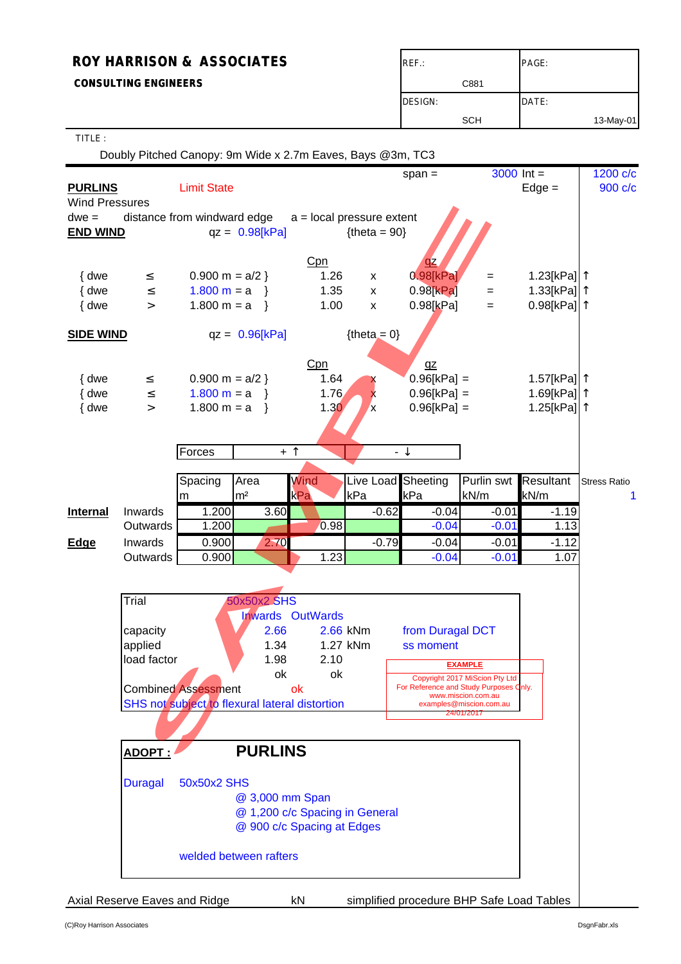# **ROY HARRISON & ASSOCIATES** ROY HARRISON **& ASSOCIATES CONSULTING ENGINEERS** CBS1 DESIGN: DATE: SCH | 13-May-01

#### TITLE :

Doubly Pitched Canopy: 9m Wide x 2.7m Eaves, Bays @3m, TC3

|                            |                               |                                                |                  |                                |                    | $span =$                                  | $3000$ Int =                                  |                                        | 1200 c/c            |
|----------------------------|-------------------------------|------------------------------------------------|------------------|--------------------------------|--------------------|-------------------------------------------|-----------------------------------------------|----------------------------------------|---------------------|
| <b>PURLINS</b>             |                               | <b>Limit State</b>                             |                  |                                |                    |                                           |                                               | $Edge =$                               | 900 c/c             |
| <b>Wind Pressures</b>      |                               |                                                |                  |                                |                    |                                           |                                               |                                        |                     |
| $dwe =$<br><b>END WIND</b> | distance from windward edge   |                                                | $qz = 0.98[kPa]$ | $a = local pressure extent$    | ${theta = 90}$     |                                           |                                               |                                        |                     |
|                            |                               |                                                |                  |                                |                    |                                           |                                               |                                        |                     |
|                            |                               |                                                |                  | Cpn                            |                    | $\underline{\mathsf{Q}}$                  |                                               |                                        |                     |
| { dwe                      | $\leq$                        | $0.900 \text{ m} = a/2$                        |                  | 1.26                           | $\pmb{\mathsf{X}}$ | $0.98$ [kPa]                              | $=$                                           | 1.23[kPa]  ↑                           |                     |
| { dwe                      | $\leq$                        | $1.800 m = a$                                  |                  | 1.35                           | $\pmb{\mathsf{x}}$ | $0.98$ [ $kPa$ ]                          | $=$                                           | 1.33[kPa] $\uparrow$                   |                     |
| { dwe                      | $\,>$                         | $1.800 \text{ m} = a$                          |                  | 1.00                           | X                  | 0.98[kPa]                                 | $=$                                           | $0.98$ [kPa] $ $ <sup>↑</sup>          |                     |
| <b>SIDE WIND</b>           |                               |                                                | $qz = 0.96[kPa]$ |                                | ${theta = 0}$      |                                           |                                               |                                        |                     |
|                            |                               |                                                |                  |                                |                    |                                           |                                               |                                        |                     |
|                            |                               |                                                |                  | Cpn                            |                    | $q\overline{z}$                           |                                               |                                        |                     |
| { dwe<br>{ dwe             | $\leq$<br>$\leq$              | $0.900 \text{ m} = a/2$<br>$1.800 m = a$       |                  | 1.64<br>1.76                   | X                  | $0.96[kPa] =$<br>$0.96[kPa] =$            |                                               | 1.57[kPa]  ↑<br>1.69[kPa] <sup>1</sup> |                     |
| { dwe                      | $\geq$                        | $1.800 m = a$                                  | $\rightarrow$    | 1.30 <sub>2</sub>              | x<br><b>x</b>      | $0.96$ [kPa] =                            |                                               | 1.25[kPa] <sup>1</sup>                 |                     |
|                            |                               |                                                |                  |                                |                    |                                           |                                               |                                        |                     |
|                            |                               |                                                |                  |                                |                    |                                           |                                               |                                        |                     |
|                            |                               | Forces                                         |                  | $+$ $\uparrow$                 |                    | - ↓                                       |                                               |                                        |                     |
|                            |                               | Spacing                                        | Area             | <b>Wind</b>                    | Live Load Sheeting |                                           | Purlin swt                                    | <b>Resultant</b>                       | <b>Stress Ratio</b> |
|                            |                               | m                                              | m <sup>2</sup>   | kPa                            | kPa                | kPa                                       | kN/m                                          | kN/m                                   | 1                   |
| <b>Internal</b>            | Inwards                       | 1.200                                          | 3.60             |                                | $-0.62$            | $-0.04$                                   | $-0.01$                                       | $-1.19$                                |                     |
|                            | Outwards                      | 1.200                                          |                  | 0.98                           |                    | $-0.04$                                   | $-0.01$                                       | 1.13                                   |                     |
| Edge                       | Inwards                       | 0.900                                          | 2.70             |                                | $-0.79$            | $-0.04$                                   | $-0.01$                                       | $-1.12$                                |                     |
|                            | Outwards                      | 0.900                                          |                  | 1.23                           |                    | $-0.04$                                   | $-0.01$                                       | 1.07                                   |                     |
|                            |                               |                                                |                  |                                |                    |                                           |                                               |                                        |                     |
|                            | Trial                         |                                                | 50x50x2 SHS      |                                |                    |                                           |                                               |                                        |                     |
|                            |                               |                                                |                  | <b>Inwards OutWards</b>        |                    |                                           |                                               |                                        |                     |
|                            | capacity                      |                                                | 2.66             |                                | 2.66 kNm           | from Duragal DCT                          |                                               |                                        |                     |
|                            | applied                       |                                                | 1.34             |                                | 1.27 kNm           | ss moment                                 |                                               |                                        |                     |
|                            | load factor                   |                                                | 1.98             | 2.10                           |                    |                                           | <b>EXAMPLE</b>                                |                                        |                     |
|                            |                               | <b>Combined Assessment</b>                     | ok               | ok<br>ok                       |                    | For Reference and Study Purposes Only.    | Copyright 2017 MiScion Pty Ltd                |                                        |                     |
|                            |                               | SHS not subject to flexural lateral distortion |                  |                                |                    |                                           | www.miscion.com.au<br>examples@miscion.com.au |                                        |                     |
|                            |                               |                                                |                  |                                |                    |                                           | 24/01/2017                                    |                                        |                     |
|                            | ADOPT:                        |                                                | <b>PURLINS</b>   |                                |                    |                                           |                                               |                                        |                     |
|                            |                               |                                                |                  |                                |                    |                                           |                                               |                                        |                     |
|                            | <b>Duragal</b>                | 50x50x2 SHS                                    |                  |                                |                    |                                           |                                               |                                        |                     |
|                            |                               |                                                | @ 3,000 mm Span  |                                |                    |                                           |                                               |                                        |                     |
|                            |                               |                                                |                  | @ 1,200 c/c Spacing in General |                    |                                           |                                               |                                        |                     |
|                            |                               |                                                |                  | @ 900 c/c Spacing at Edges     |                    |                                           |                                               |                                        |                     |
| welded between rafters     |                               |                                                |                  |                                |                    |                                           |                                               |                                        |                     |
|                            |                               |                                                |                  |                                |                    |                                           |                                               |                                        |                     |
|                            |                               |                                                |                  |                                |                    |                                           |                                               |                                        |                     |
|                            | Axial Reserve Eaves and Ridge |                                                |                  | kN                             |                    | simplified procedure BHP Safe Load Tables |                                               |                                        |                     |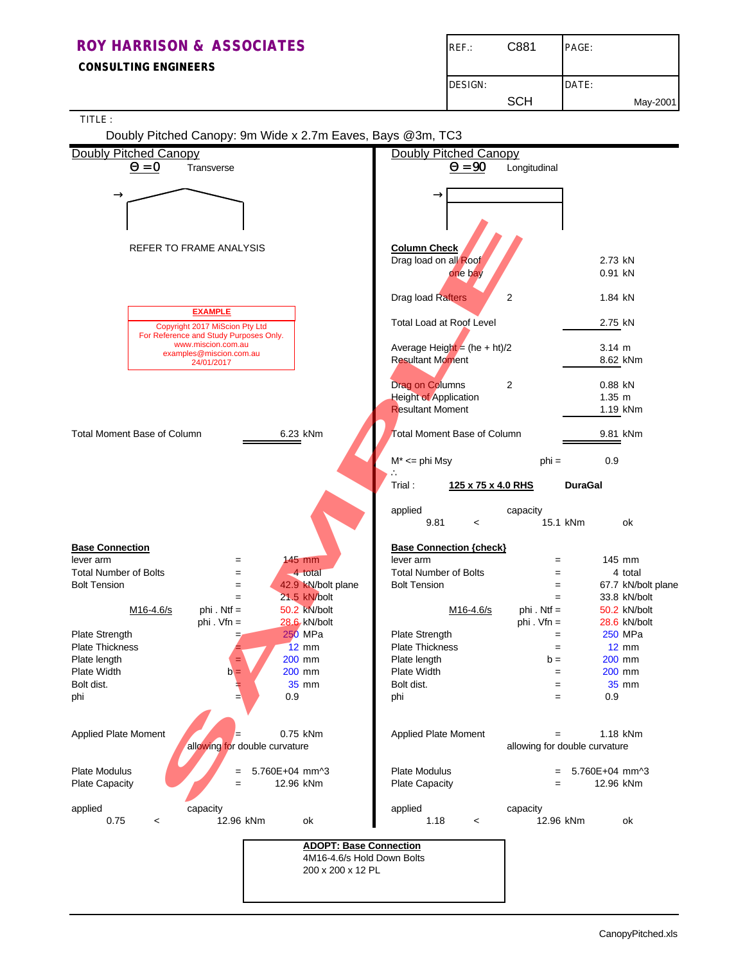**CONSULTING ENGINEERS**

| REF.:          | C881       | PAGE:    |
|----------------|------------|----------|
| <b>DESIGN:</b> |            | DATE:    |
|                | <b>SCH</b> | May-2001 |

|                                    |                                         |                               | Doubly Pitched Canopy: 9m Wide x 2.7m Eaves, Bays @3m, TC3 |                                 |                    |                               |                |                    |
|------------------------------------|-----------------------------------------|-------------------------------|------------------------------------------------------------|---------------------------------|--------------------|-------------------------------|----------------|--------------------|
| <b>Doubly Pitched Canopy</b>       |                                         |                               |                                                            | <b>Doubly Pitched Canopy</b>    |                    |                               |                |                    |
|                                    | $\mathbf{Q} = \mathbf{0}$<br>Transverse |                               |                                                            |                                 | $Q = 90$           | Longitudinal                  |                |                    |
|                                    |                                         |                               |                                                            |                                 |                    |                               |                |                    |
|                                    |                                         |                               |                                                            |                                 |                    |                               |                |                    |
| $\rightarrow$                      |                                         |                               |                                                            |                                 |                    |                               |                |                    |
|                                    |                                         |                               |                                                            |                                 |                    |                               |                |                    |
|                                    |                                         |                               |                                                            |                                 |                    |                               |                |                    |
|                                    |                                         |                               |                                                            |                                 |                    |                               |                |                    |
|                                    | <b>REFER TO FRAME ANALYSIS</b>          |                               |                                                            | <b>Column Check</b>             |                    |                               |                |                    |
|                                    |                                         |                               |                                                            | Drag load on all Roof           |                    |                               | 2.73 kN        |                    |
|                                    |                                         |                               |                                                            |                                 | one bay            |                               | 0.91 kN        |                    |
|                                    |                                         |                               |                                                            |                                 |                    |                               |                |                    |
|                                    |                                         |                               |                                                            | Drag load Rafters               |                    | $\overline{2}$                | 1.84 kN        |                    |
|                                    | <b>EXAMPLE</b>                          |                               |                                                            |                                 |                    |                               |                |                    |
|                                    | Copyright 2017 MiScion Pty Ltd          |                               |                                                            | <b>Total Load at Roof Level</b> |                    |                               | 2.75 kN        |                    |
|                                    | For Reference and Study Purposes Only.  |                               |                                                            |                                 |                    |                               |                |                    |
|                                    | www.miscion.com.au                      |                               |                                                            | Average Height = $(he + ht)/2$  |                    |                               | $3.14 \; m$    |                    |
|                                    | examples@miscion.com.au<br>24/01/2017   |                               |                                                            | <b>Resultant Moment</b>         |                    |                               |                | 8.62 kNm           |
|                                    |                                         |                               |                                                            |                                 |                    |                               |                |                    |
|                                    |                                         |                               |                                                            | Drag on Columns                 |                    | 2                             | 0.88 kN        |                    |
|                                    |                                         |                               |                                                            | <b>Height of Application</b>    |                    |                               | $1.35 \; m$    |                    |
|                                    |                                         |                               |                                                            | <b>Resultant Moment</b>         |                    |                               |                | 1.19 kNm           |
|                                    |                                         |                               |                                                            |                                 |                    |                               |                |                    |
| <b>Total Moment Base of Column</b> |                                         |                               | 6.23 kNm                                                   | Total Moment Base of Column     |                    |                               |                | 9.81 kNm           |
|                                    |                                         |                               |                                                            |                                 |                    |                               |                |                    |
|                                    |                                         |                               |                                                            | $M^* \leq$ phi Msy              |                    | $phi =$                       | 0.9            |                    |
|                                    |                                         |                               |                                                            |                                 |                    |                               |                |                    |
|                                    |                                         |                               |                                                            | Trial:                          | 125 x 75 x 4.0 RHS |                               | <b>DuraGal</b> |                    |
|                                    |                                         |                               |                                                            |                                 |                    |                               |                |                    |
|                                    |                                         |                               |                                                            |                                 |                    |                               |                |                    |
|                                    |                                         |                               |                                                            | applied                         |                    | capacity                      |                |                    |
|                                    |                                         |                               |                                                            | 9.81                            | $\,<$              | 15.1 kNm                      |                | оk                 |
|                                    |                                         |                               |                                                            |                                 |                    |                               |                |                    |
| <b>Base Connection</b>             |                                         |                               |                                                            | <b>Base Connection {check}</b>  |                    |                               |                |                    |
| lever arm                          |                                         | $\qquad \qquad =$             | 145 mm                                                     | lever arm                       |                    | $=$                           |                | 145 mm             |
| <b>Total Number of Bolts</b>       |                                         | $=$                           | 4 total                                                    | <b>Total Number of Bolts</b>    |                    | $=$                           |                | 4 total            |
| <b>Bolt Tension</b>                |                                         | $\qquad \qquad =$             | 42.9 kN/bolt plane                                         | <b>Bolt Tension</b>             |                    | $=$                           |                | 67.7 kN/bolt plane |
|                                    |                                         | $=$                           | 21.5 kN/bolt                                               |                                 |                    | $=$                           |                | 33.8 kN/bolt       |
|                                    | M <sub>16</sub> -4.6/s                  | $phi$ . Ntf =                 | 50.2 kN/bolt                                               |                                 | M16-4.6/s          | phi. Ntf $=$                  |                | 50.2 kN/bolt       |
|                                    |                                         | phi. $Vfn =$                  | 28.6 kN/bolt                                               |                                 |                    | phi. $Vfn =$                  |                | 28.6 kN/bolt       |
| Plate Strength                     |                                         |                               | 250 MPa                                                    | Plate Strength                  |                    | $=$                           |                | 250 MPa            |
| <b>Plate Thickness</b>             |                                         |                               | $12 \text{ mm}$                                            | <b>Plate Thickness</b>          |                    | $=$                           |                | $12 \, \text{mm}$  |
| Plate length                       |                                         |                               | 200 mm                                                     | Plate length                    |                    | $b =$                         |                | 200 mm             |
| Plate Width                        |                                         | $b =$                         | 200 mm                                                     | Plate Width                     |                    | $=$                           |                | 200 mm             |
| Bolt dist.                         |                                         |                               | 35 mm                                                      | Bolt dist.                      |                    | =                             |                | 35 mm              |
| phi                                |                                         | =,                            | 0.9                                                        | phi                             |                    | $=$                           | 0.9            |                    |
|                                    |                                         |                               |                                                            |                                 |                    |                               |                |                    |
|                                    |                                         |                               |                                                            |                                 |                    |                               |                |                    |
| Applied Plate Moment               |                                         |                               | 0.75 kNm                                                   | Applied Plate Moment            |                    | $=$                           |                | 1.18 kNm           |
|                                    |                                         | allowing for double curvature |                                                            |                                 |                    | allowing for double curvature |                |                    |
|                                    |                                         |                               |                                                            |                                 |                    |                               |                |                    |
|                                    |                                         |                               | 5.760E+04 mm^3                                             | <b>Plate Modulus</b>            |                    |                               | 5.760E+04 mm^3 |                    |
| <b>Plate Modulus</b>               |                                         |                               |                                                            | Plate Capacity                  |                    | $=$                           |                | 12.96 kNm          |
|                                    |                                         | $=$                           |                                                            |                                 |                    |                               |                |                    |
| Plate Capacity                     |                                         |                               | 12.96 kNm                                                  |                                 |                    |                               |                |                    |
|                                    |                                         |                               |                                                            |                                 |                    |                               |                |                    |
| applied                            | capacity                                |                               |                                                            | applied                         |                    | capacity                      |                |                    |
| 0.75                               | $\,<\,$                                 | 12.96 kNm                     | ok                                                         | 1.18                            | $\,<\,$            | 12.96 kNm                     |                | ok                 |
|                                    |                                         |                               |                                                            |                                 |                    |                               |                |                    |
|                                    |                                         |                               | <b>ADOPT: Base Connection</b>                              |                                 |                    |                               |                |                    |
|                                    |                                         |                               | 4M16-4.6/s Hold Down Bolts                                 |                                 |                    |                               |                |                    |
|                                    |                                         |                               | 200 x 200 x 12 PL                                          |                                 |                    |                               |                |                    |
|                                    |                                         |                               |                                                            |                                 |                    |                               |                |                    |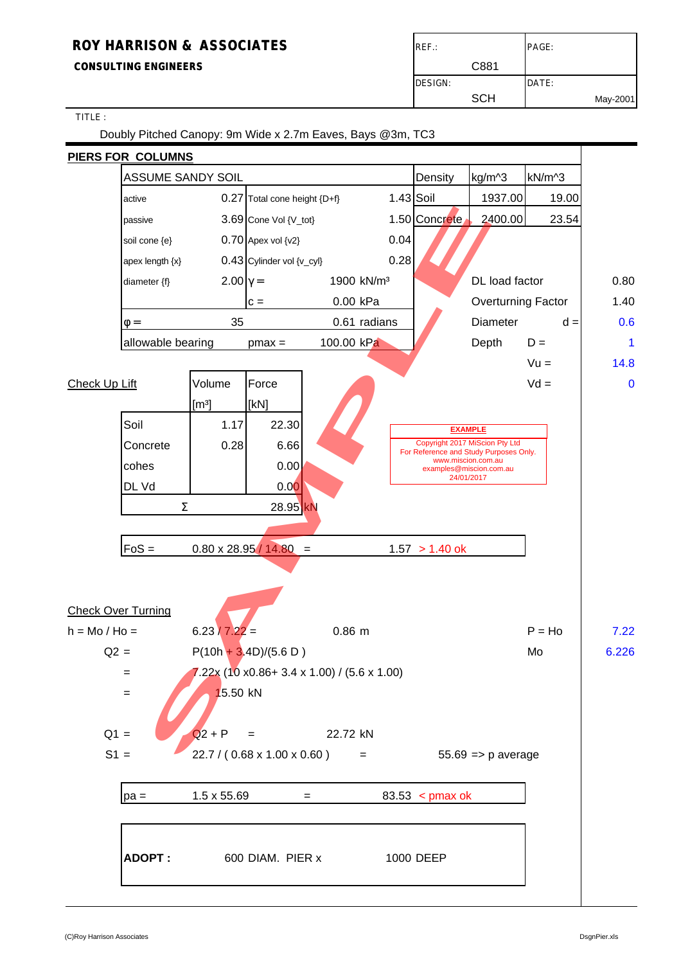## **ROY HARRISON & ASSOCIATES ROY HARRISON & ASSOCIATES**

**CONSULTING ENGINEERS** CONSULTING ENGINEERS CONSULTING ENGINEERS

TITLE :

Doubly Pitched Canopy: 9m Wide x 2.7m Eaves, Bays @3m, TC3

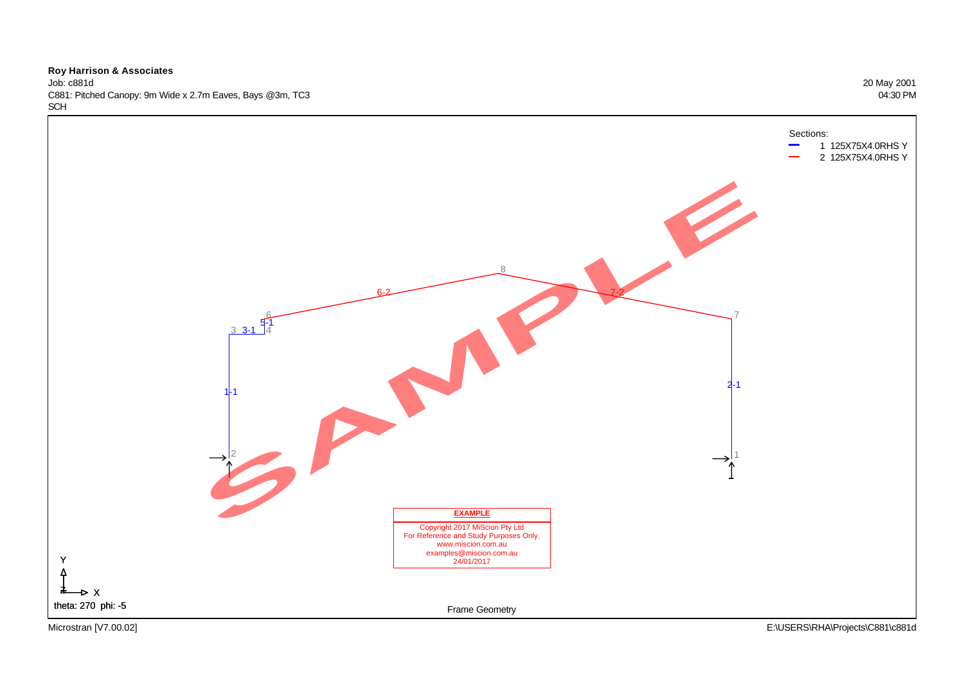Job: c881d 20 May 2001 C881: Pitched Canopy: 9m Wide x 2.7m Eaves, Bays @3m, TC3 04:30 PM **SCH** 

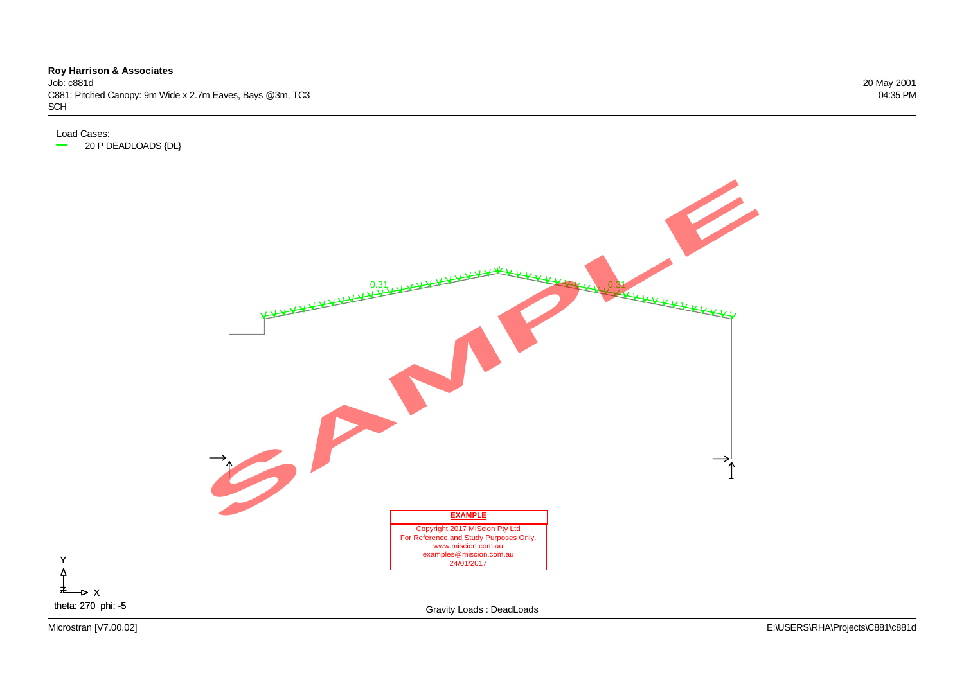Job: c881d 20 May 2001 C881: Pitched Canopy: 9m Wide x 2.7m Eaves, Bays @3m, TC3 04:35 PM SCH

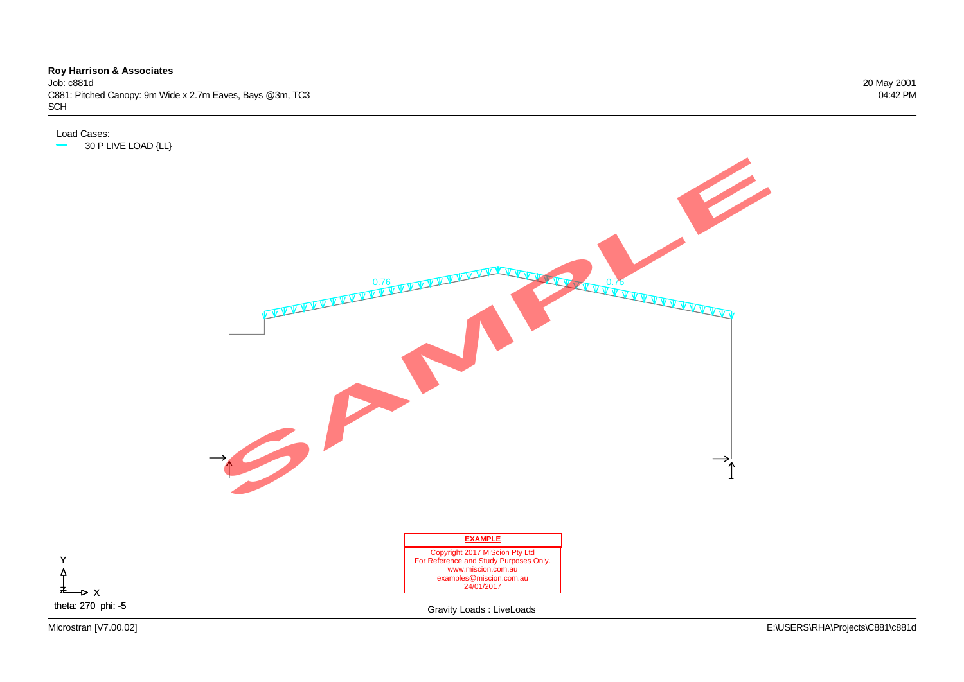Job: c881d 20 May 2001 C881: Pitched Canopy: 9m Wide x 2.7m Eaves, Bays @3m, TC3 04:42 PM SCH

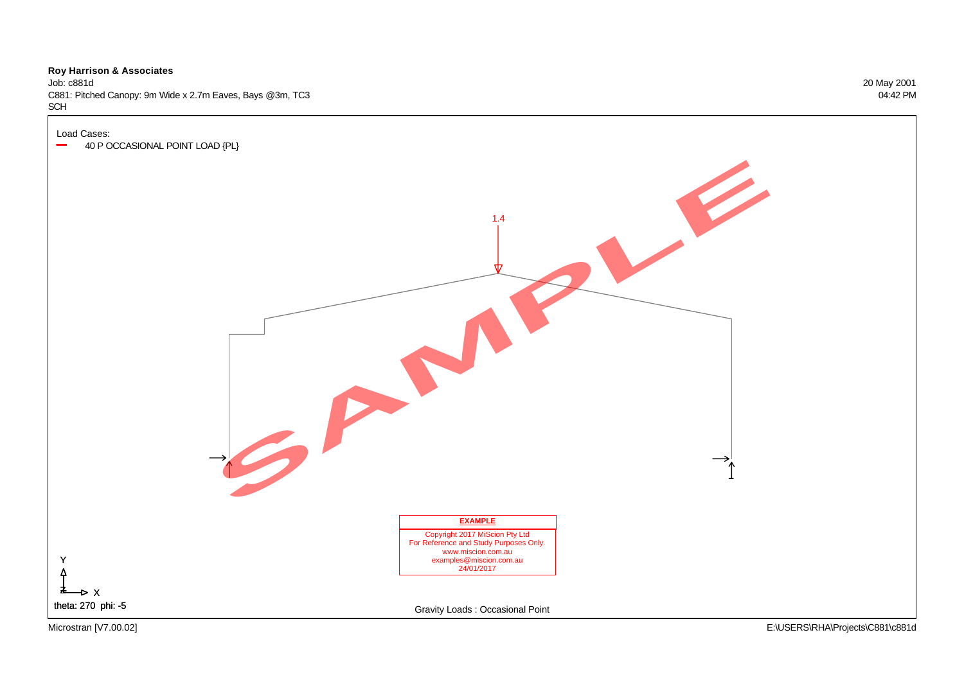Job: c881d 20 May 2001 C881: Pitched Canopy: 9m Wide x 2.7m Eaves, Bays @3m, TC3 04:42 PM SCH

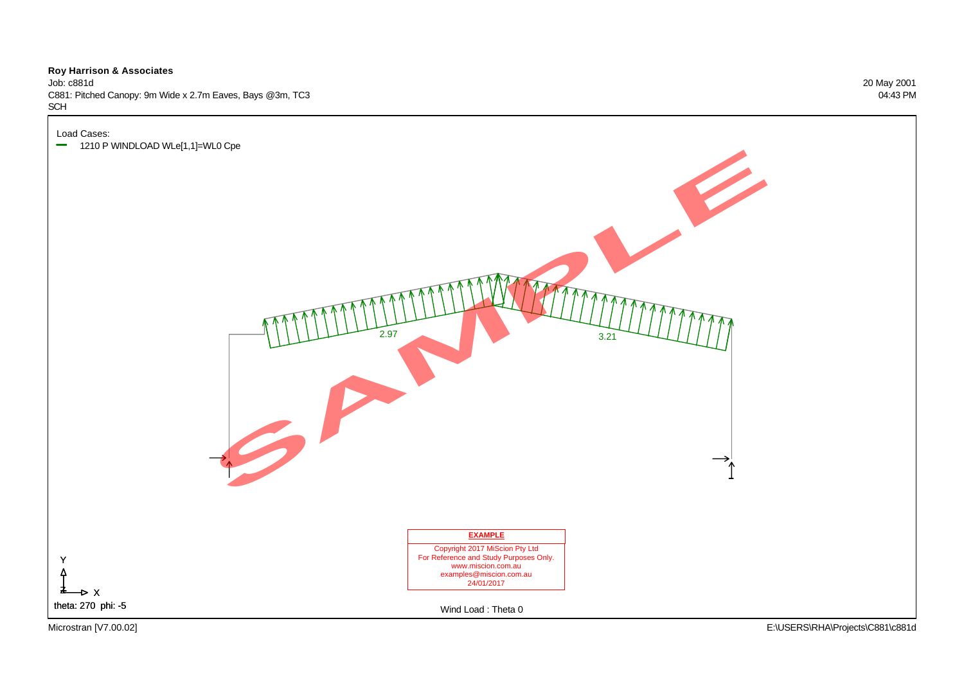Job: c881d 20 May 2001 C881: Pitched Canopy: 9m Wide x 2.7m Eaves, Bays @3m, TC3 04:43 PM SCH

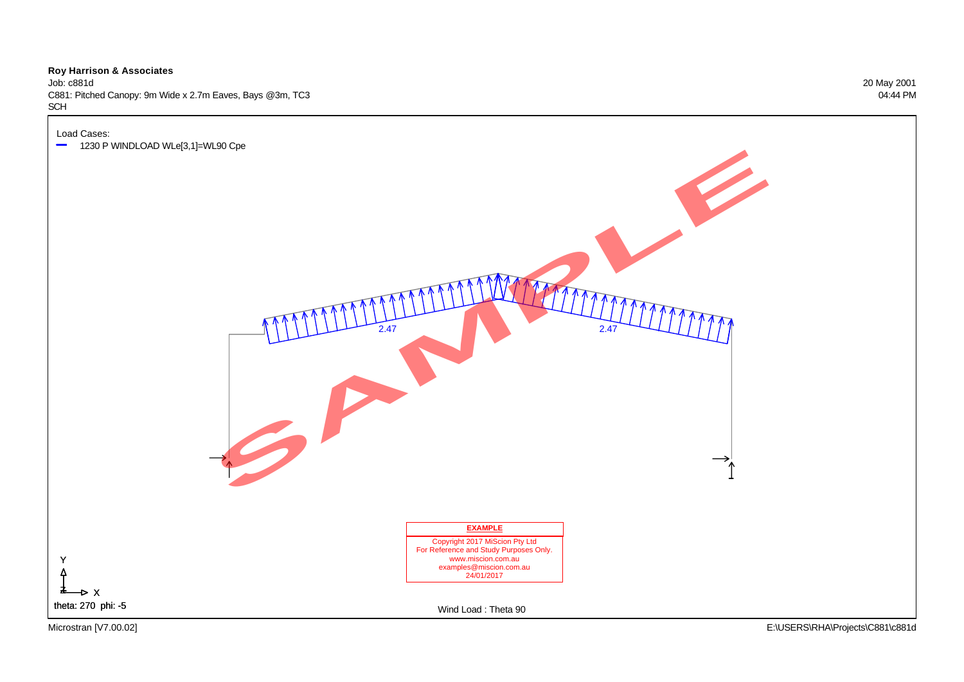Job: c881d 20 May 2001 C881: Pitched Canopy: 9m Wide x 2.7m Eaves, Bays @3m, TC3 04:44 PM SCH

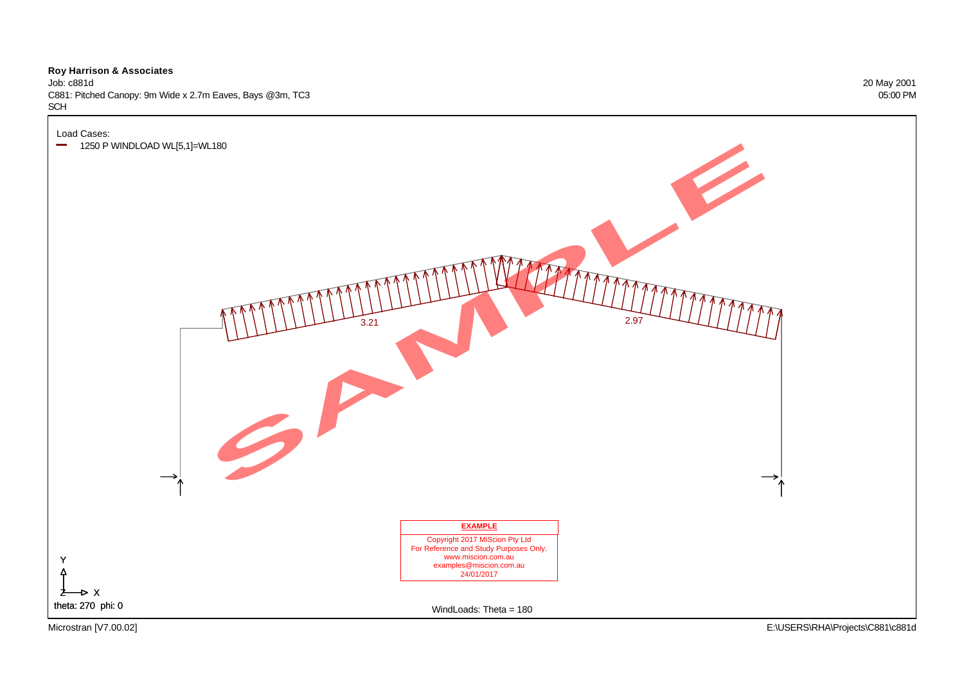Job: c881d 20 May 2001 C881: Pitched Canopy: 9m Wide x 2.7m Eaves, Bays @3m, TC3 05:00 PM SCH

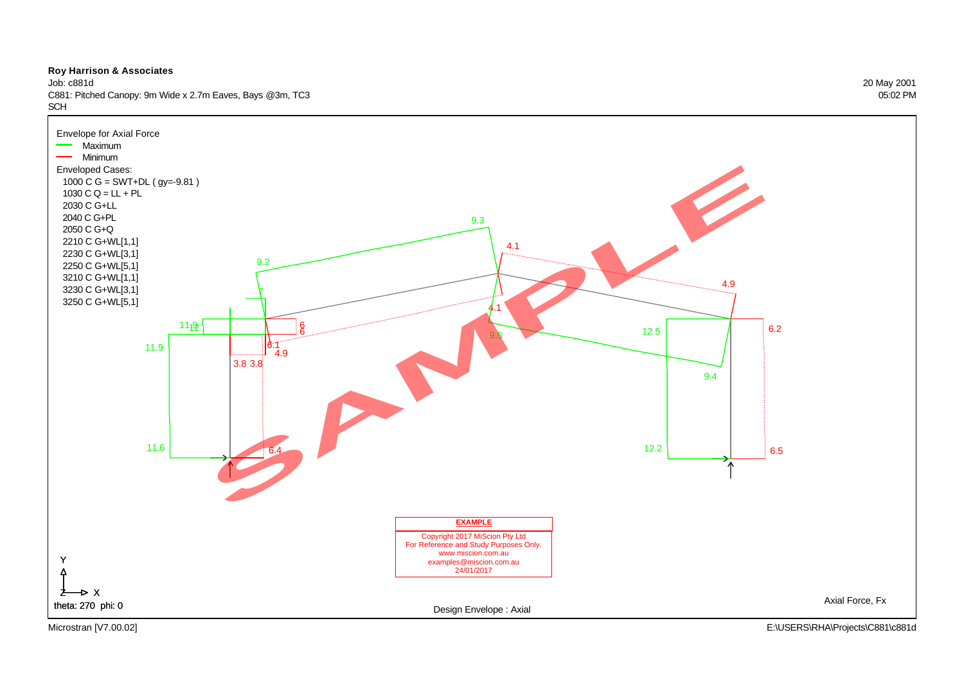

Job: c881d 20 May 2001 C881: Pitched Canopy: 9m Wide x 2.7m Eaves, Bays @3m, TC3 05:02 PM **SCH** 

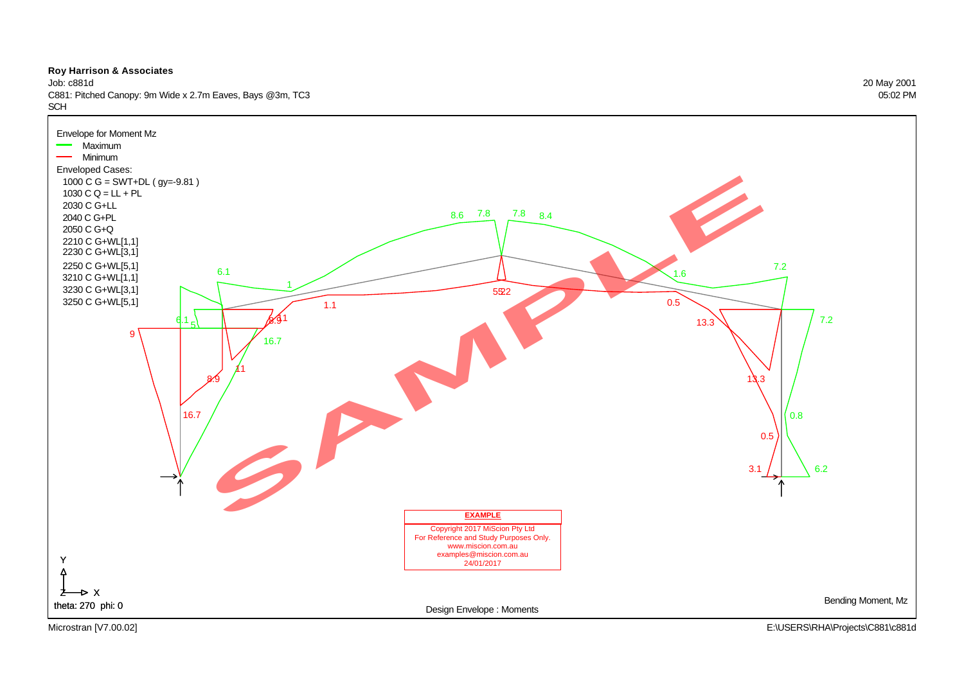

Job: c881d 20 May 2001 C881: Pitched Canopy: 9m Wide x 2.7m Eaves, Bays @3m, TC3 05:02 PM **SCH** 

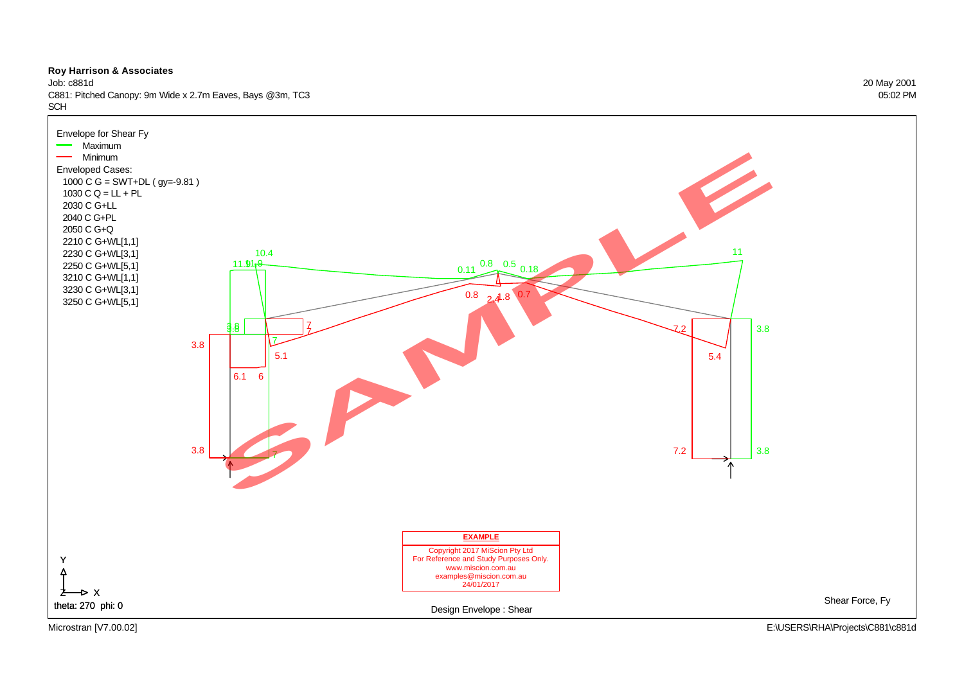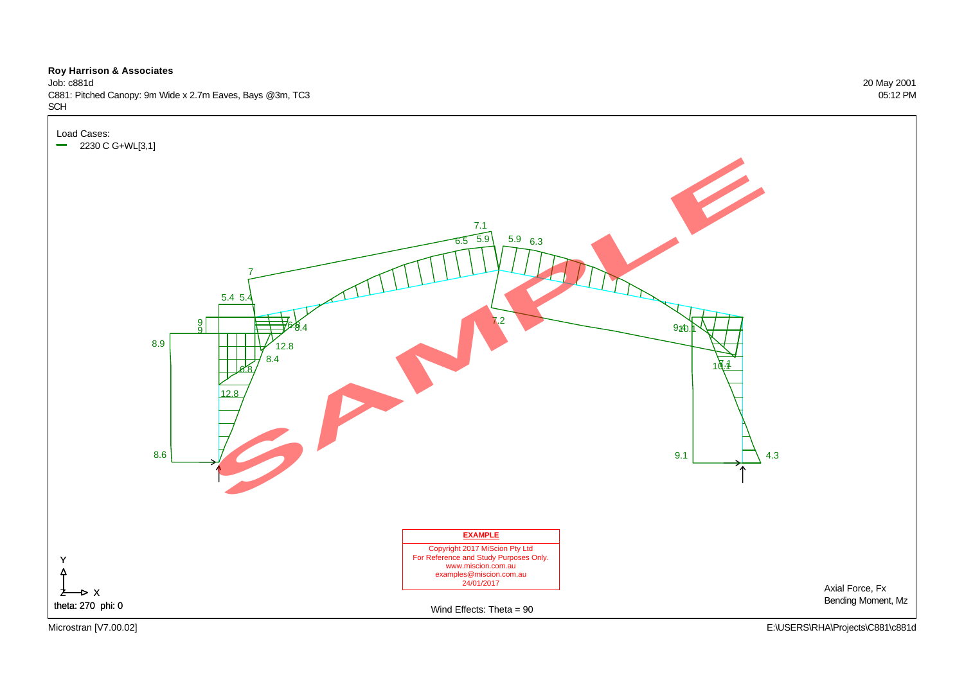Job: c881d 20 May 2001 C881: Pitched Canopy: 9m Wide x 2.7m Eaves, Bays @3m, TC3 05:12 PM

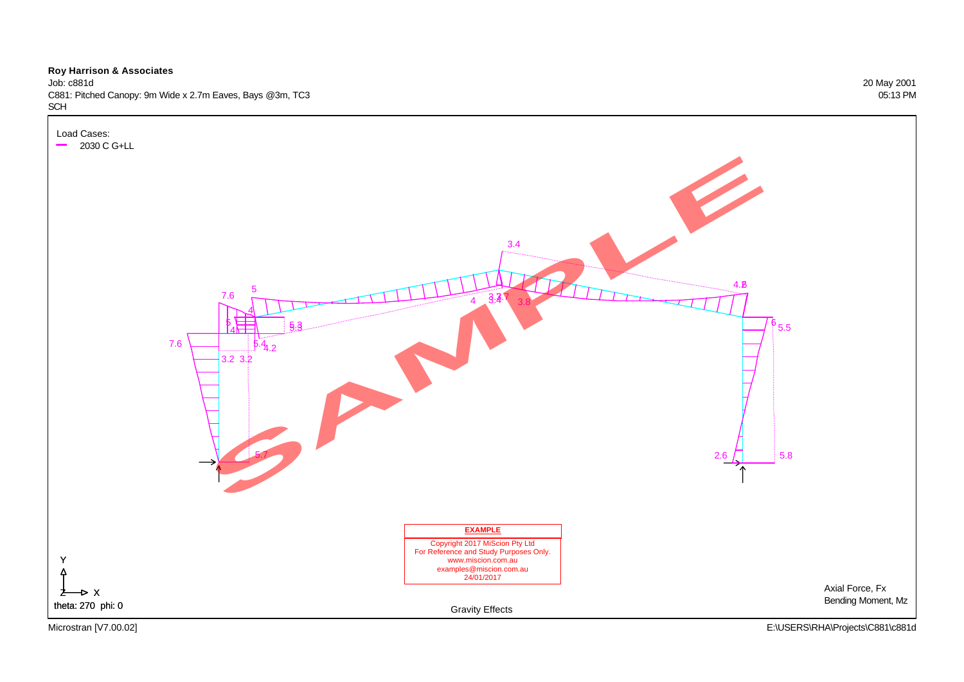Job: c881d 20 May 2001 C881: Pitched Canopy: 9m Wide x 2.7m Eaves, Bays @3m, TC3 05:13 PM SCH

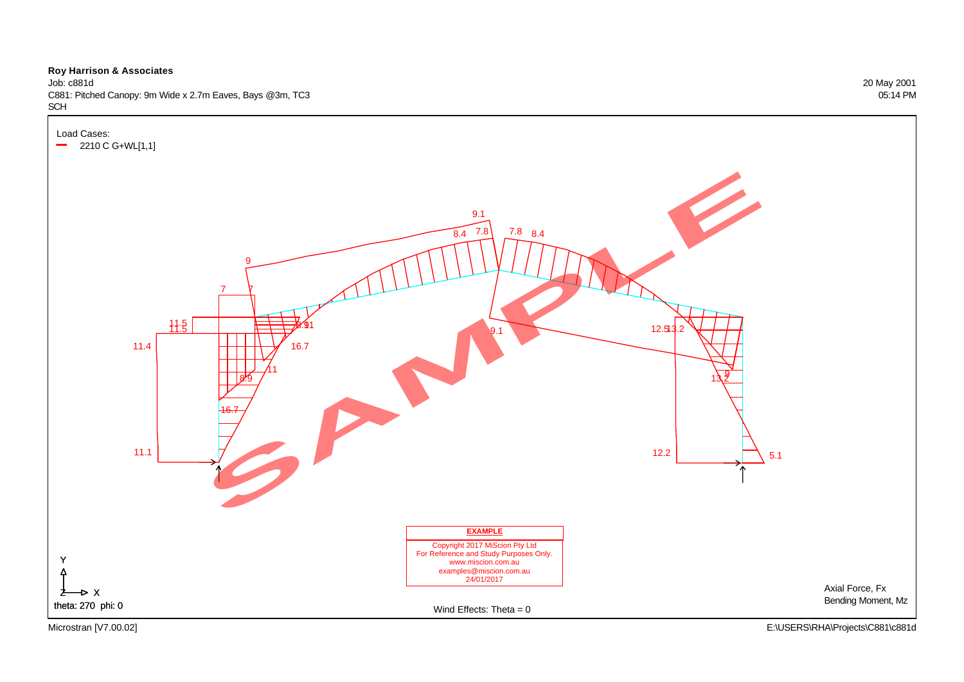Job: c881d 20 May 2001 C881: Pitched Canopy: 9m Wide x 2.7m Eaves, Bays @3m, TC3 05:14 PM

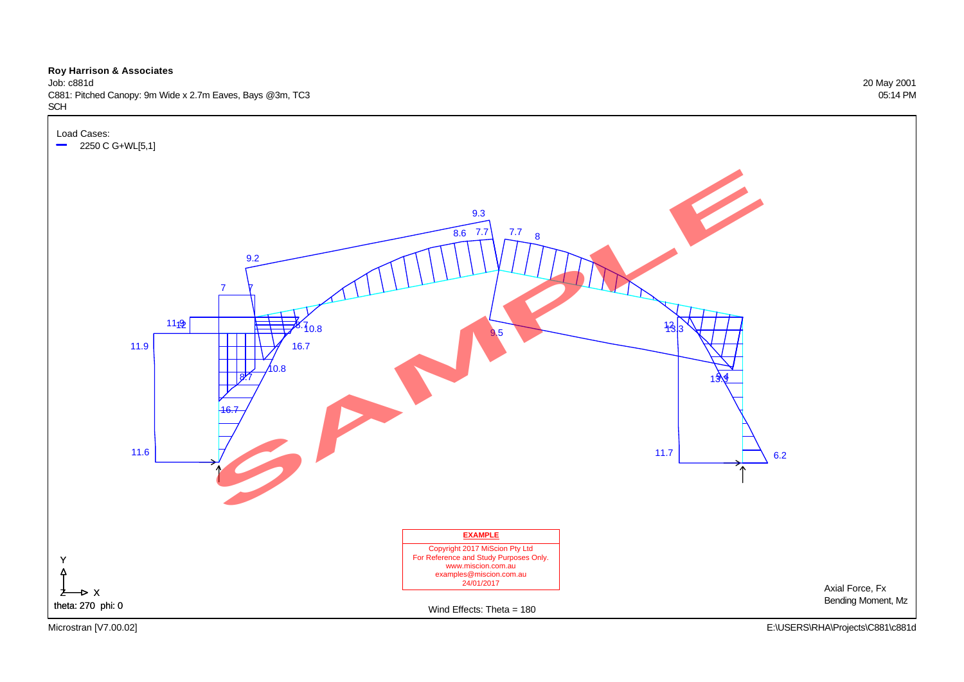Job: c881d 20 May 2001 C881: Pitched Canopy: 9m Wide x 2.7m Eaves, Bays @3m, TC3 05:14 PM

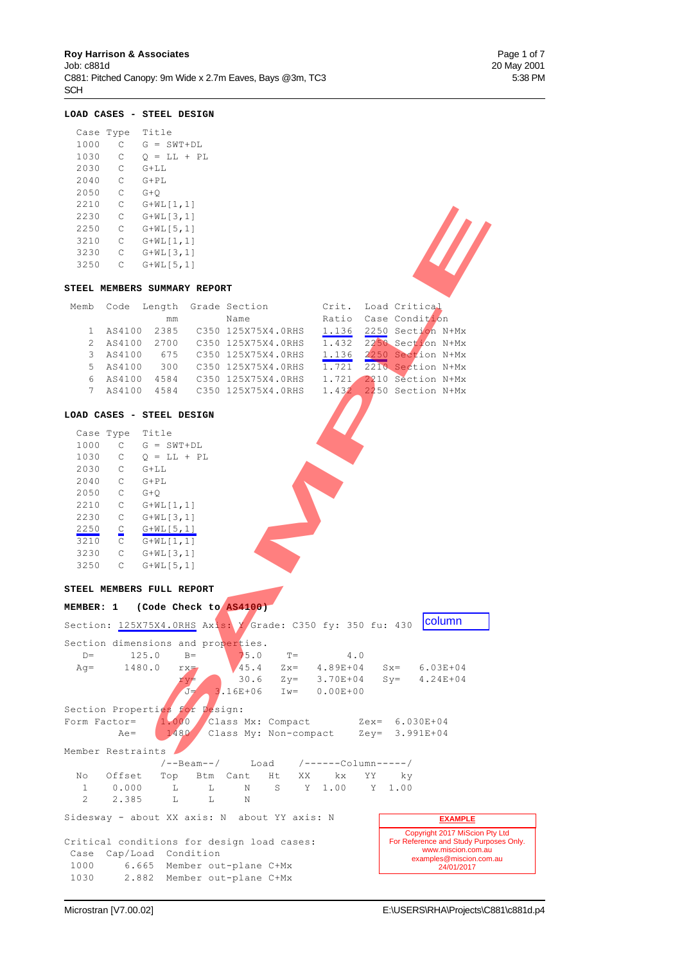## **LOAD CASES - STEEL DESIGN**

| Case Type |   | Title          |
|-----------|---|----------------|
| 1000      | C | $G = SWT + DL$ |
| 1030      | С | $O = LL + PL$  |
| 2030      | С | $G+L$ L        |
| 2040      | C | $G+PI.$        |
| 2050      | C | G+O            |
| 2210      | C | G+WL[1,1]      |
| 2230      | C | G+WL[3,1]      |
| 2250      | С | $G+WL$ [5,1]   |
| 3210      | C | G+WL[1,1]      |
| 3230      | C | $G+WLI$ 3, 11  |
| 3250      | C | $G+WL$ [5,1]   |
|           |   |                |

#### **STEEL MEMBERS SUMMARY REPORT**

| 3210           | $\mathbb{C}$    | $G+WL[1,1]$                  |                                |       |                         |  |
|----------------|-----------------|------------------------------|--------------------------------|-------|-------------------------|--|
| 3230           |                 | $C$ $G+WL[3,1]$              |                                |       |                         |  |
| 3250           |                 | $C$ $G+WL[5,1]$              |                                |       |                         |  |
|                |                 |                              |                                |       |                         |  |
|                |                 | STEEL MEMBERS SUMMARY REPORT |                                |       |                         |  |
| Memb           |                 |                              | Code Length Grade Section      |       | Crit. Load Critical     |  |
|                |                 | mm                           | Name                           |       | Ratio Case Condition    |  |
| $\mathbf{1}$   |                 |                              | AS4100 2385 C350 125X75X4.0RHS |       | 1.136 2250 Section N+Mx |  |
| $\overline{2}$ | AS4100          |                              |                                | 1.432 | 2250 Section N+Mx       |  |
| 3              | AS4100          |                              |                                |       | 1.136 2250 Section N+Mx |  |
| 5              |                 |                              | AS4100 300 C350 125X75X4.0RHS  | 1.721 | 2210 Section N+Mx       |  |
| 6              |                 |                              | AS4100 4584 C350 125X75X4.0RHS | 1.721 | 2210 Section N+Mx       |  |
| 7 <sup>1</sup> |                 |                              | AS4100 4584 C350 125X75X4.0RHS |       | 1.432 2250 Section N+Mx |  |
|                |                 |                              |                                |       |                         |  |
|                |                 | LOAD CASES - STEEL DESIGN    |                                |       |                         |  |
|                | Case Type Title |                              |                                |       |                         |  |
| 1000           |                 | $C$ $G = SWT + DL$           |                                |       |                         |  |
|                |                 | 1030 C $Q = LL + PL$         |                                |       |                         |  |
| 2030           | $C$ $G+LL$      |                              |                                |       |                         |  |
| 2040           | $\mathsf{C}$    | $G+PL$                       |                                |       |                         |  |
| 2050           | $\mathsf C$     | $G+O$                        |                                |       |                         |  |
| 2210           | $\mathsf{C}$    | $G+WL[1,1]$                  |                                |       |                         |  |
| 2230           | $\mathsf C$     | $G+WL[3,1]$                  |                                |       |                         |  |
| 2250           | $\subseteq$     | $G+WL[5,1]$                  |                                |       |                         |  |
| 3210           | $\mathsf{C}$    | $G+WL[1,1]$                  |                                |       |                         |  |
| 3230           | $\mathbb C$     | $G+WL[3,1]$                  |                                |       |                         |  |
| 3250           | $\mathsf C$     | $G+WL$ [5,1]                 |                                |       |                         |  |
|                |                 |                              |                                |       |                         |  |
| <b>CRRET</b>   |                 | MEMBERG EIITT BEROPE         |                                |       |                         |  |

#### **LOAD CASES - STEEL DESIGN**

| Case Type |             | Title         |
|-----------|-------------|---------------|
| 1000      | С           | $G = SWT+DL$  |
| 1030      | С           | $O = LL + PL$ |
| 2030      | C           | $G+L$         |
| 2040      | C           | $G+PL$        |
| 2050      | C           | $G+O$         |
| 2210      | C           | G+WL[1,1]     |
| 2230      | С           | $G+WL[3,1]$   |
| 2250      | $\subseteq$ | $G+WL[5,1]$   |
| 3210      | C           | $G+WL[1,1]$   |
| 3230      | C           | $G+WL[3,1]$   |
| 3250      | С           | $G+WL$ [5,1]  |

#### **STEEL MEMBERS FULL REPORT**

|             | MEMBER: 1 (Code Check to AS4100)                            |        |                         |           |                                                                       |                                                                                                |  |
|-------------|-------------------------------------------------------------|--------|-------------------------|-----------|-----------------------------------------------------------------------|------------------------------------------------------------------------------------------------|--|
|             | Section: 125X75X4.0RHS Axis: Y Grade: C350 fy: 350 fu: 430  |        |                         |           |                                                                       | column                                                                                         |  |
| $D =$       | Section dimensions and properties.<br>125.0                 | $B=$   | 75.0                    | $T = 4.0$ |                                                                       |                                                                                                |  |
|             | $Aq = 1480.0$                                               | $rx =$ |                         |           |                                                                       | $45.4$ $Zx = 4.89E+04$ $Sx = 6.03E+04$                                                         |  |
|             |                                                             | ry≠    |                         |           |                                                                       | $30.6$ $Zy = 3.70E+04$ $Sy = 4.24E+04$                                                         |  |
|             |                                                             | $J =$  | $3.16E+06$ Iw= 0.00E+00 |           |                                                                       |                                                                                                |  |
|             | Section Properties for Design:                              |        |                         |           |                                                                       |                                                                                                |  |
|             | Form Factor= $1.000$                                        |        |                         |           | Class Mx: Compact Zex= 6.030E+04                                      |                                                                                                |  |
|             | $Ae=$                                                       | 1480   |                         |           | Class My: Non-compact Zey= 3.991E+04                                  |                                                                                                |  |
|             | Member Restraints                                           |        |                         |           |                                                                       |                                                                                                |  |
|             |                                                             |        |                         |           | $\left/$ --Beam-- $\right/$ Load $\left/$ ------Column----- $\right/$ |                                                                                                |  |
| No          | Offset Top Btm Cant Ht XX kx                                |        |                         |           | YY ky                                                                 |                                                                                                |  |
| 1           | $0.000$ L L                                                 |        |                         |           | N S Y 1.00 Y 1.00                                                     |                                                                                                |  |
| $2^{\circ}$ | $2.385$ L L                                                 |        | N                       |           |                                                                       |                                                                                                |  |
|             | Sidesway - about XX axis: N about YY axis: N                |        |                         |           |                                                                       | <b>EXAMPLE</b>                                                                                 |  |
|             | Critical conditions for design load cases:                  |        |                         |           |                                                                       | Copyright 2017 MiScion Pty Ltd<br>For Reference and Study Purposes Only.<br>www.miscion.com.au |  |
|             | Case Cap/Load Condition<br>1000 6.665 Member out-plane C+Mx |        |                         |           |                                                                       | examples@miscion.com.au<br>24/01/2017                                                          |  |
|             | 1030 2.882 Member out-plane C+Mx                            |        |                         |           |                                                                       |                                                                                                |  |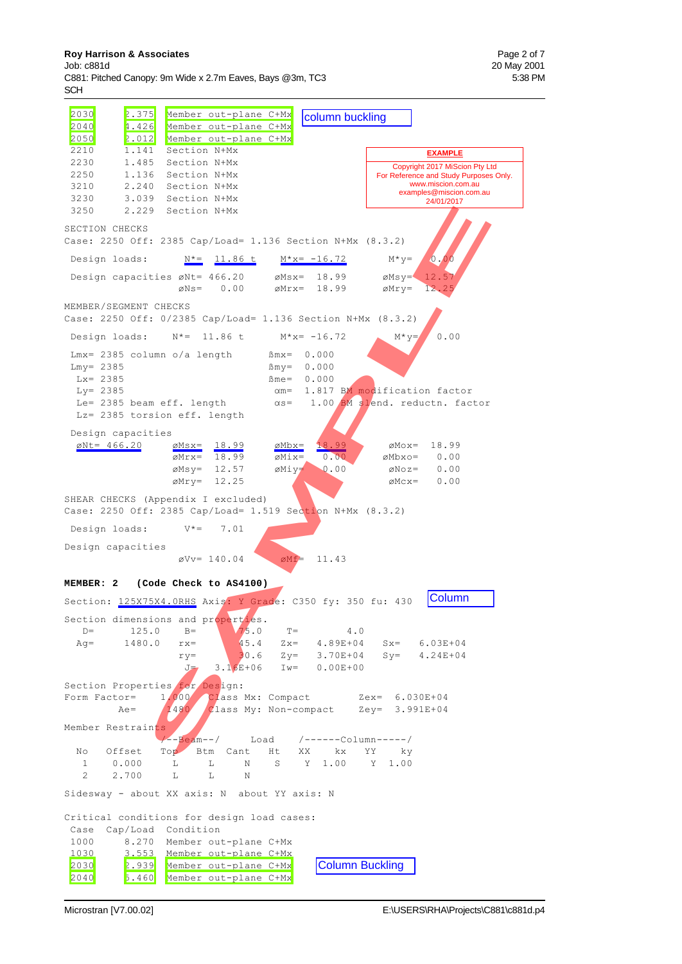#### **Roy Harrison & Associates Page 2 of 7 Page 2 of 7 Page 2 of 7 Page 2 of 7 Page 2 of 7**

Job: c881d 20 May 2001 C881: Pitched Canopy: 9m Wide x 2.7m Eaves, Bays @3m, TC3 5:38 PM **SCH** 

2030 2.375 Member out-plane C+Mx<br>2040 4.426 Member out-plane C+Mx 1.426 Member out-plane C+Mx<br>2.012 Member out-plane C+Mx 2050 2.012 Member out-plane C+Mx 2210 1.141 Section N+Mx 2230 1.485 Section N+Mx 2250 1.136 Section N+Mx 3210 2.240 Section N+Mx 3230 3.039 Section N+Mx 3250 2.229 Section N+Mx SECTION CHECKS Case: 2250 Off: 2385 Cap/Load= 1.136 Section N+Mx (8.3.2) Design loads:  $N^* = 11.86$  t  $M^*x = -16.72$   $M^*y = 0.00$ Design capacities  $\varnothing$ Nt= 466.20  $\varnothing$ Msx= 18.99  $\varnothing$ Msy= 12.5  $\varnothing$ Ns= 0.00  $\varnothing$ Mrx= 18.99  $\varnothing$ Mry= 12 MEMBER/SEGMENT CHECKS Case: 2250 Off: 0/2385 Cap/Load= 1.136 Section N+Mx (8.3.2) Design loads:  $N^* = 11.86$  t  $M^*x = -16.72$   $M^*y = 0.00$  $Lmx = 2385$  column o/a length  $Mmx = 0.000$  $Lmy = 2385$   $Bmy = 0.000$  $Lx = 2385$   $\text{Bme} = 0.000$ Ly= 2385  $\alpha$ m= 1.817 BM modification factor<br>Le= 2385 beam eff. length  $\alpha$ s= 1.00 BM slend. reductn. fac  $\alpha$ s= 1.00 BM slend. reductn. factor Lz= 2385 torsion eff. length Design capacities  $\phi$ Nt= 466.20  $\phi$ Msx= 18.99  $\phi$ Mbx= 18.99  $\phi$ Mox= 18.99  $\varnothing$ Mrx= 18.99  $\varnothing$ Mix= 0.00  $\varnothing$ Mbxo= 0.00  $\emptyset$ Msy= 12.57  $\emptyset$ Miy= 0.00  $\emptyset$ Noz= 0.00  $\varnothing$ Mry= 12.25  $\varnothing$ Mcx= 0.00 SHEAR CHECKS (Appendix I excluded) Case: 2250 Off: 2385 Cap/Load= 1.519 Section N+Mx (8.3.2) Design loads:  $V^* = 7.01$ Design capacities  $\text{C}Vv= 140.04$   $\text{C}Mf= 11.43$ **MEMBER: 2 (Code Check to AS4100)** Section: 125X75X4.0RHS Axis: Y Grade: C350 fy: 350 fu: 430 Section dimensions and properties. D=  $125.0$  B=  $\sqrt{75.0}$  T=  $4.0$ Ag= 1480.0 rx=  $45.4$  Zx= 4.89E+04 Sx= 6.03E+04  $ry=$  30.6  $Zy=$  3.70E+04  $Sy=$  4.24E+04 J= 3.16E+06 Iw= 0.00E+00 Section Properties for Design:<br>Form Factor= 1.000 Class Form Factor=  $1.000$  Class Mx: Compact  $2ex= 6.030E+04$ <br>Ae=  $1480$  Class My: Non-compact  $2ey= 3.991E+04$  $Ae=$  1480 Class My: Non-compact Zey= 3.991E+04 Member Restraints /--Beam--/ Load /------Column-----/ No Offset Top Btm Cant Ht XX kx YY ky<br>1 0.000 L L N S Y 1.00 Y 1.00 1 0.000 L L N S Y 1.00 Y 1.00 2 2.700 L L N Sidesway - about XX axis: N about YY axis: N Critical conditions for design load cases: Case Cap/Load Condition 1000 8.270 Member out-plane C+Mx 1030 3.553 Member out-plane C+Mx 2030 2.939 Member out-plane C+Mx 2040 5.460 Member out-plane C+Mx Copyright 2017 Mission<br>
For Reference and Study P( $\frac{EXAMPLE}{18.99}$ <br>
Copyright 2017 Mission<br>
examples@mission.com<br>
examples@mission.com<br>
24/01/2017<br>
tion N+Mx (8.3.2)<br>
-16.72<br>
18.99  $\omega M y = 12.57$ <br>
18.99  $\omega M y = 12.57$ <br>
18.99 Column Buckling Copyright 2017 MiScion Pty Ltd For Reference and Study Purposes Only. www.miscion.com.au examples@miscion.com.au 24/01/2017 **EXAMPLE** 3<br>
Section NHX<br>
1: 2385 Cap/Load= 1.136 Section NHX<br>
1: 2385 Cap/Load= 1.136 Section NHX<br>
1:  $\frac{N^* = 11.56 \text{ t}}{60.2365}$  Cap/Load= 1.136 Section NHX<br>
collection Sexter 18.93<br>
collection NHX<br>
collection NHX<br>
collection NH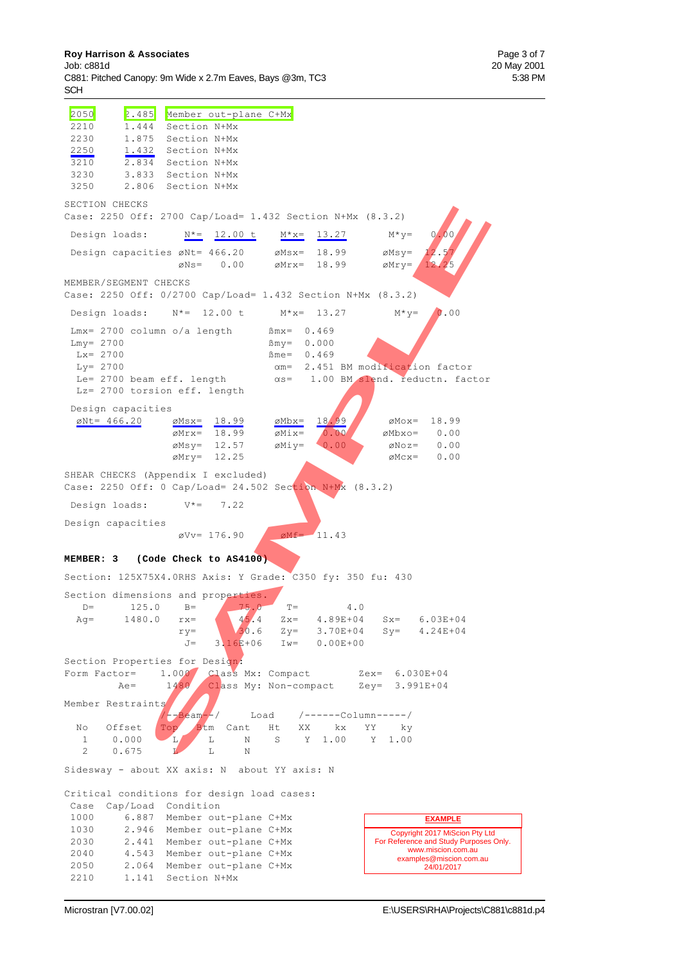#### **Roy Harrison & Associates Page 3 of 7 Page 3 of 7 Page 3 of 7 Page 3 of 7 Page 3 of 7 Page 3 of 7**

Job: c881d 20 May 2001 C881: Pitched Canopy: 9m Wide x 2.7m Eaves, Bays @3m, TC3 5:38 PM **SCH** 

 2050 2.485 Member out-plane C+Mx 2210 1.444 Section N+Mx 2230 1.875 Section N+Mx 2250 1.432 Section N+Mx 3210 2.834 Section N+Mx 3230 3.833 Section N+Mx 3250 2.806 Section N+Mx SECTION CHECKS Case: 2250 Off: 2700 Cap/Load= 1.432 Section N+Mx (8.3.2) Design loads:  $N^* = 12.00 \text{ t}$   $M^*x = 13.27$   $M^*y = 0.00$ Design capacities  $\emptyset$ Nt= 466.20  $\emptyset$ Msx= 18.99  $\emptyset$ Msy= 12.5  $\emptyset$ Ns= 0.00  $\emptyset$ Mrx= 18.99  $\emptyset$ Mry= 12.25 MEMBER/SEGMENT CHECKS Case: 2250 Off: 0/2700 Cap/Load= 1.432 Section N+Mx (8.3.2) Design loads:  $N^* = 12.00 \text{ t}$   $M^*x = 13.27$   $M^*y = 0.00$  $Lmx = 2700$  column o/a length  $Bmx = 0.469$  $Lmy = 2700$   $\text{Bmy} = 0.000$  $Lx = 2700$   $\text{m}e = 0.469$  $Ly= 2700$   $\alpha m= 2.451$  BM modification factor Le= 2700 beam eff. length  $\alpha s= 1.00$  BM slend. reductn. factor Lz= 2700 torsion eff. length Design capacities  $\phi$ Nt= 466.20  $\phi$ Msx= 18.99  $\phi$ Mbx= 18.99  $\phi$ Mox= 18.99  $\overline{\omega Mrx} = \overline{18.99}$   $\overline{\omega Mix} = \overline{0.00}$   $\omega Mbxo = 0.00$  $\emptyset$ Msy= 12.57  $\emptyset$ Miy= 0.00  $\emptyset$ Noz= 0.00  $\varnothing$ Mry= 12.25  $\varnothing$ Mcx= 0.00 SHEAR CHECKS (Appendix I excluded) Case: 2250 Off: 0 Cap/Load= 24.502 Section N+Mx (8.3.2) Design loads: V\*= 7.22 Design capacities  $\text{ov} = 176.90$   $\text{OMf} = 11.43$ **MEMBER: 3 (Code Check to AS4100)** Section: 125X75X4.0RHS Axis: Y Grade: C350 fy: 350 fu: 430 Section dimensions and properties. D= 125.0 B= 75.0 T= 4.0<br>Ag= 1480.0 rx=  $45.4$  Zx= 4.89E+04 Ag= 1480.0 rx= 45.4 Zx= 4.89E+04 Sx= 6.03E+04  $ry=$  3.70E+04 Sy= 4.24E+04  $J = 3.16E+06$   $Iw = 0.00E+00$ Section Properties for Design: Form Factor= 1.000 Class Mx: Compact Zex= 6.030E+04 Ae= 1480 Class My: Non-compact Zey= 3.991E+04 Member Restraints<br>//-Beam--/ Load /------Column-----/<br>nt Ht XX kx YY ky No Offset Top Btm Cant Ht 1 0.000 L L N S Y 1.00 Y 1.00 2 0.675 **L** L N Sidesway - about XX axis: N about YY axis: N Critical conditions for design load cases: Case Cap/Load Condition 1000 6.887 Member out-plane C+Mx 1030 2.946 Member out-plane C+Mx 2030 2.441 Member out-plane C+Mx 2040 4.543 Member out-plane C+Mx 2050 2.064 Member out-plane C+Mx 2210 1.141 Section N+Mx Copyright 2017 MiScion Pty Ltd For Reference and Study Purposes Only. www.miscion.com examples@miscion.com.au 24/01/2017 **EXAMPLE** 5: 2700 Cap/Load = 1.432 Section NH2x (8.3.2)<br>
SAMPLE SAMPLE SAMPLE 200 EXAMPLE 2010 EXAMPLE 2010<br>
ETHE SAMPLE 200 EXAMPLE 2013<br>
ETHE SAMPLE 200 EXAMPLE 2013<br>
CHECKS<br>
SAMPLE CAPS CONDICATE 1.432 Section NH2x (8.3.2)<br>
CHEC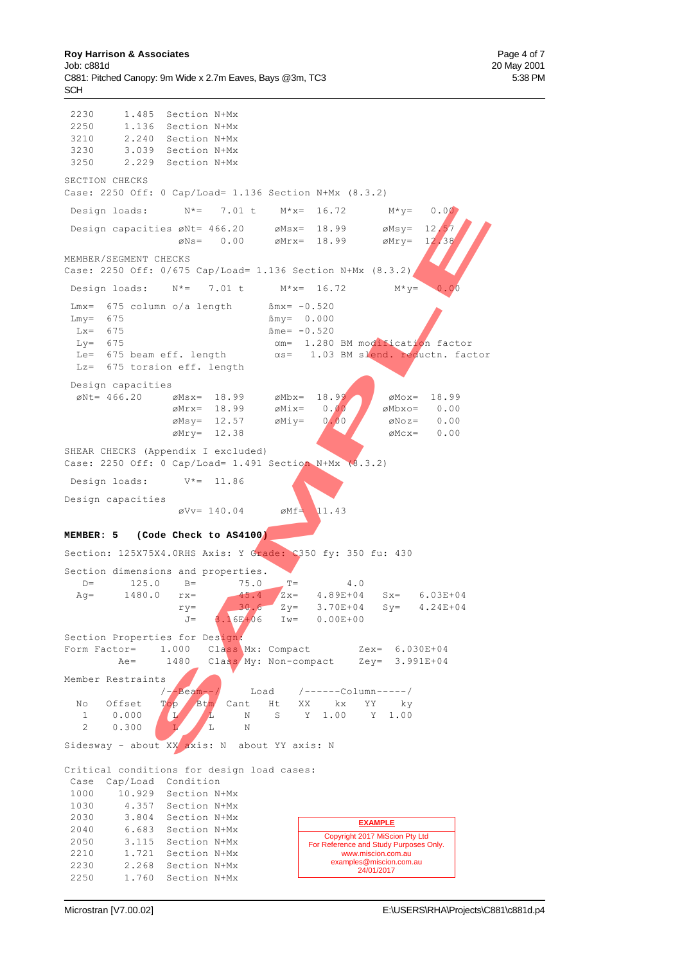2230 1.485 Section N+Mx 2250 1.136 Section N+Mx 3210 2.240 Section N+Mx 3230 3.039 Section N+Mx 3250 2.229 Section N+Mx SECTION CHECKS Case: 2250 Off: 0 Cap/Load= 1.136 Section N+Mx (8.3.2) Design loads:  $N^* = 7.01 \text{ t}$   $M^*x = 16.72$   $M^*y = 0.00$ Design capacities  $\varnothing$ Nt= 466.20  $\varnothing$ Msx= 18.99  $\varnothing$ Msy= 12.57  $\emptyset$ Ns= 0.00  $\emptyset$ Mrx= 18.99  $\emptyset$ Mry= 12.38 MEMBER/SEGMENT CHECKS Case: 2250 Off: 0/675 Cap/Load= 1.136 Section N+Mx (8.3.2) Design loads:  $N^*=$  7.01 t  $M^*x=$  16.72  $M^*y=$ Lmx=  $675$  column o/a length  $\text{Bmx} = -0.520$  $Lmv = 675$   $\text{Bmv} = 0.000$  $Lx = 675$   $Bme = -0.520$  $Ly=$  675  $\alpha m=$  1.280 BM modification factor Le=  $675$  beam eff. length  $\alpha s= 1.03$  BM slend. reductn. factor Lz= 675 torsion eff. length Design capacities  $\phi$ Nt= 466.20  $\phi$ Msx= 18.99  $\phi$ Mbx= 18.99  $\phi$ Mox= 18.99  $\phi$ Mbxo= 0.00  $\emptyset$ Mix= 0.00  $\emptyset$   $\emptyset$ Mbxo= 0.00  $\emptyset$ Msy= 12.57  $\emptyset$ Miy= 0.00  $\emptyset$ Noz= 0.00  $\emptyset$ Mry= 12.38  $\emptyset$ Mcx= 0.00 SHEAR CHECKS (Appendix I excluded) Case: 2250 Off: 0 Cap/Load= 1.491 Section N+Mx (8.3.2) Design loads: V\*= 11.86 Design capacities  $\varnothing$ Vv= 140.04  $\varnothing$ Mf= 11.43 **MEMBER: 5 (Code Check to AS4100)** Section: 125X75X4.0RHS Axis: Y Grade: C350 fy: 350 fu: 430 Section dimensions and properties.  $D=$  125.0  $B=$  75.0  $T=$  4.0 Ag= 1480.0  $rx =$  45.4  $Zx =$  4.89E+04 Sx= 6.03E+04<br>  $xy =$  30.6  $Zy =$  3.70E+04 Sy= 4.24E+04  $ry=$  30.6  $Zy=$  3.70E+04  $Sy=$  4.24E+04  $J=$  3.16E+06 Iw= 0.00E+00 Section Properties for Design; Form Factor= 1.000 Class Mx: Compact 2ex= 6.030E+04<br>Ae= 1480 Class My: Non-compact 2ey= 3.991E+04 Ae= 1480 Class My: Non-compact Member Restraints /--Beam--/ Load /------Column-----/ No Offset Top Btm Cant Ht XX kx YY ky 1 0.000 L L N S Y 1.00 Y 1.00 2 0.300 L L N Sidesway - about XX axis: N about YY axis: N Critical conditions for design load cases: Case Cap/Load Condition 1000 10.929 Section N+Mx 1030 4.357 Section N+Mx 2030 3.804 Section N+Mx 2040 6.683 Section N+Mx 2050 3.115 Section N+Mx 2210 1.721 Section N+Mx 2230 2.268 Section N+Mx 2250 1.760 Section N+Mx Copyright 2017 MiScion Pty Ltd For Reference and Study Purposes Only. www.miscion.com.au examples@miscion.com.au 24/01/2017 **EXAMPLE SAMPLE**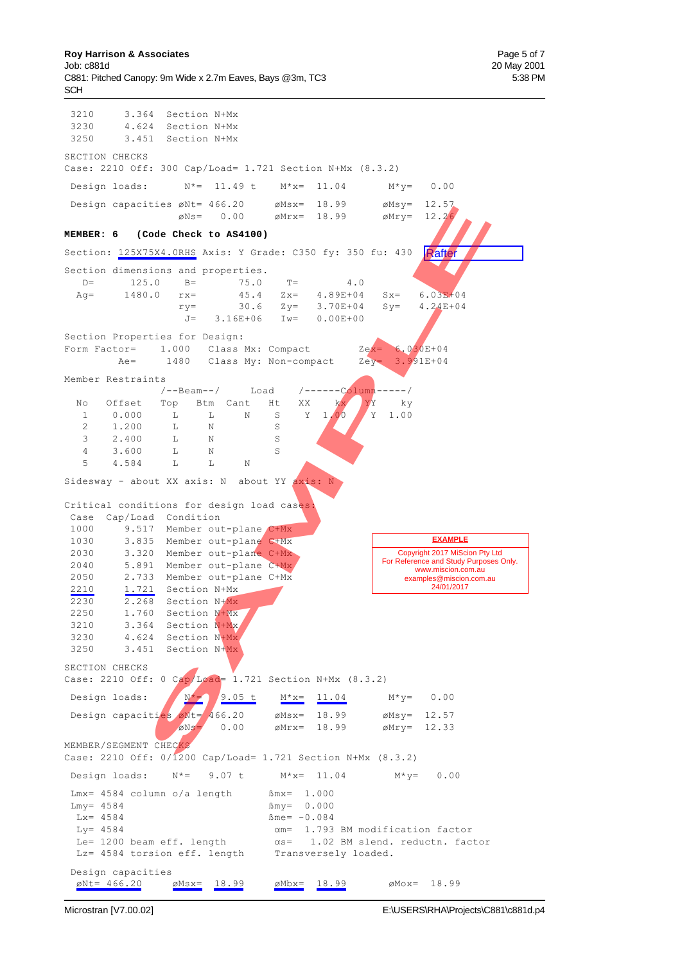3210 3.364 Section N+Mx 3230 4.624 Section N+Mx 3250 3.451 Section N+Mx SECTION CHECKS Case: 2210 Off: 300 Cap/Load= 1.721 Section N+Mx (8.3.2) Design loads:  $N^* = 11.49$  t  $M^*x = 11.04$   $M^*y = 0.00$ Design capacities  $\emptyset$ Nt= 466.20  $\emptyset$ Msx= 18.99  $\emptyset$ Msy= 12.26<br>  $\emptyset$ Ns= 0.00  $\emptyset$ Mrx= 18.99  $\emptyset$ Mry= 12.26  $\varnothing$ Ns= 0.00  $\varnothing$ Mrx= 18.99 **MEMBER: 6 (Code Check to AS4100)** Section: 125X75X4.0RHS Axis: Y Grade: C350 fy: 350 fu: 430 Section dimensions and properties.<br>D= 125.0 B= 75.0 D= 125.0 B= 75.0 T= 4.0<br>Aq= 1480.0 rx= 45.4 Zx= 4.89E+04 Ag= 1480.0 rx= 45.4 Zx= 4.89E+04 Sx= 6.03E+04  $ry=$  30.6  $Zy=$  3.70E+04  $Sy=$  4.24E+04 J= 3.16E+06 Iw= 0.00E+00 Section Properties for Design: Form Factor=  $1.000$  Class Mx: Compact  $Z_{ex} = 6.030E + 04$ Ae= 1480 Class My: Non-compact Zey= 3.991E+04 Member Restraints /--Beam--/ Load /------Column-----/ No Offset Top Btm Cant Ht XX kx YY ky 1 0.000 L L N S Y 1.00 Y 1.00 2 1.200 L N S 3 2.400 L N S 4 3.600 T. N S 5 4.584 L L N Sidesway - about XX axis: N about YY  $axis:$ Critical conditions for design load cases: Case Cap/Load Condition 1000 9.517 Member out-plane C+Mx 1030 3.835 Member out-plane C+Mx 2030 3.320 Member out-plane C+Mx 2040 5.891 Member out-plane C+Mx 2050 2.733 Member out-plane C+Mx 2210 1.721 Section N+Mx 2230 2.268 Section N+Mx 2250 1.760 Section N+Mx 3210 3.364 Section N+Mx 3230 4.624 Section N+Mx 3250 3.451 Section N+Mx SECTION CHECKS Case: 2210 Off: 0 Cap/Load= 1.721 Section N+Mx (8.3.2) Design loads:  $N^* = 9.05 \text{ t}$   $M^*x = 11.04$   $M^*y = 0.00$ Design capacities  $\omega$ Nt=  $\frac{1}{4}66.20$   $\omega$ Msx= 18.99  $\omega$ Msy= 12.57  $\oslash$  0.00  $\oslash$  Mrx= 18.99  $\oslash$  Mry= 12.33 MEMBER/SEGMENT CHECKS Case: 2210 Off: 0/1200 Cap/Load= 1.721 Section N+Mx (8.3.2) Design loads:  $N^* = 9.07$  t  $M^*x = 11.04$   $M^*y = 0.00$  $Lmx = 4584$  column o/a length  $Mmx = 1.000$  $Lmy = 4584$   $\text{Bmy} = 0.000$  $Lx = 4584$   $\text{Bme} = -0.084$ Ly=  $4584$   $\alpha$ m= 1.793 BM modification factor Le= 1200 beam eff. length  $\alpha s= 1.02$  BM slend. reductn. factor Lz= 4584 torsion eff. length Transversely loaded. Design capacities  $\text{\textsterling Nt} = 466.20$   $\text{\textsterling Ms}x = 18.99$   $\text{\textsterling Mb}x = 18.99$   $\text{\textsterling Mo}x = 18.99$ **Rafter** Copyright 2017 MiScion Pty Ltd For Reference and Study Purposes Only. www.miscion.com.au examples@miscion.com.au 24/01/2017 **EXAMPLE** 11.18 exter too.20 exter 16.99 extra 16.99 extry 12.2<br>
Code Check to A84100)<br>
Code Check to A84100)<br>
15.08 AMPLE<br>
15.08 and properties.<br>
15.08 and properties.<br>
16.08 and properties.<br>
17.0 and 2.9 3.70 and 3x 4.24844<br>
17.1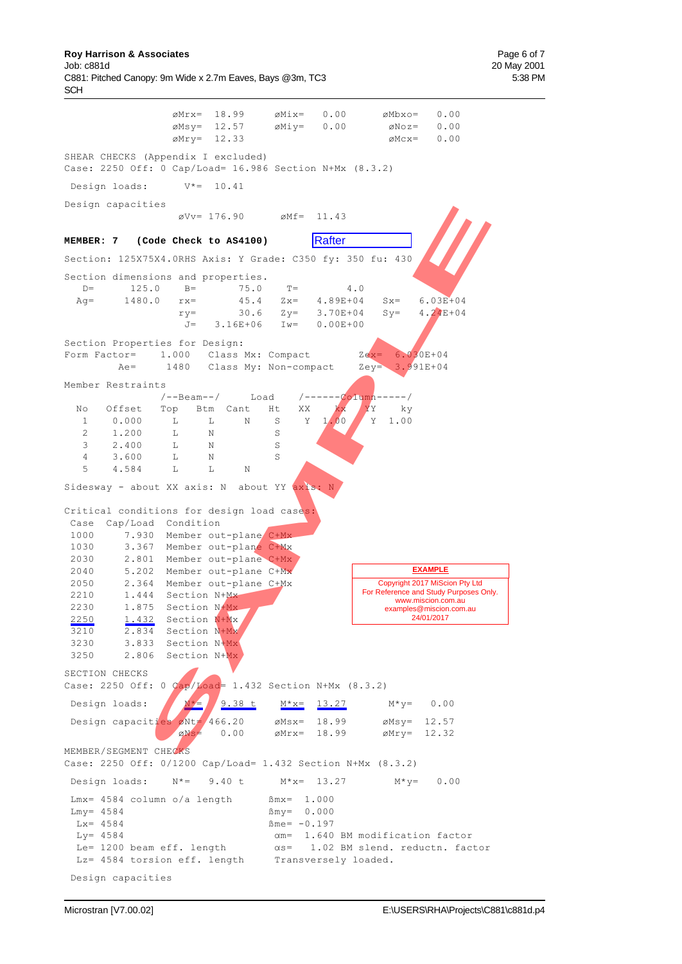|                                                                                                                                                                |                                | øMrx= 18.99<br>$\emptyset$ Msy= 12.57                      | øMix=<br>øMiy=                                   | 0.00<br>0.00             | $\emptyset$ Mbxo=<br>$\emptyset$ Noz=              | 0.00<br>0.00                                                 |
|----------------------------------------------------------------------------------------------------------------------------------------------------------------|--------------------------------|------------------------------------------------------------|--------------------------------------------------|--------------------------|----------------------------------------------------|--------------------------------------------------------------|
|                                                                                                                                                                | $\varnothing$ Mry= 12.33       |                                                            |                                                  |                          | $\emptyset$ Mcx=                                   | 0.00                                                         |
| SHEAR CHECKS (Appendix I excluded)<br>Case: 2250 Off: 0 Cap/Load= 16.986 Section N+Mx (8.3.2)                                                                  |                                |                                                            |                                                  |                          |                                                    |                                                              |
| Design loads:                                                                                                                                                  |                                | $V^* = 10.41$                                              |                                                  |                          |                                                    |                                                              |
| Design capacities                                                                                                                                              |                                |                                                            |                                                  |                          |                                                    |                                                              |
|                                                                                                                                                                |                                | $\varnothing$ Vv= 176.90 $\varnothing$ Mf=                 |                                                  | 11.43                    |                                                    |                                                              |
| MEMBER: 7 (Code Check to AS4100)                                                                                                                               |                                |                                                            |                                                  | Rafter                   |                                                    |                                                              |
| Section: 125X75X4.0RHS Axis: Y Grade: C350 fy: 350 fu: 430                                                                                                     |                                |                                                            |                                                  |                          |                                                    |                                                              |
| Section dimensions and properties.                                                                                                                             |                                |                                                            |                                                  |                          |                                                    |                                                              |
| 125.0<br>$D =$                                                                                                                                                 | $B =$                          | 75.0                                                       | $T =$                                            |                          | 4.0                                                |                                                              |
| 1480.0<br>$Aq =$                                                                                                                                               | $rx =$                         | 45.4                                                       |                                                  | $Zx = 4.89E + 04$        | $Sx =$                                             | $6.03E + 04$                                                 |
|                                                                                                                                                                | $ry =$                         |                                                            | $30.6$ $Zy=$                                     | 3.70E+04                 | $Sy =$                                             | $4.24E+04$                                                   |
|                                                                                                                                                                | $J =$                          | $3.16E + 06$ Iw=                                           |                                                  | $0.00E + 00$             |                                                    |                                                              |
| Section Properties for Design:                                                                                                                                 |                                |                                                            |                                                  |                          |                                                    |                                                              |
| Form Factor=                                                                                                                                                   |                                | 1.000 Class Mx: Compact                                    |                                                  |                          | $Zex = 6.030E + 04$                                |                                                              |
| $Ae =$                                                                                                                                                         |                                | 1480 Class My: Non-compact                                 |                                                  |                          | $Zey = 3.991E+04$                                  |                                                              |
| Member Restraints                                                                                                                                              |                                |                                                            |                                                  |                          |                                                    |                                                              |
|                                                                                                                                                                | /--Beam--/                     |                                                            | Load                                             |                          | /------Column-----/                                |                                                              |
| Offset<br>No                                                                                                                                                   | Top                            | Btm Cant                                                   | Ht<br>ХX                                         | kx                       | YY<br>ky                                           |                                                              |
| 0.000<br>$\mathbf{1}$                                                                                                                                          | L                              | L<br>Ν                                                     | Υ<br>S                                           | 1.00                     | Y<br>1.00                                          |                                                              |
| 1.200<br>2<br>3<br>2.400                                                                                                                                       | L<br>L                         | N<br>Ν                                                     | S<br>S                                           |                          |                                                    |                                                              |
| $\overline{4}$<br>3.600                                                                                                                                        | L                              | Ν                                                          | S                                                |                          |                                                    |                                                              |
| 5<br>4.584                                                                                                                                                     | L                              | L<br>N                                                     |                                                  |                          |                                                    |                                                              |
|                                                                                                                                                                |                                |                                                            |                                                  |                          |                                                    |                                                              |
| Sidesway - about XX axis: N about YY axis: N                                                                                                                   |                                |                                                            |                                                  |                          |                                                    |                                                              |
| Critical conditions for design load cases:<br>Cap/Load Condition<br>Case<br>1000<br>1030                                                                       |                                | 7.930 Member out-plane C+Mx<br>3.367 Member out-plane C+Mx |                                                  |                          |                                                    |                                                              |
| 2030                                                                                                                                                           |                                | 2.801 Member out-plane C+Mx                                |                                                  |                          |                                                    |                                                              |
| 2040                                                                                                                                                           |                                | 5.202 Member out-plane C+Mx                                |                                                  |                          |                                                    | <b>EXAMPLE</b>                                               |
| 2050                                                                                                                                                           |                                | 2.364 Member out-plane C+Mx                                |                                                  |                          |                                                    | Copyright 2017 MiScion Pty Ltd                               |
| 2210                                                                                                                                                           | 1.444 Section N+Mx             |                                                            |                                                  |                          |                                                    | For Reference and Study Purposes Only.<br>www.miscion.com.au |
| 2230<br>1.875                                                                                                                                                  | Section N+Mx                   |                                                            |                                                  |                          |                                                    | examples@miscion.com.au                                      |
| 2250<br>1.432                                                                                                                                                  | Section N+Mx                   |                                                            |                                                  |                          |                                                    | 24/01/2017                                                   |
| 3210<br>2.834                                                                                                                                                  | Section N+Mx                   |                                                            |                                                  |                          |                                                    |                                                              |
| 3230                                                                                                                                                           | 3.833 Section N <sup>+Mx</sup> |                                                            |                                                  |                          |                                                    |                                                              |
| 3250                                                                                                                                                           | 2.806 Section N+Mx             |                                                            |                                                  |                          |                                                    |                                                              |
| SECTION CHECKS<br>Case: 2250 Off: 0 $Cap/Load = 1.432$ Section N+Mx (8.3.2)                                                                                    |                                |                                                            |                                                  |                          |                                                    |                                                              |
| Design loads:                                                                                                                                                  | $N^* =$                        | 9.38 t                                                     |                                                  | $M* x = 13.27$           | $M^*y = 0.00$                                      |                                                              |
| Design capacities øNt= 466.20                                                                                                                                  | øNs=                           | 0.00                                                       | $\varnothing$ Msx= 18.99                         | $\varnothing$ Mrx= 18.99 | $\emptyset$ Msy= 12.57<br>$\varnothing$ Mry= 12.32 |                                                              |
| MEMBER/SEGMENT CHECKS<br>Case: 2250 Off: 0/1200 Cap/Load= 1.432 Section N+Mx (8.3.2)                                                                           |                                |                                                            |                                                  |                          |                                                    |                                                              |
| Design loads: $N*=9.40$ t                                                                                                                                      |                                |                                                            | $M* x = 13.27$                                   |                          |                                                    | $M*V = 0.00$                                                 |
| $Lmx = 4584$ column o/a length<br>$Lmy = 4584$<br>$Lx = 4584$<br>$Ly = 4584$<br>Le= 1200 beam eff. length<br>Lz= 4584 torsion eff. length Transversely loaded. |                                |                                                            | $Bmx = 1.000$<br>$Bmy = 0.000$<br>$Bme = -0.197$ |                          | $\alpha$ m= 1.640 BM modification factor           | $\alpha$ s= 1.02 BM slend. reductn. factor                   |
| Design capacities                                                                                                                                              |                                |                                                            |                                                  |                          |                                                    |                                                              |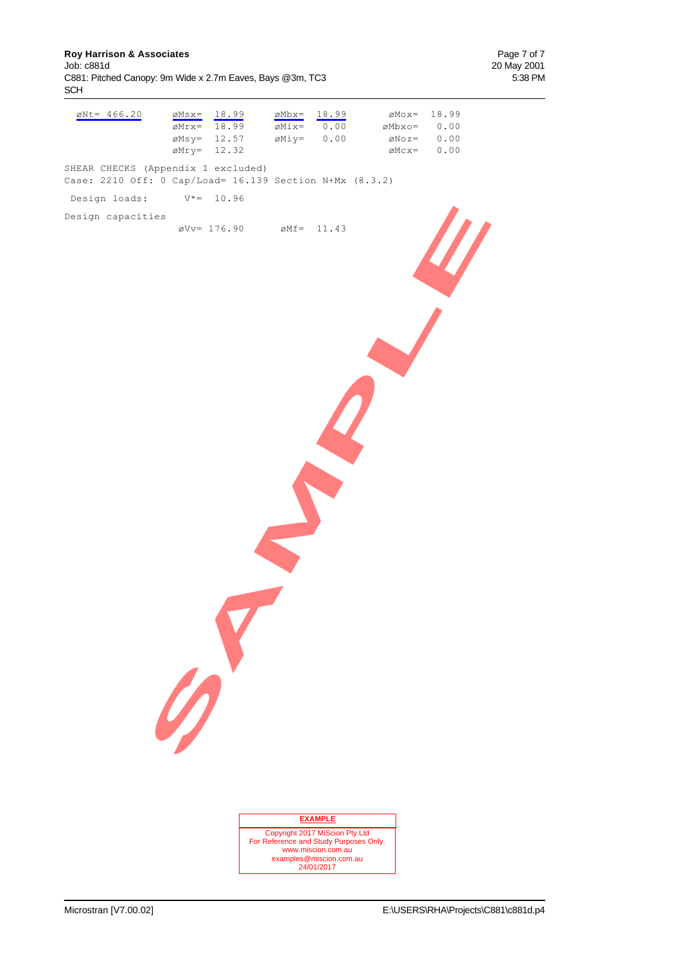**Roy Harrison & Associates Page 7 of 7**<br>
Job: c881d 20 May 2001 C881: Pitched Canopy: 9m Wide x 2.7m Eaves, Bays @3m, TC3 SCH

20 May 2001<br>5:38 PM

| $\emptyset$ Nt= 466.20                                                                        | $ØMsx=$<br>$\sqrt{\text{Mrx}}$<br>$\emptyset$ Msy= 12.57<br>$\emptyset$ Mry= 12.32 | 18.99<br>18.99                                   | $\emptyset$ Mbx=<br>$\emptyset$ Mix=<br>$\emptyset$ Miy= $0.00$          | 18.99<br>0.00      | øMbxo= | $\emptyset$ Mox= | 18.99<br>0.00<br>$\emptyset$ Noz= 0.00<br>$\emptyset$ Mcx= $0.00$ |  |
|-----------------------------------------------------------------------------------------------|------------------------------------------------------------------------------------|--------------------------------------------------|--------------------------------------------------------------------------|--------------------|--------|------------------|-------------------------------------------------------------------|--|
| SHEAR CHECKS (Appendix I excluded)<br>Case: 2210 Off: 0 Cap/Load= 16.139 Section N+Mx (8.3.2) |                                                                                    |                                                  |                                                                          |                    |        |                  |                                                                   |  |
| Design loads:                                                                                 | $V^* = 10.96$                                                                      |                                                  |                                                                          |                    |        |                  |                                                                   |  |
| Design capacities                                                                             |                                                                                    | $\varnothing$ Vv= 176.90 $\varnothing$ Mf= 11.43 |                                                                          |                    |        |                  |                                                                   |  |
|                                                                                               | $\mathscr{D}$                                                                      |                                                  |                                                                          |                    |        |                  |                                                                   |  |
|                                                                                               |                                                                                    |                                                  |                                                                          |                    |        |                  |                                                                   |  |
|                                                                                               |                                                                                    |                                                  |                                                                          |                    |        |                  |                                                                   |  |
|                                                                                               |                                                                                    |                                                  |                                                                          | <b>EXAMPLE</b>     |        |                  |                                                                   |  |
|                                                                                               |                                                                                    |                                                  | Copyright 2017 MiScion Pty Ltd<br>For Reference and Study Purposes Only. |                    |        |                  |                                                                   |  |
|                                                                                               |                                                                                    |                                                  | examples@miscion.com.au                                                  | www.miscion.com.au |        |                  |                                                                   |  |
|                                                                                               |                                                                                    |                                                  |                                                                          | 24/01/2017         |        |                  |                                                                   |  |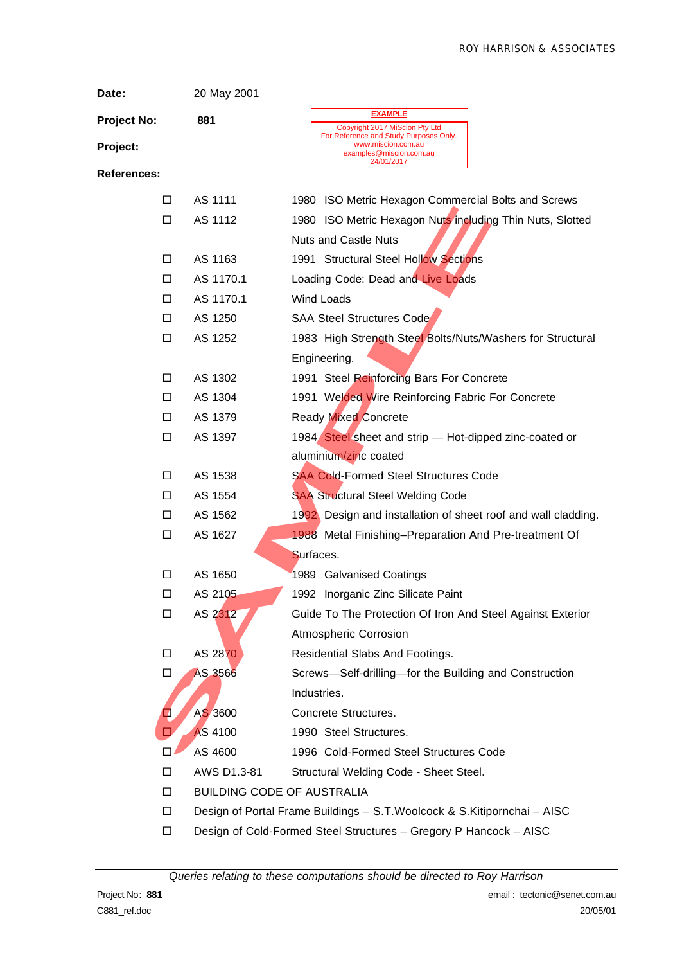| Date:              | 20 May 2001                       |                                                                                                                           |  |  |  |  |  |  |  |
|--------------------|-----------------------------------|---------------------------------------------------------------------------------------------------------------------------|--|--|--|--|--|--|--|
| <b>Project No:</b> | 881                               | <b>EXAMPLE</b>                                                                                                            |  |  |  |  |  |  |  |
| Project:           |                                   | Copyright 2017 MiScion Pty Ltd<br>For Reference and Study Purposes Only.<br>www.miscion.com.au<br>examples@miscion.com.au |  |  |  |  |  |  |  |
| <b>References:</b> |                                   | 24/01/2017                                                                                                                |  |  |  |  |  |  |  |
| □                  | AS 1111                           | 1980 ISO Metric Hexagon Commercial Bolts and Screws                                                                       |  |  |  |  |  |  |  |
| □                  | AS 1112                           | 1980 ISO Metric Hexagon Nuts including Thin Nuts, Slotted                                                                 |  |  |  |  |  |  |  |
|                    |                                   | <b>Nuts and Castle Nuts</b>                                                                                               |  |  |  |  |  |  |  |
| □                  | AS 1163                           | 1991 Structural Steel Hollow Sections                                                                                     |  |  |  |  |  |  |  |
| □                  | AS 1170.1                         | Loading Code: Dead and Live Loads                                                                                         |  |  |  |  |  |  |  |
| □                  | AS 1170.1                         | <b>Wind Loads</b>                                                                                                         |  |  |  |  |  |  |  |
| □                  | AS 1250                           | <b>SAA Steel Structures Code</b>                                                                                          |  |  |  |  |  |  |  |
| □                  | AS 1252                           | 1983 High Strength Steel Bolts/Nuts/Washers for Structural                                                                |  |  |  |  |  |  |  |
|                    |                                   | Engineering.                                                                                                              |  |  |  |  |  |  |  |
| □                  | AS 1302                           | 1991 Steel Reinforcing Bars For Concrete                                                                                  |  |  |  |  |  |  |  |
| □                  | AS 1304                           | 1991 Welded Wire Reinforcing Fabric For Concrete                                                                          |  |  |  |  |  |  |  |
| □                  | AS 1379                           | <b>Ready Mixed Concrete</b>                                                                                               |  |  |  |  |  |  |  |
| □                  | AS 1397                           | 1984 Steel sheet and strip - Hot-dipped zinc-coated or                                                                    |  |  |  |  |  |  |  |
|                    |                                   | aluminium/zinc coated                                                                                                     |  |  |  |  |  |  |  |
| □                  | AS 1538                           | <b>SAA Cold-Formed Steel Structures Code</b>                                                                              |  |  |  |  |  |  |  |
| □                  | AS 1554                           | <b>SAA Structural Steel Welding Code</b>                                                                                  |  |  |  |  |  |  |  |
| □                  | AS 1562                           | 1992. Design and installation of sheet roof and wall cladding.                                                            |  |  |  |  |  |  |  |
| □                  | AS 1627                           | 1988 Metal Finishing-Preparation And Pre-treatment Of                                                                     |  |  |  |  |  |  |  |
|                    |                                   | Surfaces.                                                                                                                 |  |  |  |  |  |  |  |
| □                  | AS 1650                           | 1989 Galvanised Coatings                                                                                                  |  |  |  |  |  |  |  |
| □                  | AS 2105                           | 1992 Inorganic Zinc Silicate Paint                                                                                        |  |  |  |  |  |  |  |
| □                  | AS 2312                           | Guide To The Protection Of Iron And Steel Against Exterior                                                                |  |  |  |  |  |  |  |
|                    |                                   | <b>Atmospheric Corrosion</b>                                                                                              |  |  |  |  |  |  |  |
| □                  | AS 2870                           | Residential Slabs And Footings.                                                                                           |  |  |  |  |  |  |  |
| □                  | AS 3566                           | Screws-Self-drilling-for the Building and Construction                                                                    |  |  |  |  |  |  |  |
|                    |                                   | Industries.                                                                                                               |  |  |  |  |  |  |  |
| Q                  | AS 3600                           | Concrete Structures.                                                                                                      |  |  |  |  |  |  |  |
| □                  | <b>AS 4100</b>                    | 1990 Steel Structures.                                                                                                    |  |  |  |  |  |  |  |
| П                  | AS 4600                           | 1996 Cold-Formed Steel Structures Code                                                                                    |  |  |  |  |  |  |  |
| □                  | AWS D1.3-81                       | Structural Welding Code - Sheet Steel.                                                                                    |  |  |  |  |  |  |  |
| □                  | <b>BUILDING CODE OF AUSTRALIA</b> |                                                                                                                           |  |  |  |  |  |  |  |
| □                  |                                   | Design of Portal Frame Buildings - S.T. Woolcock & S.Kitipornchai - AISC                                                  |  |  |  |  |  |  |  |
| □                  |                                   | Design of Cold-Formed Steel Structures - Gregory P Hancock - AISC                                                         |  |  |  |  |  |  |  |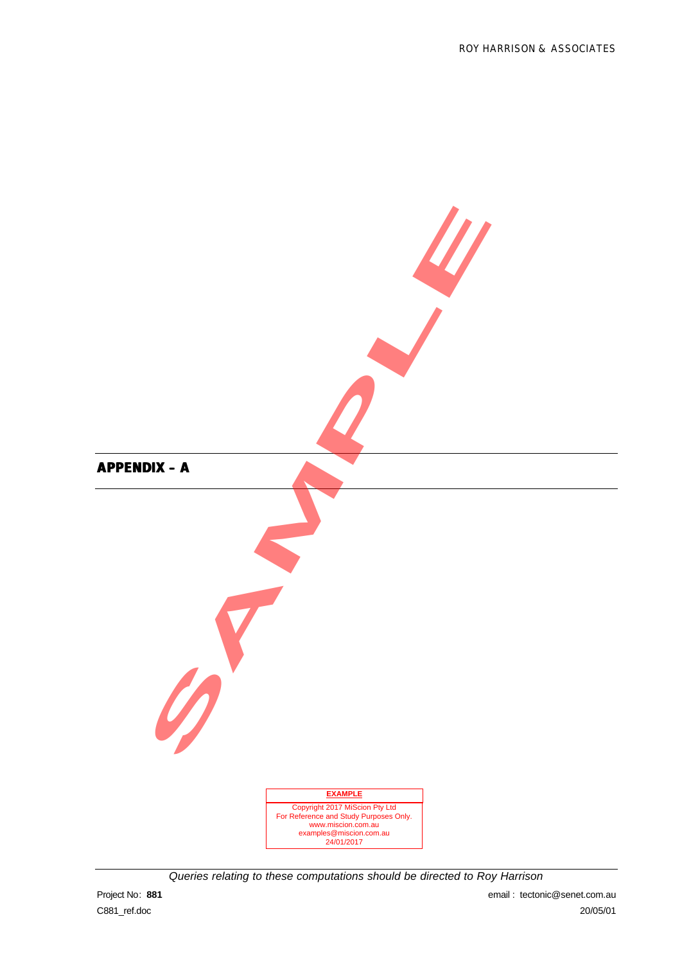

*Queries relating to these computations should be directed to Roy Harrison*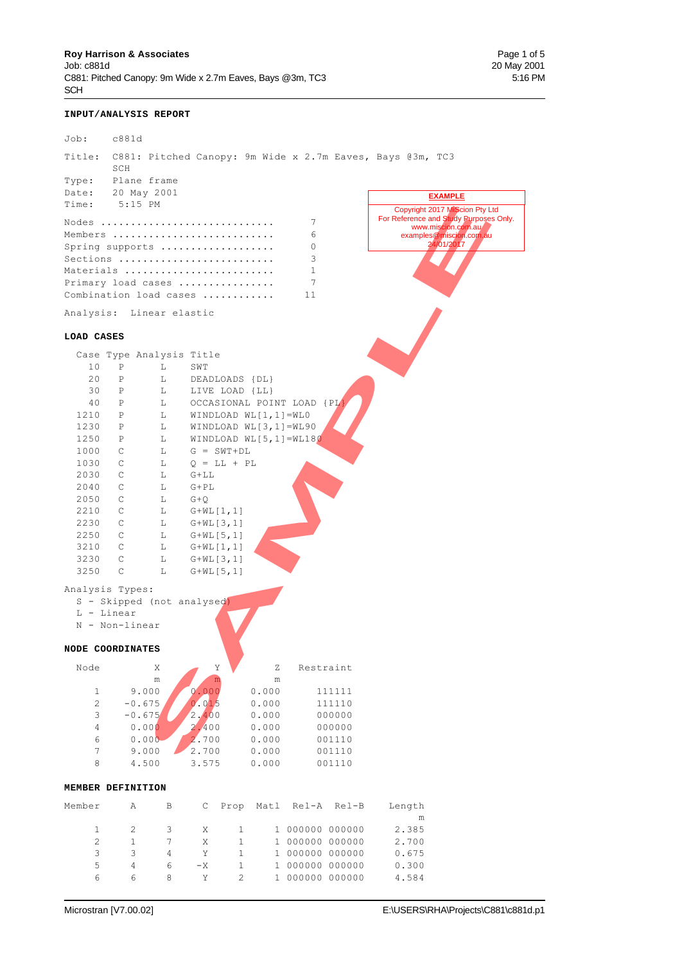### **INPUT/ANALYSIS REPORT**

| Job:                            | c881d                                                                 |                |                    |                |                             |                              |                  |                                                                                                                                         |
|---------------------------------|-----------------------------------------------------------------------|----------------|--------------------|----------------|-----------------------------|------------------------------|------------------|-----------------------------------------------------------------------------------------------------------------------------------------|
| Title:                          | SCH                                                                   |                |                    |                |                             |                              |                  | C881: Pitched Canopy: 9m Wide x 2.7m Eaves, Bays @3m, TC3                                                                               |
| Type:                           | Plane frame                                                           |                |                    |                |                             |                              |                  |                                                                                                                                         |
| Date:                           | 20 May 2001                                                           |                |                    |                |                             |                              |                  | <b>EXAMPLE</b>                                                                                                                          |
| Time:                           | $5:15$ PM<br>Nodes<br>Members<br>Spring supports                      |                |                    |                |                             | 7<br>6<br>0                  |                  | Copyright 2017 MiScion Pty Ltd<br>For Reference and Study Purposes Only.<br>www.miscion.com.au<br>examples@miscion.com.au<br>24/01/2017 |
|                                 | Sections<br>Materials<br>Primary load cases<br>Combination load cases |                |                    |                |                             | 3<br>$\mathbf{1}$<br>7<br>11 |                  |                                                                                                                                         |
|                                 | Analysis: Linear elastic                                              |                |                    |                |                             |                              |                  |                                                                                                                                         |
| LOAD CASES                      |                                                                       |                |                    |                |                             |                              |                  |                                                                                                                                         |
|                                 | Case Type Analysis Title                                              |                |                    |                |                             |                              |                  |                                                                                                                                         |
| 10                              | Ρ                                                                     | L              | SWT                |                |                             |                              |                  |                                                                                                                                         |
| 20                              | $\mathbf P$                                                           | L              | DEADLOADS {DL}     |                |                             |                              |                  |                                                                                                                                         |
| 30                              | Ρ                                                                     | $L$ and $L$    | LIVE LOAD {LL}     |                |                             |                              |                  |                                                                                                                                         |
| 40                              | P                                                                     | $L$ and $L$    |                    |                |                             | OCCASIONAL POINT LOAD {PL}   |                  |                                                                                                                                         |
| 1210                            | $\mathbb{P}$                                                          | L              |                    |                | WINDLOAD WL $[1, 1]$ =WLO   |                              |                  |                                                                                                                                         |
| 1230                            | $\mathbb{P}$                                                          | L              |                    |                | WINDLOAD WL $[3, 1] = WL90$ |                              |                  |                                                                                                                                         |
| 1250                            | $\mathbb{P}$                                                          | L              |                    |                |                             | WINDLOAD WL $[5,1]$ =WL180   |                  |                                                                                                                                         |
| 1000                            | C                                                                     | L              | $G = SWT + DL$     |                |                             |                              |                  |                                                                                                                                         |
| 1030                            | C                                                                     | L              | $Q = LL + PL$      |                |                             |                              |                  |                                                                                                                                         |
| 2030                            | C                                                                     | L              | $G+LL$             |                |                             |                              |                  |                                                                                                                                         |
| 2040                            | C                                                                     | L              | $G+PL$             |                |                             |                              |                  |                                                                                                                                         |
| 2050                            | C                                                                     | L              | $G+Q$              |                |                             |                              |                  |                                                                                                                                         |
| 2210                            | C                                                                     | L              | $G+WL[1,1]$        |                |                             |                              |                  |                                                                                                                                         |
| 2230                            | C                                                                     | L              | $G+WL[3,1]$        |                |                             |                              |                  |                                                                                                                                         |
| 2250                            | $\mathbb{C}$                                                          | L              | $G+WL[5,1]$        |                |                             |                              |                  |                                                                                                                                         |
| 3210                            | C                                                                     | L              | $G+WL[1,1]$        |                |                             |                              |                  |                                                                                                                                         |
| 3230                            | C                                                                     | L              | $G+WL[3,1]$        |                |                             |                              |                  |                                                                                                                                         |
| 3250                            | C                                                                     | L              | $G+WL[5,1]$        |                |                             |                              |                  |                                                                                                                                         |
| Analysis Types:<br>$L - Linear$ | S - Skipped (not analysed)<br>N - Non-linear                          |                |                    |                |                             |                              |                  |                                                                                                                                         |
|                                 | NODE COORDINATES                                                      |                |                    |                |                             |                              |                  |                                                                                                                                         |
| Node                            | Χ<br>$\mathfrak m$                                                    |                | Υ                  |                | Ζ                           |                              | Restraint        |                                                                                                                                         |
| 1                               | 9.000                                                                 |                | ${\bf m}$<br>0.000 |                | ${\rm m}$<br>0.000          |                              | 111111           |                                                                                                                                         |
| $\overline{c}$                  | $-0.675$                                                              |                | 0.015              |                | 0.000                       |                              | 111110           |                                                                                                                                         |
| 3                               | $-0.675$                                                              |                | 2,400              |                | 0.000                       |                              | 000000           |                                                                                                                                         |
| 4                               | 0.000                                                                 |                | 2.400              |                | 0.000                       |                              | 000000           |                                                                                                                                         |
| 6                               | 0.000                                                                 |                | 2.700              |                | 0.000                       |                              | 001110           |                                                                                                                                         |
| $\overline{7}$                  | 9.000                                                                 |                | 2.700              |                | 0.000                       |                              | 001110           |                                                                                                                                         |
| 8                               | 4.500                                                                 |                | 3.575              |                | 0.000                       |                              | 001110           |                                                                                                                                         |
|                                 | MEMBER DEFINITION                                                     |                |                    |                |                             |                              |                  |                                                                                                                                         |
| Member                          | Α                                                                     | B              | $\mathsf{C}$       | Prop           |                             |                              | Matl Rel-A Rel-B | Length<br>m                                                                                                                             |
| $\mathbf{1}$                    | 2                                                                     | 3              | Χ                  | $\mathbf{1}$   |                             | 1 000000 000000              |                  | 2.385                                                                                                                                   |
| $\overline{c}$                  | $\mathbf{1}$                                                          | 7              | X                  | $\mathbf{1}$   |                             | 1 000000 000000              |                  | 2.700                                                                                                                                   |
| 3                               | 3                                                                     | $\overline{4}$ | Y                  | $\mathbf{1}$   |                             | 1 000000 000000              |                  | 0.675                                                                                                                                   |
| 5                               | 4                                                                     | 6              | $-X$               | $\mathbf{1}$   |                             | 1 000000 000000              |                  | 0.300                                                                                                                                   |
| 6                               | 6                                                                     | 8              | Y                  | $\overline{2}$ |                             | 1 000000 000000              |                  | 4.584                                                                                                                                   |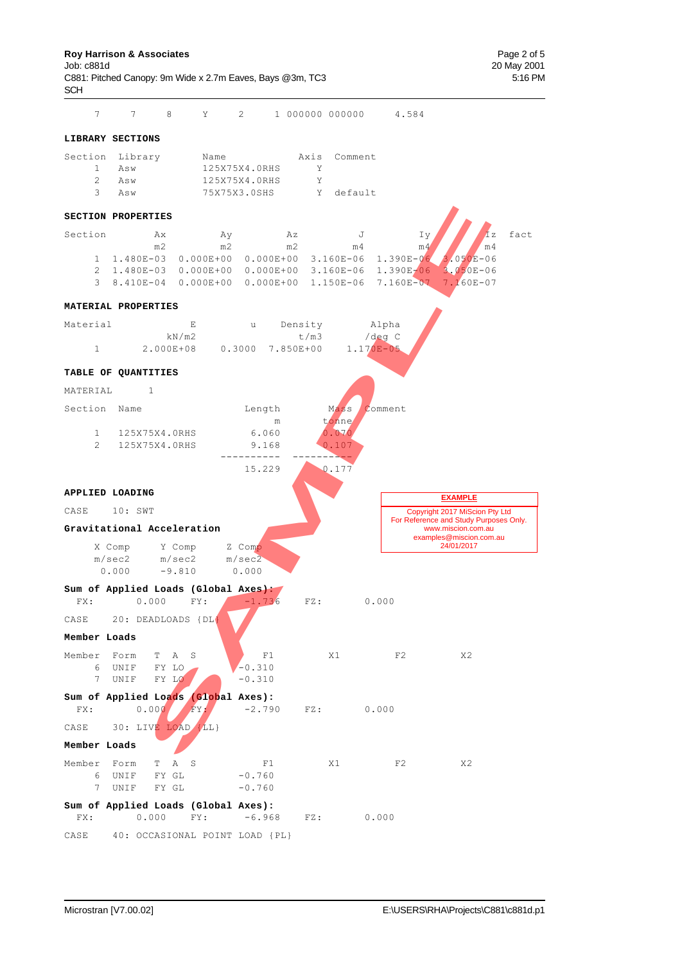C881: Pitched Canopy: 9m Wide x 2.7m Eaves, Bays @3m, TC3 5:16 PM SCH

7 7 8 Y 2 1 000000 000000 4.584

#### **LIBRARY SECTIONS**

| Section Library |     | Name          |   | Axis Comment |
|-----------------|-----|---------------|---|--------------|
| -1. -           | Asw | 125X75X4.0RHS |   |              |
| 2.              | Asw | 125X75X4.0RHS | Y |              |
| 3.              | Asw | 75X75X3.0SHS  |   | Y default    |

#### **SECTION PROPERTIES**

| Section | Ax<br>m <sub>2</sub> | Αv<br>m <sub>2</sub> | Αz<br>m2 | m4 | $I_V$<br>m4                                                   | $\mathbf{I} \mathbf{z}$<br>$\sqrt{m4}$ | fact |
|---------|----------------------|----------------------|----------|----|---------------------------------------------------------------|----------------------------------------|------|
|         |                      |                      |          |    | 1 1.480E-03 0.000E+00 0.000E+00 3.160E-06 1.390E-06 3.050E-06 |                                        |      |
|         |                      |                      |          |    | 2 1.480E-03 0.000E+00 0.000E+00 3.160E-06 1.390E-06 3.050E-06 |                                        |      |
|         |                      |                      |          |    | 3 8.410E-04 0.000E+00 0.000E+00 1.150E-06 7.160E-07 7.160E-07 |                                        |      |

#### **MATERIAL PROPERTIES**



#### **TABLE OF QUANTITIES** MATERIAL 1 Section Name Length Mass Comment m tonne<br>6.060 0.070 1 125X75X4.0RHS 6.060 2 125X75X4.0RHS 9.168 0.107 ---------- ---------- 15.229 0.177 **APPLIED LOADING** CASE 10: SWT Copyright 2017 MiScion Pty Ltd

| SECTION PROPERTIES          |                                                     |                                                  |                                       |                     |                                                          |
|-----------------------------|-----------------------------------------------------|--------------------------------------------------|---------------------------------------|---------------------|----------------------------------------------------------|
| Section                     | Ax                                                  | Ay                                               | Αz                                    | J<br>Iy             | ĪΖ                                                       |
|                             | m2<br>1 1.480E-03                                   | m <sub>2</sub><br>$0.000E + 00$<br>$0.000E + 00$ | m2<br>m <sub>4</sub><br>$3.160E - 06$ | m4<br>$1.390E - 06$ | m <sub>4</sub><br>$3.050E - 06$                          |
| $\overline{2}$              |                                                     | 1.480E-03  0.000E+00  0.000E+00  3.160E-06       |                                       | 1.390E-06           | $3.050E - 06$                                            |
| $\mathcal{E}$               |                                                     | 8.410E-04 0.000E+00 0.000E+00                    | $1.150E-06$                           | 7.160E-07           | 7.160E-07                                                |
| MATERIAL PROPERTIES         |                                                     |                                                  |                                       |                     |                                                          |
| Material                    | $\mathbf E$                                         | u                                                | Density                               | Alpha               |                                                          |
|                             | kN/m2                                               |                                                  | t/m3                                  | $/\text{deg } C$    |                                                          |
| 1                           | 2.000E+08                                           | $0.3000$ 7.850E+00                               |                                       | $1.170E-05$         |                                                          |
| TABLE OF QUANTITIES         |                                                     |                                                  |                                       |                     |                                                          |
| MATERIAL                    | $\mathbf{1}$                                        |                                                  |                                       |                     |                                                          |
| Section Name                |                                                     | Length<br>m                                      | Mass<br>tonne                         | Comment             |                                                          |
| $\mathbf{1}$                | 125X75X4.0RHS                                       | 6.060                                            | 0.070                                 |                     |                                                          |
| $\overline{2}$              | 125X75X4.0RHS                                       | 9.168                                            | 0.107                                 |                     |                                                          |
|                             |                                                     |                                                  |                                       |                     |                                                          |
|                             |                                                     | 15.229                                           | 0.177                                 |                     |                                                          |
| APPLIED LOADING             |                                                     |                                                  |                                       |                     | <b>EXAMPLE</b>                                           |
|                             |                                                     |                                                  |                                       |                     |                                                          |
| CASE                        | 10: SWT                                             |                                                  |                                       |                     | Copyright 2017 MiScion Pty Ltd                           |
|                             | Gravitational Acceleration                          |                                                  |                                       |                     | For Reference and Study Purposes (<br>www.miscion.com.au |
| X Comp                      | Y Comp                                              | Z Comp                                           |                                       |                     | examples@miscion.com.au<br>24/01/2017                    |
| m/sec2                      | m/sec2                                              | m/sec2                                           |                                       |                     |                                                          |
| 0.000                       | $-9.810$                                            | 0.000                                            |                                       |                     |                                                          |
| FX:                         | Sum of Applied Loads (Global Axes):<br>0.000<br>FY: | $-1.736$                                         | $FZ$ :                                | 0.000               |                                                          |
| CASE                        | 20: DEADLOADS {DL}                                  |                                                  |                                       |                     |                                                          |
| Member Loads                |                                                     |                                                  |                                       |                     |                                                          |
| Member Form                 | $\mathbb{A}$<br>S<br>T.                             | F1                                               | X1                                    | F2                  | X <sub>2</sub>                                           |
| 6<br>UNIF                   | FY LO                                               | $-0.310$                                         |                                       |                     |                                                          |
| $7\overline{ }$<br>UNIF     | FY LO                                               | $-0.310$                                         |                                       |                     |                                                          |
|                             | Sum of Applied Loads (Global Axes):                 |                                                  |                                       |                     |                                                          |
| FX:                         | FY.<br>0.000                                        | $-2.790$                                         | FZ:                                   | 0.000               |                                                          |
| CASE                        | 30: LIVE LOAD {LL}                                  |                                                  |                                       |                     |                                                          |
| Member Loads                |                                                     |                                                  |                                       |                     |                                                          |
| Member<br>Form<br>UNIF<br>6 | T<br>Α<br>S<br>FY GL                                | F1<br>$-0.760$                                   | X1                                    | F2                  | X <sub>2</sub>                                           |

|      | Sum of Applied Loads (Global Axes): |      |        |     |       |
|------|-------------------------------------|------|--------|-----|-------|
| FX : | 0.000                               | FY : | -6.968 | FZ: | 0.000 |

7 UNIF FY GL -0.760

For Reference and Study Purposes Only.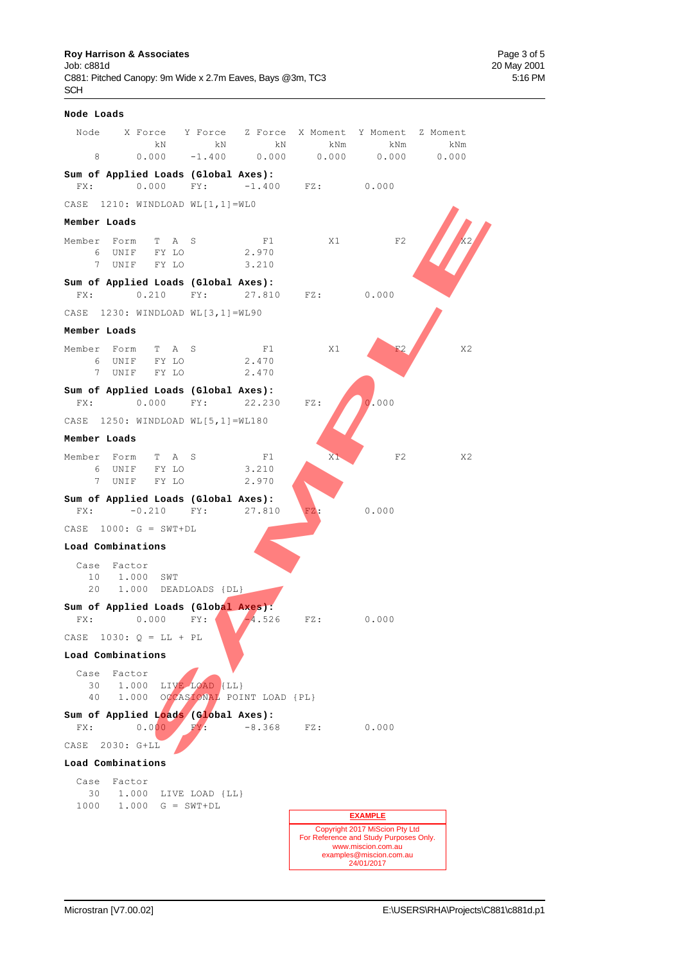**Roy Harrison & Associates Page 3 of 5**<br>
Job: c881d **Page 3 of 5** C881: Pitched Canopy: 9m Wide x 2.7m Eaves, Bays @3m, TC3 SCH

| Node Loads                |                                                                       |                |                            |                         |                                                                                                                                         |     |
|---------------------------|-----------------------------------------------------------------------|----------------|----------------------------|-------------------------|-----------------------------------------------------------------------------------------------------------------------------------------|-----|
|                           | Node X Force Y Force Z Force X Moment Y Moment Z Moment<br>kN         | kN             | kN                         | kNm                     | kNm                                                                                                                                     | kNm |
| 8                         | $0.000 - 1.400 0.000$                                                 |                |                            | $0.000$ $0.000$ $0.000$ |                                                                                                                                         |     |
|                           | Sum of Applied Loads (Global Axes):<br>FX: 0.000 FY: -1.400 FZ: 0.000 |                |                            |                         |                                                                                                                                         |     |
|                           | CASE 1210: WINDLOAD WL[1,1]=WLO                                       |                |                            |                         |                                                                                                                                         |     |
| Member Loads              |                                                                       |                |                            |                         |                                                                                                                                         |     |
|                           | Member Form T A S<br>6 UNIF FY LO<br>7 UNIF FY LO                     | 2.970<br>3.210 | F1                         | X1                      | F2                                                                                                                                      |     |
|                           | Sum of Applied Loads (Global Axes):<br>FX: 0.210 FY: 27.810 FZ: 0.000 |                |                            |                         |                                                                                                                                         |     |
|                           | CASE 1230: WINDLOAD WL[3,1]=WL90                                      |                |                            |                         |                                                                                                                                         |     |
| Member Loads              |                                                                       |                |                            |                         |                                                                                                                                         |     |
| 6                         | Member Form T A S<br>UNIF FY LO<br>7 UNIF FY LO                       | 2.470<br>2.470 | F1                         | X1                      |                                                                                                                                         | X2  |
|                           | Sum of Applied Loads (Global Axes):<br>FX: 0.000 FY: 22.230           |                |                            | $FZ$ :                  | 0.000                                                                                                                                   |     |
|                           | CASE 1250: WINDLOAD WL[5,1]=WL180                                     |                |                            |                         |                                                                                                                                         |     |
| Member Loads              |                                                                       |                |                            |                         |                                                                                                                                         |     |
|                           | Member Form T A S<br>6 UNIF FY LO 3.210<br>7 UNIF FY LO               |                | F1<br>2.970                | X1                      | F2                                                                                                                                      | X2  |
|                           | Sum of Applied Loads (Global Axes):<br>$FX: -0.210$ $FY: 27.810$      |                |                            | FZ                      | 0.000                                                                                                                                   |     |
|                           | CASE $1000: G = SWT+DL$                                               |                |                            |                         |                                                                                                                                         |     |
| Load Combinations         |                                                                       |                |                            |                         |                                                                                                                                         |     |
| Case Factor<br>20         | 10 1.000 SWT<br>1.000 DEADLOADS {DL}                                  |                |                            |                         |                                                                                                                                         |     |
|                           | Sum of Applied Loads (Global Axes):                                   |                |                            |                         |                                                                                                                                         |     |
| FX:                       | 0.000                                                                 | FY:            | $-4.526$                   | FZ:                     | 0.000                                                                                                                                   |     |
| CASE<br>Load Combinations | $1030: Q = LL + PL$                                                   |                |                            |                         |                                                                                                                                         |     |
| Case                      | Factor                                                                |                |                            |                         |                                                                                                                                         |     |
| 30<br>40                  | 1,000<br>1,000                                                        | LIVE LOAD {LL} | OCCASIONAL POINT LOAD {PL} |                         |                                                                                                                                         |     |
| FX:                       | Sum of Applied Loads (Global Axes):<br>0.000                          | $FY$ .         | $-8.368$                   | FZ:                     | 0.000                                                                                                                                   |     |
| CASE                      | 2030: G+LL                                                            |                |                            |                         |                                                                                                                                         |     |
| Load Combinations         |                                                                       |                |                            |                         |                                                                                                                                         |     |
| Case<br>30                | Factor<br>1.000 LIVE LOAD {LL}                                        |                |                            |                         |                                                                                                                                         |     |
| 1000                      | $1.000 \quad G = SWT+DL$                                              |                |                            |                         | <b>EXAMPLE</b>                                                                                                                          |     |
|                           |                                                                       |                |                            |                         | Copyright 2017 MiScion Pty Ltd<br>For Reference and Study Purposes Only.<br>www.miscion.com.au<br>examples@miscion.com.au<br>24/01/2017 |     |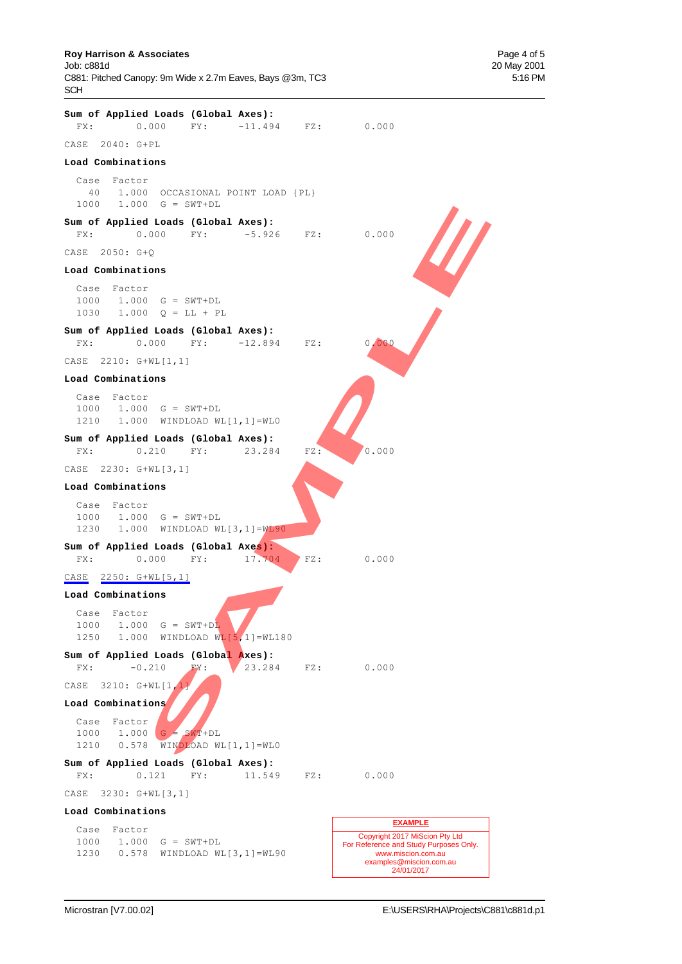#### **Roy Harrison & Associates**  Page 4 of 5

Job: c881d 20 May 2001 C881: Pitched Canopy: 9m Wide x 2.7m Eaves, Bays @3m, TC3 5:16 PM SCH

**Sum of Applied Loads (Global Axes):** FX: 0.000 FY: -11.494 FZ: 0.000 CASE 2040: G+PL **Load Combinations** Case Factor 40 1.000 OCCASIONAL POINT LOAD {PL} 1000 1.000 G = SWT+DL **Sum of Applied Loads (Global Axes):** FX: 0.000 FY: -5.926 FZ: 0.000 CASE 2050: G+Q **Load Combinations** Case Factor 1000 1.000 G = SWT+DL 1030 1.000  $Q = LL + PL$ **Sum of Applied Loads (Global Axes):** FX: 0.000 FY: -12.894 FZ: 0.000 CASE 2210: G+WL[1,1] **Load Combinations** Case Factor 1000 1.000 G = SWT+DL 1210 1.000 WINDLOAD WL[1,1]=WL0 **Sum of Applied Loads (Global Axes):** FX: 0.210 FY: 23.284 FZ: 0.000 CASE 2230: G+WL[3,1] **Load Combinations** Case Factor 1000 1.000 G = SWT+DL 1230 1.000 WINDLOAD WL[3,1]=WL90 **Sum of Applied Loads (Global Axes):** FX: 0.000 FY: 17.704 FZ: 0.000 CASE 2250: G+WL[5,1] **Load Combinations** Case Factor  $1000$   $1.000$   $G = SWT+DL$  1250 1.000 WINDLOAD WL[5,1]=WL180 **Sum of Applied Loads (Global Axes):** FX: -0.210 FY: 23.284 FZ: 0.000 CASE 3210: G+WL[1,1] **Load Combinations** Case Factor  $1000$  1.000 G = SWT+DL 1210 0.578 WINDLOAD WL[1,1]=WL0 **Sum of Applied Loads (Global Axes):** FX: 0.121 FY: 11.549 FZ: 0.000 CASE 3230: G+WL[3,1] **Load Combinations** Case Factor 1000 1.000 G = SWT+DL 1230 0.578 WINDLOAD WL[3,1]=WL90 Copyright 2017 MiScion Pty Ltd For Reference and Study Purposes Only. www.miscion.com.au examples@miscion.com.au 24/01/2017 **EXAMPLE S** = SWT+DL<br> **SAMPLE CONSTRUCTS:**<br>  $\begin{bmatrix}\n0.000 \\
0.000 \\
0.000 \\
0.000 \\
0.000 \\
0.000 \\
0.000 \\
0.000 \\
0.000 \\
0.000 \\
0.000 \\
0.000 \\
0.000 \\
0.000 \\
0.000 \\
0.000 \\
0.000 \\
0.000 \\
0.000 \\
0.000 \\
0.000 \\
0.000 \\
0.000 \\
0.000 \\
0.000 \\
0.000 \\
0.000 \\
0.000 \\
0.000 \\
0.0$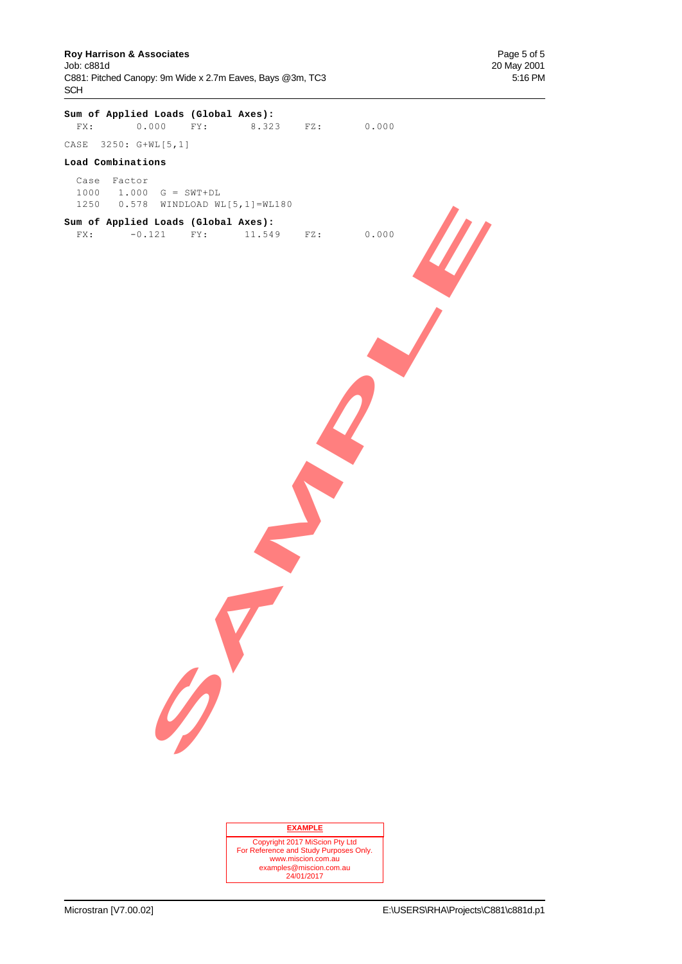**Roy Harrison & Associates Page 5 of 5**<br> **Page 5 of 5**<br> **Page 5 of 5**<br> **Page 5 of 5**<br> **Page 5 of 5** C881: Pitched Canopy: 9m Wide x 2.7m Eaves, Bays @3m, TC3 5:16 PM SCH

20 May 2001

|                                        |   | Sum of Applied Loads (Global Axes): | FX: 0.000 FY: 8.323 FZ: 0.000   |  |
|----------------------------------------|---|-------------------------------------|---------------------------------|--|
| CASE 3250: G+WL[5,1]                   |   |                                     |                                 |  |
| Load Combinations                      |   |                                     |                                 |  |
| Case Factor<br>$1000$ 1.000 G = SWT+DL |   | 1250  0.578  WINDLOAD WL[5,1]=WL180 |                                 |  |
|                                        |   | Sum of Applied Loads (Global Axes): | FX: -0.121 FY: 11.549 FZ: 0.000 |  |
|                                        |   |                                     |                                 |  |
|                                        |   |                                     |                                 |  |
|                                        |   |                                     |                                 |  |
|                                        |   |                                     |                                 |  |
|                                        | 0 |                                     |                                 |  |
|                                        |   |                                     |                                 |  |

#### **EXAMPLE**

Copyright 2017 MiScion Pty Ltd For Reference and Study Purposes Only. www.miscion.com.au examples@miscion.com.au 24/01/2017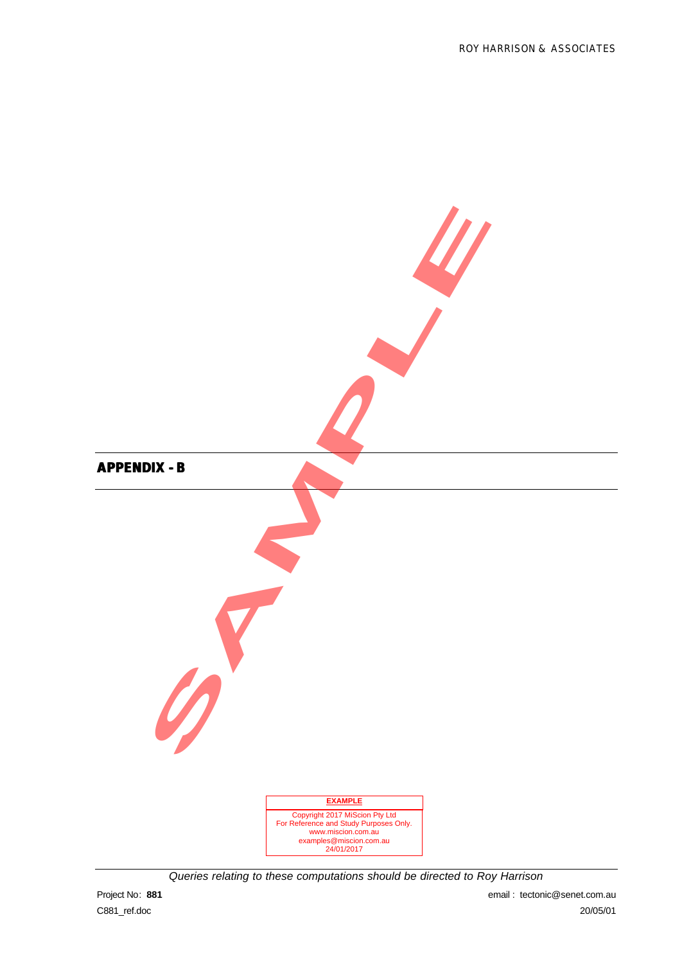

*Queries relating to these computations should be directed to Roy Harrison*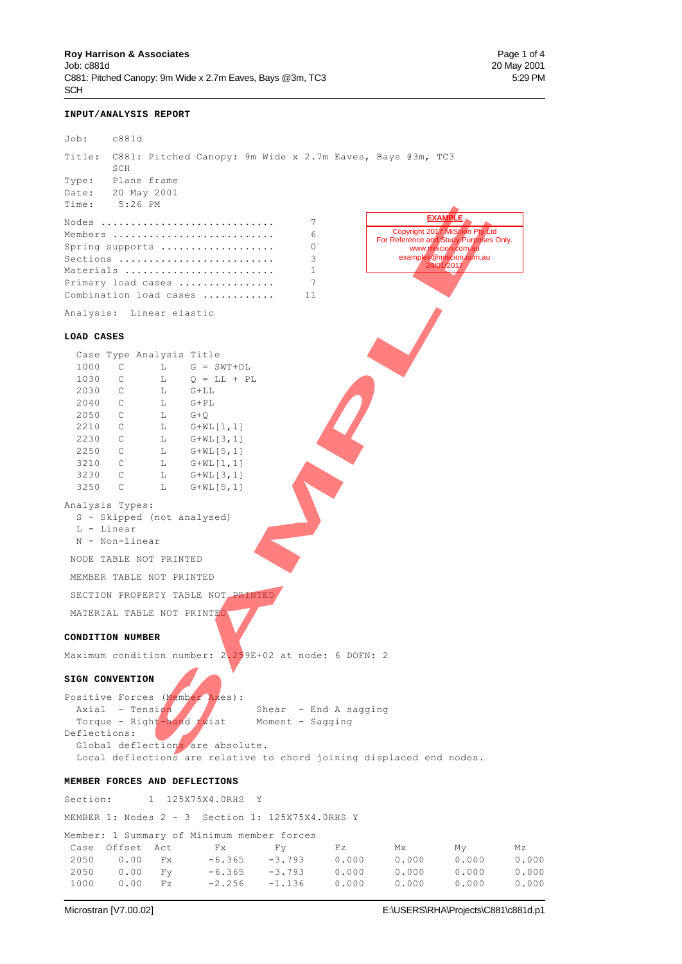#### **INPUT/ANALYSIS REPORT**

| Job:                          | c881d                                        |                   |                                    |                                                                      |                |                                        |                                               |                |
|-------------------------------|----------------------------------------------|-------------------|------------------------------------|----------------------------------------------------------------------|----------------|----------------------------------------|-----------------------------------------------|----------------|
|                               | SCH                                          |                   |                                    | Title: C881: Pitched Canopy: 9m Wide x 2.7m Eaves, Bays @3m, TC3     |                |                                        |                                               |                |
|                               | Type: Plane frame                            |                   |                                    |                                                                      |                |                                        |                                               |                |
| Date: 20 May 2001             |                                              |                   |                                    |                                                                      |                |                                        |                                               |                |
| Time:                         | $5:26$ PM                                    |                   |                                    |                                                                      |                |                                        | <b>EXAMPLE</b>                                |                |
|                               |                                              |                   | Nodes                              | 7                                                                    |                |                                        | Copyright 2017 MiScion Pty Ltd                |                |
|                               |                                              |                   | Members                            | 6                                                                    |                | For Reference and Study Purposes Only. |                                               |                |
|                               |                                              |                   | Spring supports<br>Sections        | 0<br>3                                                               |                |                                        | www.miscion.com.au<br>examples@miscion.com.au |                |
|                               |                                              |                   | Materials                          | 1                                                                    |                |                                        | 24/01/2017                                    |                |
|                               |                                              |                   | Primary load cases                 | 7                                                                    |                |                                        |                                               |                |
|                               |                                              |                   | Combination load cases             | 11                                                                   |                |                                        |                                               |                |
| Analysis: Linear elastic      |                                              |                   |                                    |                                                                      |                |                                        |                                               |                |
| LOAD CASES                    |                                              |                   |                                    |                                                                      |                |                                        |                                               |                |
|                               | Case Type Analysis Title                     |                   |                                    |                                                                      |                |                                        |                                               |                |
| 1000                          | $\mathsf{C}$                                 | L                 | $G = SWT + DL$                     |                                                                      |                |                                        |                                               |                |
| 1030                          | $\overline{C}$                               |                   | $L$ Q = $LL$ + PL                  |                                                                      |                |                                        |                                               |                |
| 2030<br>2040                  | $\overline{C}$<br>$\overline{C}$             | $G+LL$<br>L<br>L. | G+PL                               |                                                                      |                |                                        |                                               |                |
| 2050                          | $\overline{C}$                               | $G+Q$<br>L        |                                    |                                                                      |                |                                        |                                               |                |
| 2210                          | $\overline{C}$                               | L                 | $G+WL[1,1]$                        |                                                                      |                |                                        |                                               |                |
| 2230                          | $\overline{C}$                               | L.                | $G+WL$ [3,1]                       |                                                                      |                |                                        |                                               |                |
| 2250                          | $\overline{C}$                               | L.                | G+WL[5,1]                          |                                                                      |                |                                        |                                               |                |
| 3210<br>3230                  | $\overline{C}$<br>$\overline{C}$             | L.<br>L           | $G+WL[1,1]$                        |                                                                      |                |                                        |                                               |                |
| 3250                          | $\mathsf{C}$                                 | L                 | $G+WL[3,1]$<br>$G+WL[5,1]$         |                                                                      |                |                                        |                                               |                |
| Analysis Types:<br>L - Linear | S - Skipped (not analysed)<br>N - Non-linear |                   |                                    |                                                                      |                |                                        |                                               |                |
|                               | NODE TABLE NOT PRINTED                       |                   |                                    |                                                                      |                |                                        |                                               |                |
|                               | MEMBER TABLE NOT PRINTED                     |                   |                                    |                                                                      |                |                                        |                                               |                |
|                               |                                              |                   | SECTION PROPERTY TABLE NOT PRINTED |                                                                      |                |                                        |                                               |                |
|                               | MATERIAL TABLE NOT PRINTED                   |                   |                                    |                                                                      |                |                                        |                                               |                |
|                               | <b>CONDITION NUMBER</b>                      |                   |                                    |                                                                      |                |                                        |                                               |                |
|                               |                                              |                   |                                    | Maximum condition number: 2.259E+02 at node: 6 DOFN: 2               |                |                                        |                                               |                |
| SIGN CONVENTION               |                                              |                   |                                    |                                                                      |                |                                        |                                               |                |
|                               | Axial - Tension<br>Torque - Right-hand twist |                   | Positive Forces (Member Axes):     | Shear - End A sagging<br>Moment - Sagging                            |                |                                        |                                               |                |
| Deflections:                  |                                              |                   | Global deflections are absolute.   | Local deflections are relative to chord joining displaced end nodes. |                |                                        |                                               |                |
| MEMBER FORCES AND DEFLECTIONS |                                              |                   |                                    |                                                                      |                |                                        |                                               |                |
| Section:                      | 1                                            |                   | 125X75X4.0RHS Y                    |                                                                      |                |                                        |                                               |                |
|                               |                                              |                   |                                    | MEMBER 1: Nodes 2 - 3 Section 1: 125X75X4.0RHS Y                     |                |                                        |                                               |                |
|                               |                                              |                   |                                    | Member: 1 Summary of Minimum member forces                           |                |                                        |                                               |                |
| Case                          | Offset Act                                   |                   | Fx                                 | Fy.                                                                  | Fz             | Мx                                     | Мy                                            | Μz             |
| 2050<br>2050                  | 0.00<br>0.00                                 | Fx<br>Fy          | $-6.365$<br>$-6.365$               | $-3.793$<br>$-3.793$                                                 | 0.000<br>0.000 | 0.000<br>0.000                         | 0.000<br>0.000                                | 0.000<br>0.000 |
| 1000                          | 0.00                                         | Fz                | $-2.256$                           | $-1.136$                                                             | 0.000          | 0.000                                  | 0.000                                         | 0.000          |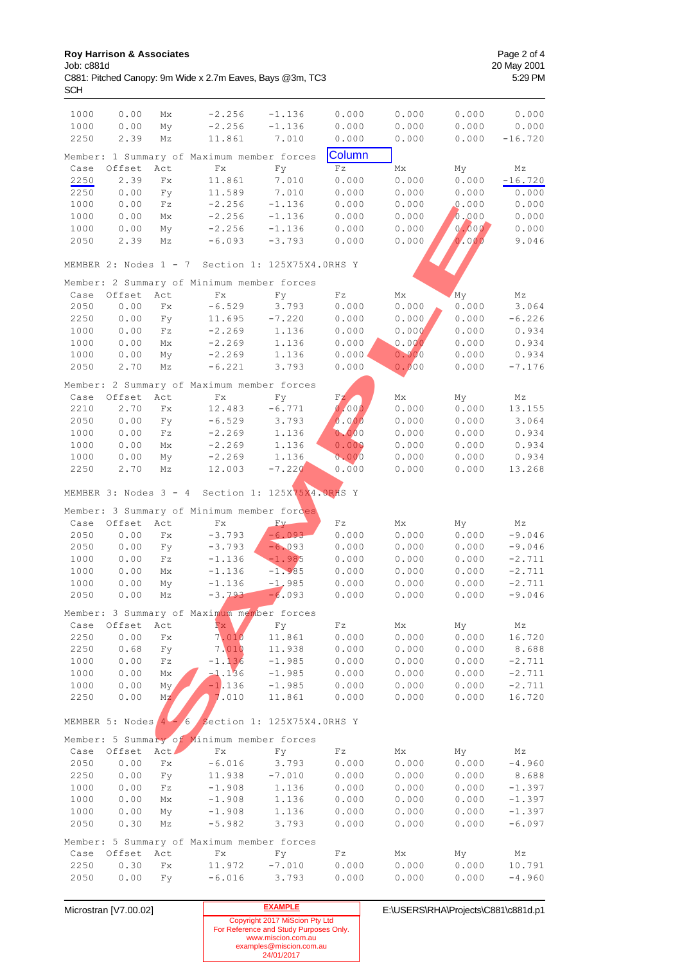| 1000<br>1000<br>2250 | 0.00<br>0.00<br>2.39    | Mx<br>My<br>Μz              | $-2.256$<br>$-2.256$<br>11.861             | $-1.136$<br>$-1.136$<br>7.010 | 0.000<br>0.000<br>0.000  | 0.000<br>0.000<br>0.000 | 0.000<br>0.000<br>0.000 | 0.000<br>0.000<br>$-16.720$ |
|----------------------|-------------------------|-----------------------------|--------------------------------------------|-------------------------------|--------------------------|-------------------------|-------------------------|-----------------------------|
|                      |                         |                             | Member: 1 Summary of Maximum member forces |                               | Column                   |                         |                         |                             |
| Case                 | Offset                  | Act                         | $\mathbf{Fx}$                              | Fy                            | $\mathbf{F}\,\mathbf{z}$ | Mx                      | My                      | Мz                          |
| 2250                 | 2.39                    | $\mathbf{F}\mathbf{x}$      | 11.861                                     | 7.010                         | 0.000                    | 0.000                   | 0.000                   | $-16.720$                   |
| 2250                 | 0.00                    | Fy                          | 11.589                                     | 7.010                         | 0.000                    | 0.000                   | 0.000                   | 0.000                       |
| 1000                 | 0.00                    | Fz                          | $-2.256$                                   | $-1.136$                      | 0.000                    | 0.000                   | 0.000                   | 0.000                       |
| 1000                 | 0.00                    | Mx                          | $-2.256$                                   | $-1.136$                      | 0.000                    | 0.000                   | 0.000                   | 0.000                       |
| 1000                 | 0.00                    | My                          | $-2.256$                                   | $-1.136$                      | 0.000                    | 0.000                   | 0.000                   | 0.000                       |
| 2050                 | 2.39                    | Μz                          | $-6.093$                                   | $-3.793$                      | 0.000                    | 0.000                   | 0.000                   | 9.046                       |
|                      | MEMBER 2: Nodes 1 - 7   |                             |                                            | Section 1: 125X75X4.0RHS Y    |                          |                         |                         |                             |
|                      |                         |                             | Member: 2 Summary of Minimum member forces |                               |                          |                         |                         |                             |
| Case                 | Offset                  | Act                         | Fx                                         | Fy                            | $\mathbf{F}\,\mathbf{z}$ | Мx                      | My                      | Μz                          |
| 2050                 | 0.00                    | Fx                          | $-6.529$                                   | 3.793                         | 0.000                    | 0.000                   | 0.000                   | 3.064                       |
| 2250                 | 0.00                    | Fy                          | 11.695                                     | $-7.220$                      | 0.000                    | 0.000                   | 0.000                   | $-6.226$                    |
| 1000                 | 0.00                    | $\mathbf{F}\,\mathbf{z}$    | $-2.269$                                   | 1.136                         | 0.000                    | 0.000                   | 0.000                   | 0.934                       |
| 1000                 | 0.00                    | Mx                          | $-2.269$                                   | 1.136                         | 0.000                    | 0.000                   | 0.000                   | 0.934                       |
| 1000                 | 0.00                    | My                          | $-2.269$                                   | 1.136                         | 0.000                    | 0.000                   | 0.000                   | 0.934                       |
| 2050                 | 2.70                    | Μz                          | $-6.221$                                   | 3.793                         | 0.000                    | 0.000                   | 0.000                   | $-7.176$                    |
|                      |                         |                             | Member: 2 Summary of Maximum member forces |                               |                          |                         |                         |                             |
| Case                 | Offset                  | Act                         | Fx                                         | Fy                            | FZ                       | Мx                      | My                      | Μz                          |
| 2210                 | 2.70                    | Fx                          | 12.483                                     | $-6.771$                      | 0.000                    | 0.000                   | 0.000                   | 13.155                      |
| 2050                 | 0.00                    | F y                         | $-6.529$                                   | 3.793                         | 0.000                    | 0.000                   | 0.000                   | 3.064                       |
| 1000                 | 0.00                    | $\mathbbm{F}\, \mathbbm{z}$ | $-2.269$                                   | 1.136                         | 0.000                    | 0.000                   | 0.000                   | 0.934                       |
| 1000                 | 0.00                    | Мx                          | $-2.269$                                   | 1.136                         | 0.000                    | 0.000                   | 0.000                   | 0.934                       |
| 1000                 | 0.00                    | My                          | $-2.269$                                   | 1.136                         | 0.000                    | 0.000                   | 0.000                   | 0.934                       |
| 2250                 | 2.70                    | Μz                          | 12.003                                     | $-7.220$                      | 0.000                    | 0.000                   | 0.000                   | 13.268                      |
|                      | MEMBER 3: Nodes 3 - 4   |                             |                                            | Section 1: 125X75X4.0RHS Y    |                          |                         |                         |                             |
|                      |                         |                             |                                            |                               |                          |                         |                         |                             |
|                      |                         |                             |                                            |                               |                          |                         |                         |                             |
|                      |                         |                             | Member: 3 Summary of Minimum member forces |                               |                          |                         |                         |                             |
| Case                 | Offset                  | Act                         | Fx                                         | Fy.                           | $\mathbb F$ z            | Мx                      | My                      | Μz                          |
| 2050                 | 0.00                    | $\mathbf{F}\mathbf{x}$      | $-3.793$                                   | $-6.093$                      | 0.000                    | 0.000                   | 0.000                   | $-9.046$                    |
| 2050                 | 0.00                    | Fy                          | $-3.793$                                   | $-6.093$                      | 0.000                    | 0.000                   | 0.000                   | $-9.046$                    |
| 1000                 | 0.00                    | Fz                          | $-1.136$                                   | $-1.985$                      | 0.000                    | 0.000                   | 0.000                   | $-2.711$                    |
| 1000                 | 0.00                    | Mx                          | $-1.136$                                   | $-1.985$                      | 0.000                    | 0.000                   | 0.000                   | $-2.711$                    |
| 1000                 | 0.00                    | My                          | $-1.136$                                   | $-1.985$                      | 0.000                    | 0.000                   | 0.000                   | $-2.711$                    |
| 2050                 | 0.00                    | Μz                          | $-3.793$                                   | $-6.093$                      | 0.000                    | 0.000                   | 0.000                   | $-9.046$                    |
|                      |                         |                             | Member: 3 Summary of Maximum member forces |                               |                          |                         |                         |                             |
| Case                 | Offset                  | Act                         | Fx                                         | Fу                            | Fz                       | Мx                      | Мy                      | Μz                          |
| 2250                 | 0.00                    | $\mathbf{F}\mathbf{x}$      | 7.010                                      | 11.861                        | 0.000                    | 0.000                   | 0.000                   | 16.720                      |
| 2250                 | 0.68                    | Fy                          | 7.010                                      | 11.938                        | 0.000                    | 0.000                   | 0.000                   | 8.688                       |
| 1000                 | 0.00                    | $\mathbf{F}\,\mathbf{z}$    | $-1.136$                                   | $-1.985$                      | 0.000                    | 0.000                   | 0.000                   | $-2.711$                    |
| 1000                 | 0.00                    | ${\rm Mx}$                  | $-1.136$                                   | $-1.985$                      | 0.000                    | 0.000                   | 0.000                   | $-2.711$                    |
| 1000                 | 0.00                    | My,                         | $-1.136$                                   | $-1.985$                      | 0.000                    | 0.000                   | 0.000                   | $-2.711$                    |
| 2250                 | 0.00                    | Mz                          | 7.010                                      | 11.861                        | 0.000                    | 0.000                   | 0.000                   | 16.720                      |
|                      | MEMBER 5: Nodes $4 - 6$ |                             |                                            | Section 1: 125X75X4.0RHS Y    |                          |                         |                         |                             |
|                      |                         |                             | Member: 5 Summary of Minimum member forces |                               |                          |                         |                         |                             |
| Case                 | Offset                  | Act <sup>1</sup>            | $\mathbf{F}\mathbf{x}$                     | F y                           | $\mathbb F$ z            | Mx                      | Мy                      | Mz                          |
| 2050                 | 0.00                    | $\mathbb{F}\times$          | $-6.016$                                   | 3.793                         | 0.000                    | 0.000                   | 0.000                   | $-4.960$                    |
| 2250                 | 0.00                    | Fy                          | 11.938                                     | $-7 \, . \, 010$              | 0.000                    | 0.000                   | 0.000                   | 8.688                       |
| 1000                 | 0.00                    | $\mathbb F$ z               | $-1.908$                                   | 1.136                         | 0.000                    | 0.000                   | 0.000                   | $-1.397$                    |
| 1000                 | 0.00                    | Мx                          | $-1.908$                                   | 1.136                         | 0.000                    | 0.000                   | 0.000                   | $-1.397$                    |
| 1000                 | 0.00                    | My                          | $-1.908$                                   | 1.136                         | 0.000                    | 0.000                   | 0.000                   | $-1.397$                    |
| 2050                 | 0.30                    | Μz                          | $-5.982$                                   | 3.793                         | 0.000                    | 0.000                   | 0.000                   | $-6.097$                    |
|                      |                         |                             | Member: 5 Summary of Maximum member forces |                               |                          |                         |                         |                             |
| Case                 | Offset                  | Act                         | Fx                                         | Fy                            | Fz                       | Мx                      | Мy                      | Μz                          |
| 2250<br>2050         | 0.30<br>0.00            | Fx<br>Fy                    | 11.972<br>$-6.016$                         | $-7.010$                      | 0.000<br>0.000           | 0.000<br>0.000          | 0.000<br>0.000          | 10.791<br>$-4.960$          |

| Microstran [V7.00.02] | <b>EXAMPLE</b>                                                                                                                          | E:\USERS\RHA\Projects\C881\c881d.p1 |
|-----------------------|-----------------------------------------------------------------------------------------------------------------------------------------|-------------------------------------|
|                       | Copyright 2017 MiScion Pty Ltd<br>For Reference and Study Purposes Only.<br>www.miscion.com.au<br>examples@miscion.com.au<br>24/01/2017 |                                     |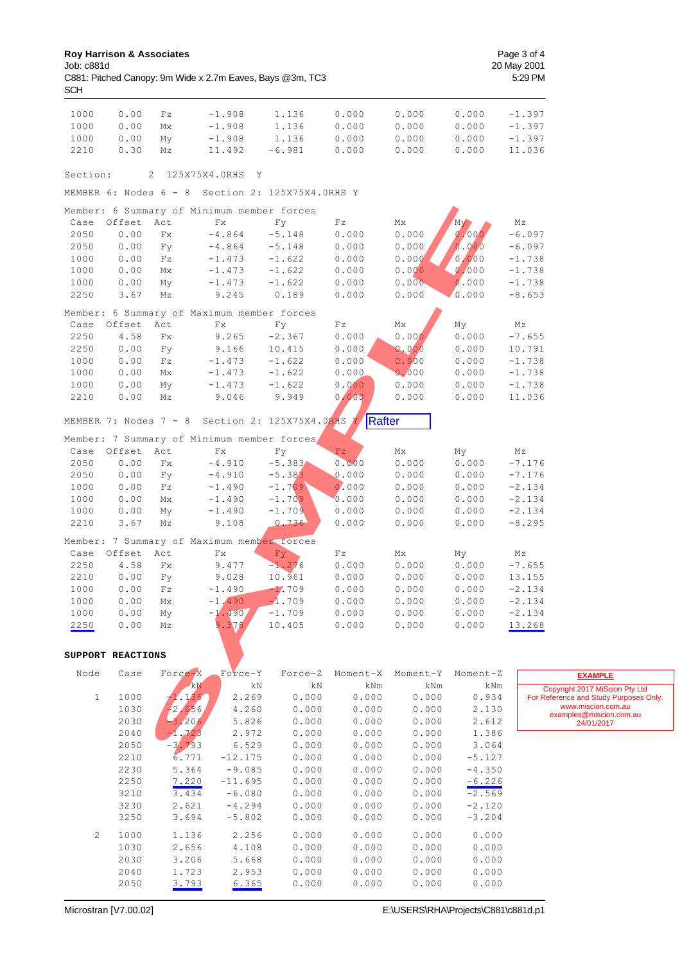| 1000         | 0.00              | Fz                             | $-1.908$                                   | 1.136                                            | 0.000                    | 0.000          | 0.000          | $-1.397$                 |
|--------------|-------------------|--------------------------------|--------------------------------------------|--------------------------------------------------|--------------------------|----------------|----------------|--------------------------|
| 1000         | 0.00              | Мx                             | $-1.908$                                   | 1.136                                            | 0.000                    | 0.000          | 0.000          | $-1.397$                 |
| 1000         | 0.00              | My                             | $-1.908$                                   | 1.136                                            | 0.000                    | 0.000          | 0.000          | $-1.397$                 |
| 2210         | 0.30              | Μz                             | 11.492                                     | $-6.981$                                         | 0.000                    | 0.000          | 0.000          | 11.036                   |
|              |                   |                                |                                            |                                                  |                          |                |                |                          |
| Section:     |                   | 125X75X4.0RHS<br>2             | Y                                          |                                                  |                          |                |                |                          |
|              |                   |                                |                                            | MEMBER 6: Nodes 6 - 8 Section 2: 125X75X4.0RHS Y |                          |                |                |                          |
|              |                   |                                | Member: 6 Summary of Minimum member forces |                                                  |                          |                |                |                          |
| Case         | Offset            | Act                            | Fx                                         | Fy                                               | $\mathbf{F}\,\mathbf{z}$ | Мx             | M <sub>V</sub> | Μz                       |
| 2050         | 0.00              | $\mathbf{Fx}$                  | $-4.864$                                   | $-5.148$                                         | 0.000                    | 0.000          | 0.000          | $-6.097$                 |
| 2050         | 0.00              | Fy                             | $-4.864$                                   | $-5.148$                                         | 0.000                    | 0.000          | 0.000          | $-6.097$                 |
| 1000         | 0.00              | $\mathbf{F}\,\mathbf{z}$       | $-1.473$                                   | $-1.622$                                         | 0.000                    | 0.000          | 0.000          | $-1.738$                 |
| 1000         | 0.00              | Mx                             | $-1.473$                                   | $-1.622$                                         | 0.000                    | 0.000          | 0.000          | $-1.738$                 |
| 1000         | 0.00              | My                             | $-1.473$                                   | $-1.622$                                         | 0.000                    | 0.000          | 0.000          | $-1.738$                 |
| 2250         | 3.67              | Μz                             | 9.245                                      | 0.189                                            | 0.000                    | 0.000          | 0.000          | $-8.653$                 |
|              |                   |                                | Member: 6 Summary of Maximum member forces |                                                  |                          |                |                |                          |
| Case         | Offset            | Act                            | Fx                                         | Fy                                               | Fz                       | Мx             | My             | Μz                       |
| 2250         | 4.58              | $\mathbf{Fx}$                  | 9.265                                      | $-2.367$                                         | 0.000                    | 0.000          | 0.000          | $-7.655$                 |
| 2250         | 0.00              | Fy                             | 9.166                                      | 10.415                                           | 0.000                    | 0.000          | 0.000          | 10.791                   |
| 1000         | 0.00              | $\mathbb{F}\,\mathbf{z}$       | $-1.473$                                   | $-1.622$                                         | 0.000                    | 0.000          | 0.000          | $-1.738$                 |
| 1000<br>1000 | 0.00<br>0.00      | Мx<br>My                       | $-1.473$<br>$-1.473$                       | $-1.622$<br>$-1.622$                             | 0.000<br>0.000           | 0.000<br>0.000 | 0.000<br>0.000 | $-1.738$<br>$-1.738$     |
| 2210         | 0.00              | Μz                             | 9.046                                      | 9.949                                            | 0.000                    | 0.000          | 0.000          | 11.036                   |
|              |                   |                                |                                            |                                                  |                          |                |                |                          |
|              |                   |                                |                                            | MEMBER 7: Nodes 7 - 8 Section 2: 125X75X4.0RHS Y | Rafter                   |                |                |                          |
|              |                   |                                | Member: 7 Summary of Minimum member forces |                                                  |                          |                |                |                          |
| Case         | Offset            | Act                            | $\mathbf{Fx}$                              | Fy                                               | Fz                       | Mx             | My             | Μz                       |
| 2050         | 0.00              | $\mathbf{F}\mathbf{x}$         | $-4.910$                                   | $-5.383$                                         | 0.000                    | 0.000          | 0.000          | $-7.176$                 |
| 2050         | 0.00              | Fy                             | $-4.910$                                   | $-5.383$                                         | 0.000                    | 0.000          | 0.000          | $-7.176$                 |
| 1000         | 0.00              | $\mathbf{F}\,\mathbf{z}$       | $-1.490$                                   | $-1.709$                                         | 0.000                    | 0.000          | 0.000          | $-2.134$                 |
| 1000         | 0.00              | Mx                             | $-1.490$                                   | $-1.709$                                         | 0.000                    | 0.000          | 0.000          | $-2.134$                 |
| 1000         | 0.00              | My                             | $-1.490$                                   | $-1.709$                                         | 0.000                    | 0.000          | 0.000          | $-2.134$                 |
| 2210         | 3.67              | Mz                             | 9.108                                      | 0.736                                            | 0.000                    | 0.000          | 0.000          | $-8.295$                 |
|              |                   |                                | Member: 7 Summary of Maximum member forces |                                                  |                          |                |                |                          |
| Case         | Offset            | Act                            | Fx                                         | Fy                                               | $\mathbf{F}\,\mathbf{z}$ | Мx             | My             | Μz                       |
| 2250         | 4.58              | Fx                             | 9.477                                      | $-1.276$                                         | 0.000                    | 0.000          | 0.000          | $-7.655$                 |
| 2210         | 0.00              | Fy                             | 9.028                                      | 10.961                                           | 0.000                    | 0.000          | 0.000          | 13.155                   |
| 1000<br>1000 | 0.00<br>0.00      | $\mathbf{F}\,\mathbf{z}$<br>Mx | $-1.490$<br>$-1.490$                       | $-1.709$<br>$-1.709$                             | 0.000<br>0.000           | 0.000<br>0.000 | 0.000<br>0.000 | $-2.134$<br>$-2.134$     |
| 1000         | 0.00              |                                | $-1.4907$                                  | $-1.709$                                         | 0.000                    | 0.000          | 0.000          | $-2.134$                 |
| 2250         | 0.00              | Mу<br>Μz                       | 9.378                                      | 10.405                                           | 0.000                    | 0.000          | 0.000          | 13.268                   |
|              |                   |                                |                                            |                                                  |                          |                |                |                          |
|              | SUPPORT REACTIONS |                                |                                            |                                                  |                          |                |                |                          |
| Node         | Case              | Force-X                        | Force-Y                                    | Force-Z                                          | Moment-X                 | Moment-Y       | Moment-Z       |                          |
|              |                   | kN                             | kN                                         | kN                                               | kNm                      | kNm            | kNm            |                          |
| 1            | 1000              | 1.136                          | 2.269                                      | 0.000                                            | 0.000                    | 0.000          | 0.934          | Copy<br><b>For Refer</b> |
|              | 1030              | $-2.656$                       | 4.260                                      | 0.000                                            | 0.000                    | 0.000          | 2.130          |                          |
|              | 2030              | $-3,206$                       | 5.826                                      | 0.000                                            | 0.000                    | 0.000          | 2.612          | ex                       |
|              | 2040              | $-1, 723$                      | 2.972                                      | 0.000                                            | 0.000                    | 0.000          | 1.386          |                          |
|              | 2050              | $-3.793$                       | 6.529                                      | 0.000                                            | 0.000                    | 0.000          | 3.064          |                          |
|              | 2210              | 6.771                          | $-12.175$                                  | 0.000                                            | 0.000                    | 0.000          | $-5.127$       |                          |
|              | 2230              | 5.364                          | $-9.085$                                   | 0.000                                            | 0.000                    | 0.000          | $-4.350$       |                          |
|              | 2250              | 7.220                          | $-11.695$                                  | 0.000                                            | 0.000                    | 0.000          | $-6.226$       |                          |
|              | 3210              | 3.434                          | $-6.080$                                   | 0.000                                            | 0.000                    | 0.000          | $-2.569$       |                          |
|              | 3230              | 2.621                          | $-4.294$                                   | 0.000                                            | 0.000                    | 0.000          | $-2.120$       |                          |
|              | 3250              | 3.694                          | $-5.802$                                   | 0.000                                            | 0.000                    | 0.000          | $-3.204$       |                          |
| 2            | 1000              | 1.136                          | 2.256                                      | 0.000                                            | 0.000                    | 0.000          | 0.000          |                          |
|              | 1030              | 2.656                          | 4.108                                      | 0.000                                            | 0.000                    | 0.000          | 0.000          |                          |

 2030 3.206 5.668 0.000 0.000 0.000 0.000 2040 1.723 2.953 0.000 0.000 0.000 0.000

2050 3.793 6.365 0.000 0.000 0.000 0.000

Copyright 2017 MiScion Pty Ltd For Reference and Study Purposes Only. www.miscion.com.au examples@miscion.com.au 24/01/2017 **EXAMPLE**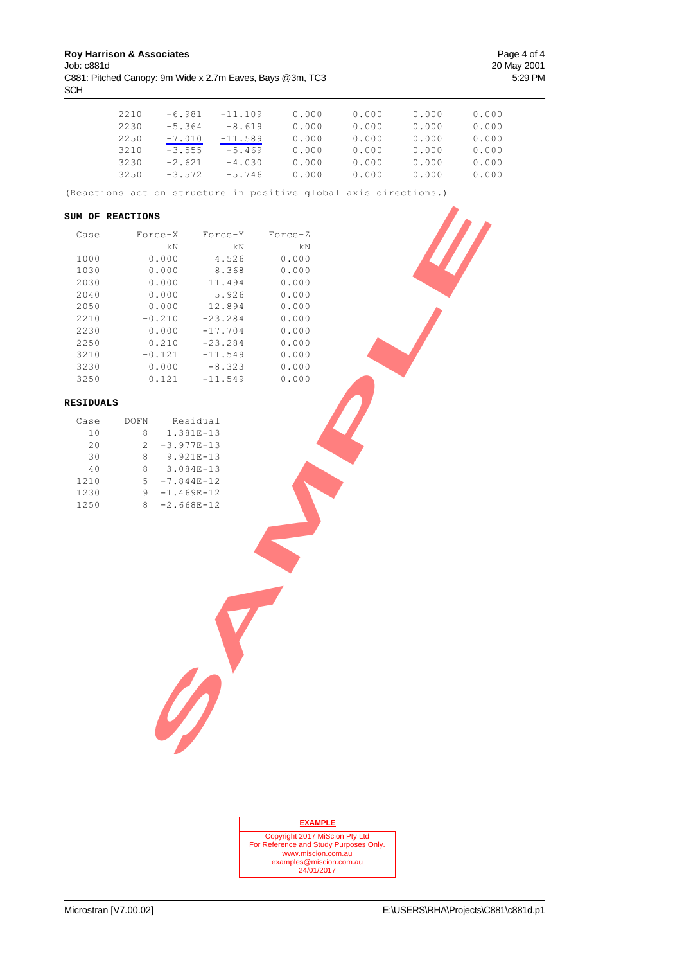**Roy Harrison & Associates Page 4 of 4** Job: c881d 20 May 2001 C881: Pitched Canopy: 9m Wide x 2.7m Eaves, Bays @3m, TC3 5:29 PM SCH

| 2210 | $-6.981$ | $-11.109$ | 0.000 | 0.000 | 0.000 | 0.000 |
|------|----------|-----------|-------|-------|-------|-------|
| 2230 | $-5.364$ | $-8.619$  | 0.000 | 0.000 | 0.000 | 0.000 |
| 2250 | $-7.010$ | $-11.589$ | 0.000 | 0.000 | 0.000 | 0.000 |
| 3210 | $-3.555$ | $-5.469$  | 0.000 | 0.000 | 0.000 | 0.000 |
| 3230 | $-2.621$ | $-4.030$  | 0.000 | 0.000 | 0.000 | 0.000 |
| 3250 | $-3.572$ | $-5.746$  | 0.000 | 0.000 | 0.000 | 0.000 |

(Reactions act on structure in positive global axis directions.)

#### **SUM OF REACTIONS**

|                  | SUM OF REACTIONS |                       |                |  |
|------------------|------------------|-----------------------|----------------|--|
| Case             | Force-X          | Force-Y               | Force-Z        |  |
|                  | kΝ               | kN                    | kΝ             |  |
| 1000             | 0.000            | 4.526                 | 0.000          |  |
| 1030             | 0.000            | 8.368                 | 0.000          |  |
| 2030             | 0.000            | 11.494                | 0.000          |  |
| 2040             | 0.000            | 5.926                 | 0.000          |  |
| 2050             | 0.000            | 12.894                | 0.000          |  |
| 2210             | $-0.210$         | $-23.284$             | 0.000          |  |
| 2230             | 0.000            | $-17.704$             | 0.000          |  |
| 2250             | 0.210            | $-23.284$             | 0.000          |  |
| 3210             | $-0.121$         | $-11.549$             | 0.000          |  |
| 3230             | 0.000            | $-8.323$<br>$-11.549$ | 0.000<br>0.000 |  |
| 3250             | 0.121            |                       |                |  |
| <b>RESIDUALS</b> |                  |                       |                |  |
| Case             | DOFN             | Residual              |                |  |
| $1\,0$           | 8                | 1.381E-13             |                |  |
| $20$             | $\overline{c}$   | $-3.977E-13$          |                |  |
| 30               | 8                | 9.921E-13             |                |  |
| $4\,0$           | 8                | 3.084E-13             |                |  |
| 1210             | 5                | $-7.844E-12$          |                |  |
| 1230             | 9                | $-1.469E-12$          |                |  |
| 1250             | 8                | $-2.668E-12$          |                |  |
|                  |                  |                       |                |  |
|                  |                  |                       |                |  |
|                  |                  |                       |                |  |
|                  |                  |                       |                |  |
|                  |                  |                       |                |  |
|                  |                  |                       |                |  |
|                  |                  |                       |                |  |
|                  |                  |                       |                |  |
|                  |                  |                       |                |  |
|                  |                  |                       |                |  |
|                  |                  |                       |                |  |
|                  |                  |                       |                |  |
|                  |                  |                       |                |  |
|                  |                  |                       |                |  |
|                  |                  |                       |                |  |
|                  |                  |                       |                |  |
|                  |                  |                       |                |  |
|                  |                  |                       |                |  |
|                  |                  |                       |                |  |

#### **RESIDUALS**

| Case | DOFN          | Residual       |
|------|---------------|----------------|
| 10   | 8             | 1.381E-13      |
| 2.0  | $\mathcal{P}$ | $-3.977E - 13$ |
| 30   | 8             | $9.921E - 13$  |
| 40   | 8             | $3.084E - 13$  |
| 1210 | 5             | $-7.844E - 12$ |
| 1230 | 9             | $-1.469E-12$   |
| 1250 | 8             | $-2.668E-12$   |

| <b>EXAMPLE</b>                         |
|----------------------------------------|
| Copyright 2017 MiScion Pty Ltd         |
| For Reference and Study Purposes Only. |
| www.miscion.com.au                     |
| examples@miscion.com.au                |
| 24/01/2017                             |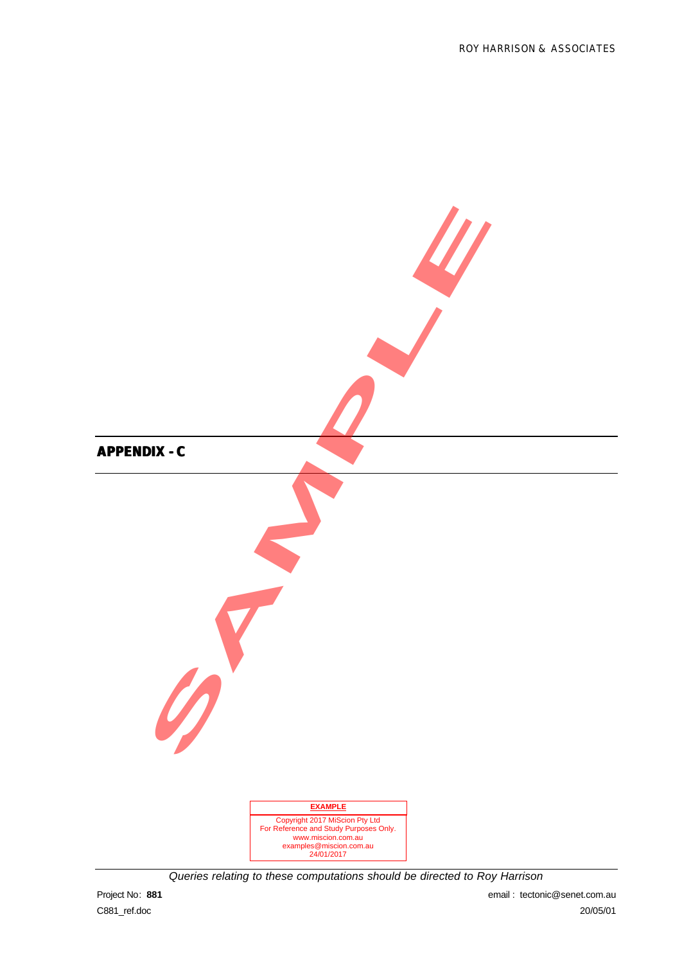

*Queries relating to these computations should be directed to Roy Harrison*